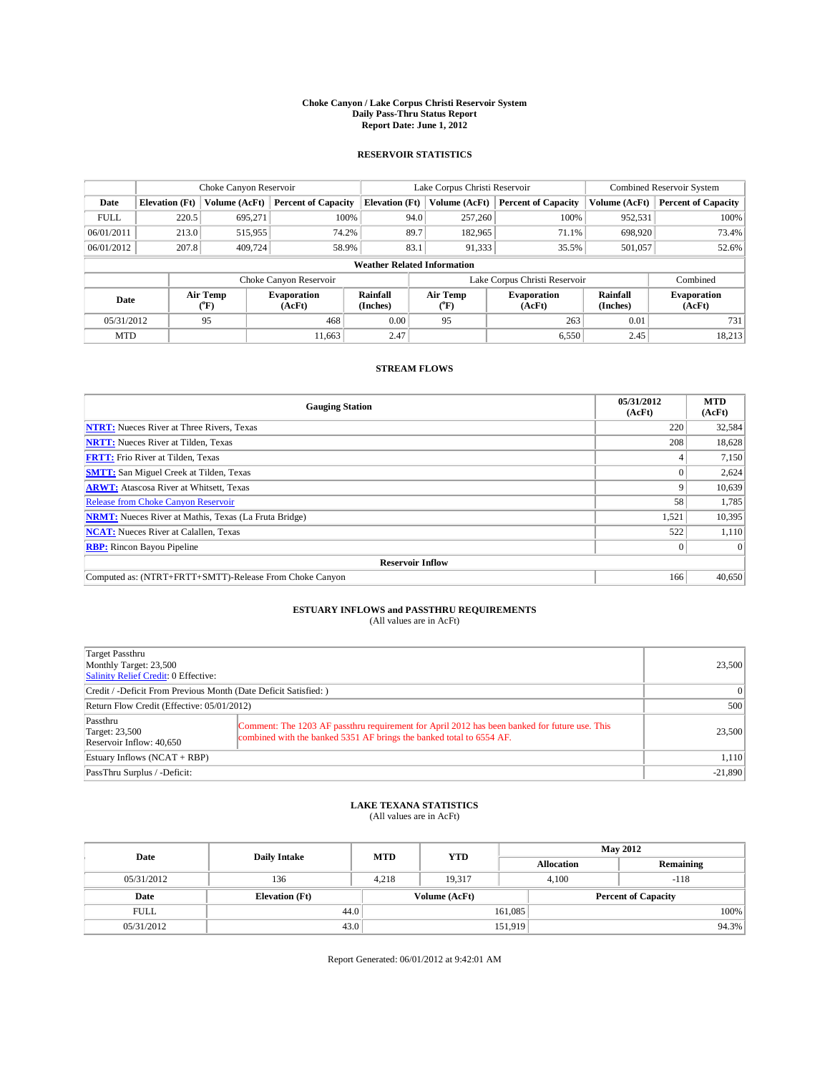### **Choke Canyon / Lake Corpus Christi Reservoir System Daily Pass-Thru Status Report Report Date: June 1, 2012**

### **RESERVOIR STATISTICS**

|             |                                    | Choke Canyon Reservoir |                              |                       | Lake Corpus Christi Reservoir | <b>Combined Reservoir System</b> |                      |                              |  |
|-------------|------------------------------------|------------------------|------------------------------|-----------------------|-------------------------------|----------------------------------|----------------------|------------------------------|--|
| Date        | <b>Elevation</b> (Ft)              | Volume (AcFt)          | <b>Percent of Capacity</b>   | <b>Elevation</b> (Ft) | Volume (AcFt)                 | <b>Percent of Capacity</b>       | Volume (AcFt)        | Percent of Capacity          |  |
| <b>FULL</b> | 220.5                              | 695,271                | 100%                         |                       | 257,260<br>94.0               | 100%                             | 952,531              | 100%                         |  |
| 06/01/2011  | 213.0                              | 515,955                | 74.2%                        |                       | 89.7<br>182,965               | 71.1%                            | 698,920              | 73.4%                        |  |
| 06/01/2012  | 207.8                              | 409.724                | 58.9%                        | 83.1                  | 91,333                        | 35.5%                            | 501,057              | 52.6%                        |  |
|             | <b>Weather Related Information</b> |                        |                              |                       |                               |                                  |                      |                              |  |
|             |                                    |                        | Choke Canyon Reservoir       |                       | Lake Corpus Christi Reservoir |                                  | Combined             |                              |  |
| Date        |                                    | Air Temp<br>("F)       | <b>Evaporation</b><br>(AcFt) | Rainfall<br>(Inches)  | Air Temp<br>("F)              | <b>Evaporation</b><br>(AcFt)     | Rainfall<br>(Inches) | <b>Evaporation</b><br>(AcFt) |  |
| 05/31/2012  |                                    | 95                     | 468                          | 0.00                  | 95                            | 263<br>0.01                      |                      | 731                          |  |
| <b>MTD</b>  |                                    |                        | 11.663                       | 2.47                  |                               | 6,550                            | 2.45                 | 18,213                       |  |

### **STREAM FLOWS**

| <b>Gauging Station</b>                                       | 05/31/2012<br>(AcFt) | <b>MTD</b><br>(AcFt) |  |  |  |
|--------------------------------------------------------------|----------------------|----------------------|--|--|--|
| <b>NTRT:</b> Nueces River at Three Rivers, Texas             | 220                  | 32,584               |  |  |  |
| <b>NRTT:</b> Nueces River at Tilden, Texas                   | 208                  | 18,628               |  |  |  |
| <b>FRTT:</b> Frio River at Tilden, Texas                     |                      | 7,150                |  |  |  |
| <b>SMTT:</b> San Miguel Creek at Tilden, Texas               |                      | 2,624                |  |  |  |
| <b>ARWT:</b> Atascosa River at Whitsett, Texas               | 9                    | 10,639               |  |  |  |
| <b>Release from Choke Canyon Reservoir</b>                   | 58                   | 1,785                |  |  |  |
| <b>NRMT:</b> Nueces River at Mathis, Texas (La Fruta Bridge) | 1,521                | 10,395               |  |  |  |
| <b>NCAT:</b> Nueces River at Calallen, Texas                 | 522                  | 1,110                |  |  |  |
| <b>RBP:</b> Rincon Bayou Pipeline                            | $\Omega$             | $\Omega$             |  |  |  |
| <b>Reservoir Inflow</b>                                      |                      |                      |  |  |  |
| Computed as: (NTRT+FRTT+SMTT)-Release From Choke Canyon      | 166                  | 40,650               |  |  |  |

# **ESTUARY INFLOWS and PASSTHRU REQUIREMENTS**<br>(All values are in AcFt)

| Target Passthru<br>Monthly Target: 23,500<br>Salinity Relief Credit: 0 Effective: |                                                                                                                                                                       | 23,500 |
|-----------------------------------------------------------------------------------|-----------------------------------------------------------------------------------------------------------------------------------------------------------------------|--------|
| Credit / -Deficit From Previous Month (Date Deficit Satisfied: )                  | $\Omega$                                                                                                                                                              |        |
| Return Flow Credit (Effective: 05/01/2012)                                        | 500                                                                                                                                                                   |        |
| Passthru<br><b>Target: 23,500</b><br>Reservoir Inflow: 40.650                     | Comment: The 1203 AF passthru requirement for April 2012 has been banked for future use. This<br>combined with the banked 5351 AF brings the banked total to 6554 AF. | 23,500 |
| Estuary Inflows $(NCAT + RBP)$                                                    | 1,110                                                                                                                                                                 |        |
| PassThru Surplus / -Deficit:                                                      | $-21,890$                                                                                                                                                             |        |

## **LAKE TEXANA STATISTICS** (All values are in AcFt)

| Date        | <b>Daily Intake</b>   | <b>MTD</b> | <b>YTD</b>    | <b>May 2012</b>   |                            |           |  |
|-------------|-----------------------|------------|---------------|-------------------|----------------------------|-----------|--|
|             |                       |            |               | <b>Allocation</b> |                            | Remaining |  |
| 05/31/2012  | 136                   | 4,218      | 19.317        |                   | 4,100<br>$-118$            |           |  |
| Date        | <b>Elevation</b> (Ft) |            | Volume (AcFt) |                   | <b>Percent of Capacity</b> |           |  |
| <b>FULL</b> | 44.0                  |            |               | 161,085           |                            | 100%      |  |
| 05/31/2012  | 43.0                  |            |               | 151,919           |                            | 94.3%     |  |

Report Generated: 06/01/2012 at 9:42:01 AM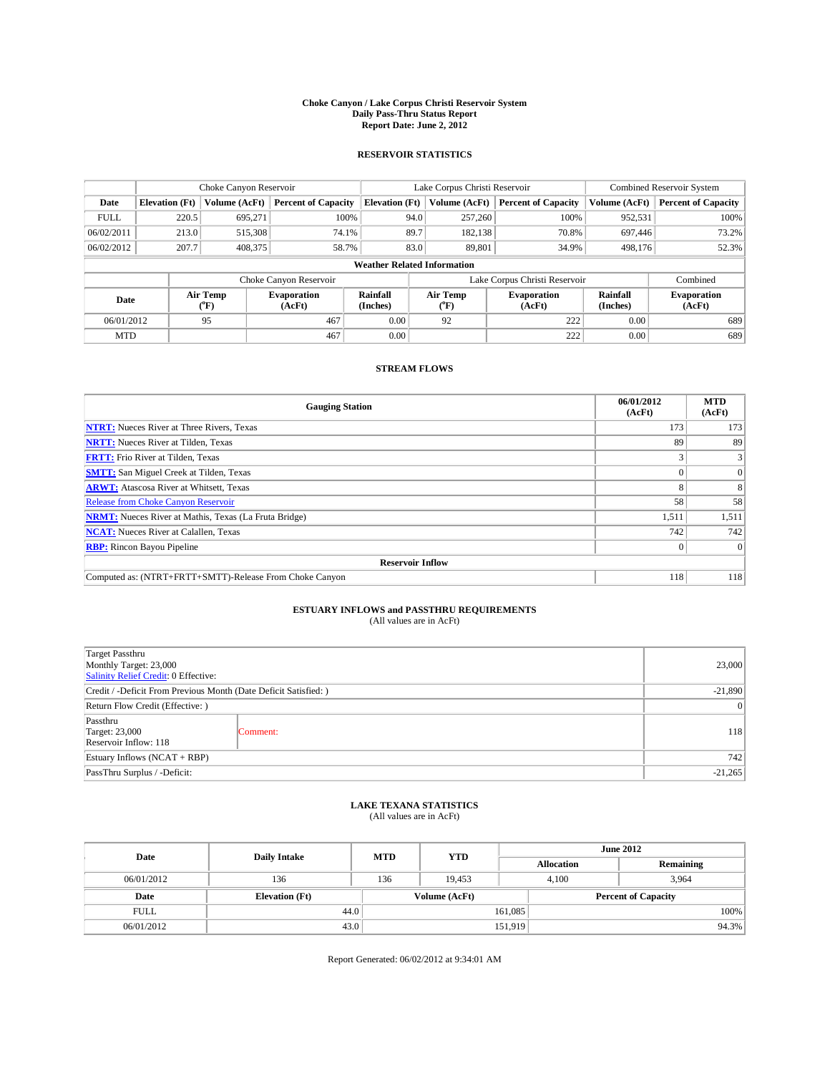### **Choke Canyon / Lake Corpus Christi Reservoir System Daily Pass-Thru Status Report Report Date: June 2, 2012**

### **RESERVOIR STATISTICS**

|             | Choke Canyon Reservoir             |                                      | Lake Corpus Christi Reservoir |                       |      |                  | <b>Combined Reservoir System</b> |                      |                              |
|-------------|------------------------------------|--------------------------------------|-------------------------------|-----------------------|------|------------------|----------------------------------|----------------------|------------------------------|
| Date        | <b>Elevation</b> (Ft)              | Volume (AcFt)                        | <b>Percent of Capacity</b>    | <b>Elevation (Ft)</b> |      | Volume (AcFt)    | <b>Percent of Capacity</b>       | Volume (AcFt)        | Percent of Capacity          |
| <b>FULL</b> | 220.5                              | 695,271                              | 100%                          |                       | 94.0 | 257,260          | 100%                             | 952,531              | 100%                         |
| 06/02/2011  | 213.0                              | 515,308                              | 74.1%                         |                       | 89.7 | 182,138          | 70.8%                            | 697,446              | 73.2%                        |
| 06/02/2012  | 207.7                              | 408,375                              | 58.7%                         |                       | 83.0 | 89,801           | 34.9%                            | 498.176              | 52.3%                        |
|             | <b>Weather Related Information</b> |                                      |                               |                       |      |                  |                                  |                      |                              |
|             |                                    |                                      | Choke Canyon Reservoir        |                       |      |                  | Lake Corpus Christi Reservoir    |                      | Combined                     |
| Date        |                                    | Air Temp<br>$({}^{\circ}\mathrm{F})$ | <b>Evaporation</b><br>(AcFt)  | Rainfall<br>(Inches)  |      | Air Temp<br>("F) | <b>Evaporation</b><br>(AcFt)     | Rainfall<br>(Inches) | <b>Evaporation</b><br>(AcFt) |
| 06/01/2012  |                                    | 95                                   | 467                           | 0.00                  |      | 92               | 222                              | 0.00                 | 689                          |
| <b>MTD</b>  |                                    |                                      | 467                           | 0.00                  |      |                  | 222                              | 0.00                 | 689                          |

## **STREAM FLOWS**

| <b>Gauging Station</b>                                       | 06/01/2012<br>(AcFt) | <b>MTD</b><br>(AcFt) |  |  |  |  |
|--------------------------------------------------------------|----------------------|----------------------|--|--|--|--|
| <b>NTRT:</b> Nueces River at Three Rivers, Texas             | 173                  | 173                  |  |  |  |  |
| <b>NRTT:</b> Nueces River at Tilden, Texas                   | 89                   | 89                   |  |  |  |  |
| <b>FRTT:</b> Frio River at Tilden, Texas                     |                      |                      |  |  |  |  |
| <b>SMTT:</b> San Miguel Creek at Tilden, Texas               |                      | $\Omega$             |  |  |  |  |
| <b>ARWT:</b> Atascosa River at Whitsett, Texas               |                      | 8                    |  |  |  |  |
| <b>Release from Choke Canyon Reservoir</b>                   | 58                   | 58                   |  |  |  |  |
| <b>NRMT:</b> Nueces River at Mathis, Texas (La Fruta Bridge) | 1,511                | 1,511                |  |  |  |  |
| <b>NCAT:</b> Nueces River at Calallen, Texas                 | 742                  | 742                  |  |  |  |  |
| <b>RBP:</b> Rincon Bayou Pipeline                            | $\Omega$             | $\Omega$             |  |  |  |  |
| <b>Reservoir Inflow</b>                                      |                      |                      |  |  |  |  |
| Computed as: (NTRT+FRTT+SMTT)-Release From Choke Canyon      | 118                  | 118                  |  |  |  |  |

# **ESTUARY INFLOWS and PASSTHRU REQUIREMENTS**<br>(All values are in AcFt)

| <b>Target Passthru</b><br>Monthly Target: 23,000<br>Salinity Relief Credit: 0 Effective: | 23,000    |     |  |  |
|------------------------------------------------------------------------------------------|-----------|-----|--|--|
| Credit / -Deficit From Previous Month (Date Deficit Satisfied: )                         | $-21,890$ |     |  |  |
| Return Flow Credit (Effective: )                                                         | $\vert$ 0 |     |  |  |
| Passthru<br><b>Target: 23,000</b><br>Reservoir Inflow: 118                               | Comment:  | 118 |  |  |
| Estuary Inflows (NCAT + RBP)                                                             |           |     |  |  |
| PassThru Surplus / -Deficit:                                                             | $-21,265$ |     |  |  |

## **LAKE TEXANA STATISTICS** (All values are in AcFt)

| Date        | <b>Daily Intake</b>   | <b>MTD</b> | <b>YTD</b>    | <b>June 2012</b>  |                            |  |  |
|-------------|-----------------------|------------|---------------|-------------------|----------------------------|--|--|
|             |                       |            |               | <b>Allocation</b> | Remaining                  |  |  |
| 06/01/2012  | 136                   | 136        | 19.453        | 4,100             | 3,964                      |  |  |
| Date        | <b>Elevation</b> (Ft) |            | Volume (AcFt) |                   | <b>Percent of Capacity</b> |  |  |
| <b>FULL</b> | 44.0                  |            |               | 161,085           | 100%                       |  |  |
| 06/01/2012  | 43.0                  |            |               | 151,919           | 94.3%                      |  |  |

Report Generated: 06/02/2012 at 9:34:01 AM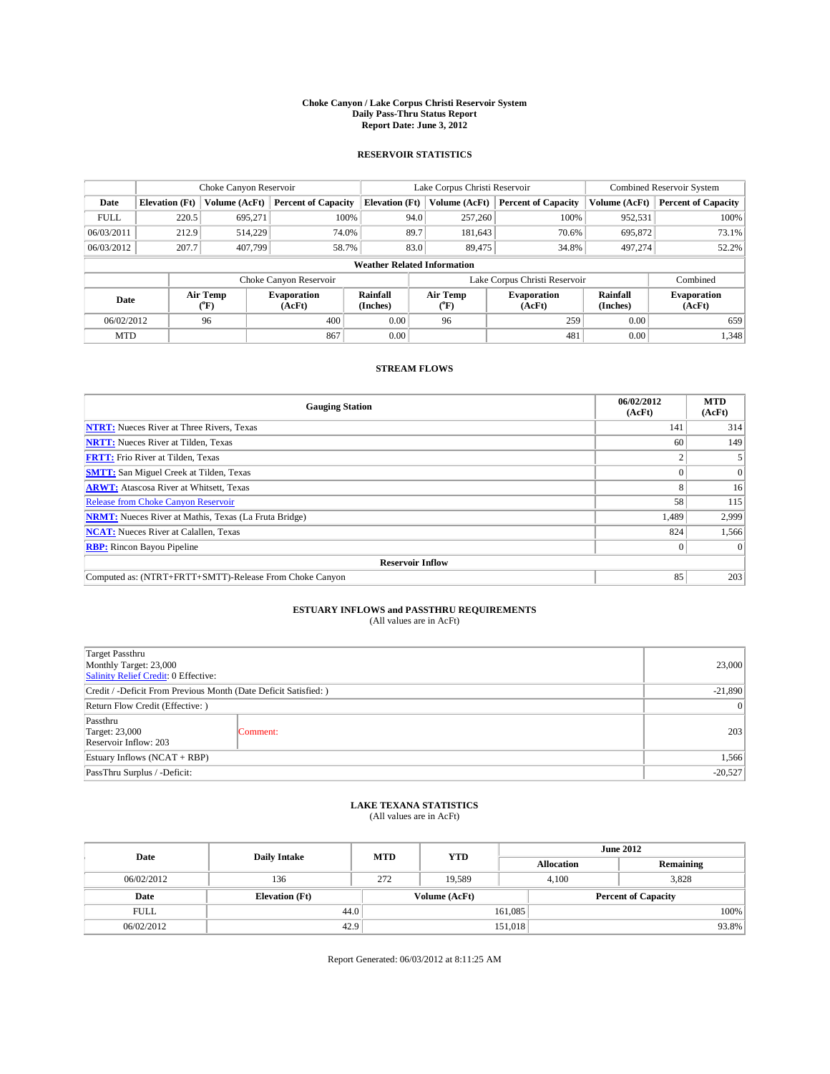### **Choke Canyon / Lake Corpus Christi Reservoir System Daily Pass-Thru Status Report Report Date: June 3, 2012**

### **RESERVOIR STATISTICS**

|             |                                    | Choke Canyon Reservoir |                              |                       | Lake Corpus Christi Reservoir | Combined Reservoir System     |                      |                              |  |
|-------------|------------------------------------|------------------------|------------------------------|-----------------------|-------------------------------|-------------------------------|----------------------|------------------------------|--|
| Date        | <b>Elevation</b> (Ft)              | Volume (AcFt)          | <b>Percent of Capacity</b>   | <b>Elevation</b> (Ft) | Volume (AcFt)                 | <b>Percent of Capacity</b>    | Volume (AcFt)        | <b>Percent of Capacity</b>   |  |
| <b>FULL</b> | 220.5                              | 695,271                | 100%                         | 94.0                  | 257,260                       | 100%                          | 952,531              | 100%                         |  |
| 06/03/2011  | 212.9                              | 514,229                | 74.0%                        | 89.7                  | 181,643                       | 70.6%                         | 695,872              | 73.1%                        |  |
| 06/03/2012  | 207.7                              | 407,799                | 58.7%                        | 83.0                  | 89.475                        | 34.8%                         | 497,274              | 52.2%                        |  |
|             | <b>Weather Related Information</b> |                        |                              |                       |                               |                               |                      |                              |  |
|             |                                    |                        | Choke Canyon Reservoir       |                       |                               | Lake Corpus Christi Reservoir |                      | Combined                     |  |
| Date        |                                    | Air Temp<br>(°F)       | <b>Evaporation</b><br>(AcFt) | Rainfall<br>(Inches)  | Air Temp<br>(°F)              | <b>Evaporation</b><br>(AcFt)  | Rainfall<br>(Inches) | <b>Evaporation</b><br>(AcFt) |  |
| 06/02/2012  | 400<br>96                          |                        | 0.00                         | 96                    | 259                           | 0.00                          | 659                  |                              |  |
| <b>MTD</b>  |                                    |                        | 867                          | 0.00                  |                               | 481                           | 0.00                 | 1,348                        |  |

### **STREAM FLOWS**

| <b>Gauging Station</b>                                       | 06/02/2012<br>(AcFt) | <b>MTD</b><br>(AcFt) |  |  |  |  |
|--------------------------------------------------------------|----------------------|----------------------|--|--|--|--|
| <b>NTRT:</b> Nueces River at Three Rivers, Texas             | 141                  | 314                  |  |  |  |  |
| <b>NRTT:</b> Nueces River at Tilden, Texas                   | 60                   | 149                  |  |  |  |  |
| <b>FRTT:</b> Frio River at Tilden, Texas                     |                      |                      |  |  |  |  |
| <b>SMTT:</b> San Miguel Creek at Tilden, Texas               |                      | $\Omega$             |  |  |  |  |
| <b>ARWT:</b> Atascosa River at Whitsett, Texas               |                      | 16                   |  |  |  |  |
| <b>Release from Choke Canyon Reservoir</b>                   | 58                   | 115                  |  |  |  |  |
| <b>NRMT:</b> Nueces River at Mathis, Texas (La Fruta Bridge) | 1,489                | 2,999                |  |  |  |  |
| <b>NCAT:</b> Nueces River at Calallen, Texas                 | 824                  | 1,566                |  |  |  |  |
| <b>RBP:</b> Rincon Bayou Pipeline                            | $\Omega$             | $\Omega$             |  |  |  |  |
| <b>Reservoir Inflow</b>                                      |                      |                      |  |  |  |  |
| Computed as: (NTRT+FRTT+SMTT)-Release From Choke Canyon      | 85                   | 203                  |  |  |  |  |

# **ESTUARY INFLOWS and PASSTHRU REQUIREMENTS**<br>(All values are in AcFt)

| <b>Target Passthru</b><br>Monthly Target: 23,000<br>Salinity Relief Credit: 0 Effective: |           |     |  |
|------------------------------------------------------------------------------------------|-----------|-----|--|
| Credit / -Deficit From Previous Month (Date Deficit Satisfied: )                         | $-21,890$ |     |  |
| Return Flow Credit (Effective: )                                                         |           |     |  |
| Passthru<br><b>Target: 23,000</b><br>Reservoir Inflow: 203                               | Comment:  | 203 |  |
| Estuary Inflows (NCAT + RBP)                                                             |           |     |  |
| PassThru Surplus / -Deficit:                                                             | $-20,527$ |     |  |

# **LAKE TEXANA STATISTICS** (All values are in AcFt)

| Date        | <b>Daily Intake</b>   | <b>MTD</b> | <b>YTD</b>    | <b>June 2012</b>  |                            |           |  |
|-------------|-----------------------|------------|---------------|-------------------|----------------------------|-----------|--|
|             |                       |            |               | <b>Allocation</b> |                            | Remaining |  |
| 06/02/2012  | 136                   | 272        | 19.589        |                   | 3,828<br>4,100             |           |  |
| Date        | <b>Elevation</b> (Ft) |            | Volume (AcFt) |                   | <b>Percent of Capacity</b> |           |  |
| <b>FULL</b> | 44.0                  |            |               | 161,085           |                            | 100%      |  |
| 06/02/2012  | 42.9                  |            |               | 151,018           |                            | 93.8%     |  |

Report Generated: 06/03/2012 at 8:11:25 AM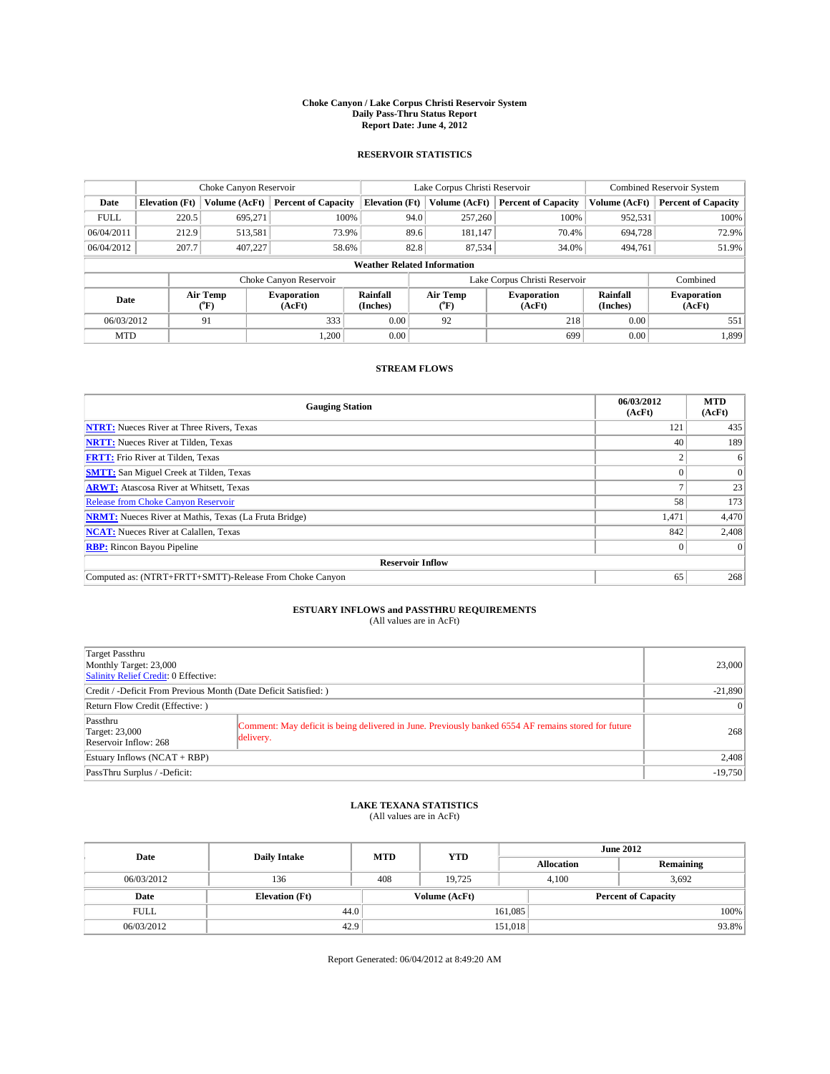### **Choke Canyon / Lake Corpus Christi Reservoir System Daily Pass-Thru Status Report Report Date: June 4, 2012**

### **RESERVOIR STATISTICS**

|             |                       | Choke Canyon Reservoir |                              |                                    | Lake Corpus Christi Reservoir | <b>Combined Reservoir System</b> |                      |                              |
|-------------|-----------------------|------------------------|------------------------------|------------------------------------|-------------------------------|----------------------------------|----------------------|------------------------------|
| Date        | <b>Elevation</b> (Ft) | Volume (AcFt)          | <b>Percent of Capacity</b>   | <b>Elevation (Ft)</b>              | Volume (AcFt)                 | <b>Percent of Capacity</b>       | Volume (AcFt)        | <b>Percent of Capacity</b>   |
| <b>FULL</b> | 220.5                 | 695,271                | 100%                         | 94.0                               | 257,260                       | 100%                             | 952,531              | 100%                         |
| 06/04/2011  | 212.9                 | 513,581                | 73.9%                        | 89.6                               | 181.147                       | 70.4%                            | 694,728              | 72.9%                        |
| 06/04/2012  | 207.7                 | 407,227                | 58.6%                        | 82.8                               | 87,534                        | 34.0%                            | 494,761              | 51.9%                        |
|             |                       |                        |                              | <b>Weather Related Information</b> |                               |                                  |                      |                              |
|             |                       |                        | Choke Canyon Reservoir       |                                    |                               | Lake Corpus Christi Reservoir    |                      | Combined                     |
| Date        |                       | Air Temp<br>(°F)       | <b>Evaporation</b><br>(AcFt) | Rainfall<br>(Inches)               | Air Temp<br>$(^{0}F)$         | <b>Evaporation</b><br>(AcFt)     | Rainfall<br>(Inches) | <b>Evaporation</b><br>(AcFt) |
| 06/03/2012  |                       | 91                     | 333                          | 0.00                               | 92                            | 218                              | 0.00                 | 551                          |
| <b>MTD</b>  |                       |                        | 1.200                        | 0.00                               |                               | 699                              | 0.00                 | 1,899                        |

### **STREAM FLOWS**

| <b>Gauging Station</b>                                       | 06/03/2012<br>(AcFt) | <b>MTD</b><br>(AcFt) |  |  |  |
|--------------------------------------------------------------|----------------------|----------------------|--|--|--|
| <b>NTRT:</b> Nueces River at Three Rivers, Texas             | 121                  | 435                  |  |  |  |
| <b>NRTT:</b> Nueces River at Tilden, Texas                   | 40                   | 189                  |  |  |  |
| <b>FRTT:</b> Frio River at Tilden, Texas                     |                      | 6                    |  |  |  |
| <b>SMTT:</b> San Miguel Creek at Tilden, Texas               |                      | $\Omega$             |  |  |  |
| <b>ARWT:</b> Atascosa River at Whitsett, Texas               |                      | 23                   |  |  |  |
| <b>Release from Choke Canyon Reservoir</b>                   | 58                   | 173                  |  |  |  |
| <b>NRMT:</b> Nueces River at Mathis, Texas (La Fruta Bridge) | 1,471                | 4,470                |  |  |  |
| <b>NCAT:</b> Nueces River at Calallen, Texas                 | 842                  | 2,408                |  |  |  |
| <b>RBP:</b> Rincon Bayou Pipeline                            | $\Omega$             | $\Omega$             |  |  |  |
| <b>Reservoir Inflow</b>                                      |                      |                      |  |  |  |
| Computed as: (NTRT+FRTT+SMTT)-Release From Choke Canyon      | 65                   | 268                  |  |  |  |

# **ESTUARY INFLOWS and PASSTHRU REQUIREMENTS**<br>(All values are in AcFt)

| Target Passthru<br>Monthly Target: 23,000<br>Salinity Relief Credit: 0 Effective: |                                                                                                                   | 23,000 |  |  |  |
|-----------------------------------------------------------------------------------|-------------------------------------------------------------------------------------------------------------------|--------|--|--|--|
| Credit / -Deficit From Previous Month (Date Deficit Satisfied: )                  | $-21,890$                                                                                                         |        |  |  |  |
| Return Flow Credit (Effective: )                                                  |                                                                                                                   |        |  |  |  |
| Passthru<br><b>Target: 23,000</b><br>Reservoir Inflow: 268                        | Comment: May deficit is being delivered in June. Previously banked 6554 AF remains stored for future<br>delivery. | 268    |  |  |  |
| Estuary Inflows $(NCAT + RBP)$                                                    | 2,408                                                                                                             |        |  |  |  |
| PassThru Surplus / -Deficit:                                                      |                                                                                                                   |        |  |  |  |

# **LAKE TEXANA STATISTICS** (All values are in AcFt)

| Date        | <b>Daily Intake</b>   | <b>MTD</b> | <b>YTD</b>    | <b>June 2012</b>  |                |                            |  |
|-------------|-----------------------|------------|---------------|-------------------|----------------|----------------------------|--|
|             |                       |            |               | <b>Allocation</b> |                | Remaining                  |  |
| 06/03/2012  | 136                   | 408        | 19.725        |                   | 3,692<br>4.100 |                            |  |
| Date        | <b>Elevation</b> (Ft) |            | Volume (AcFt) |                   |                | <b>Percent of Capacity</b> |  |
| <b>FULL</b> | 44.0                  |            |               | 161,085           |                | 100%                       |  |
| 06/03/2012  | 42.9                  |            |               | 151,018           |                | 93.8%                      |  |

Report Generated: 06/04/2012 at 8:49:20 AM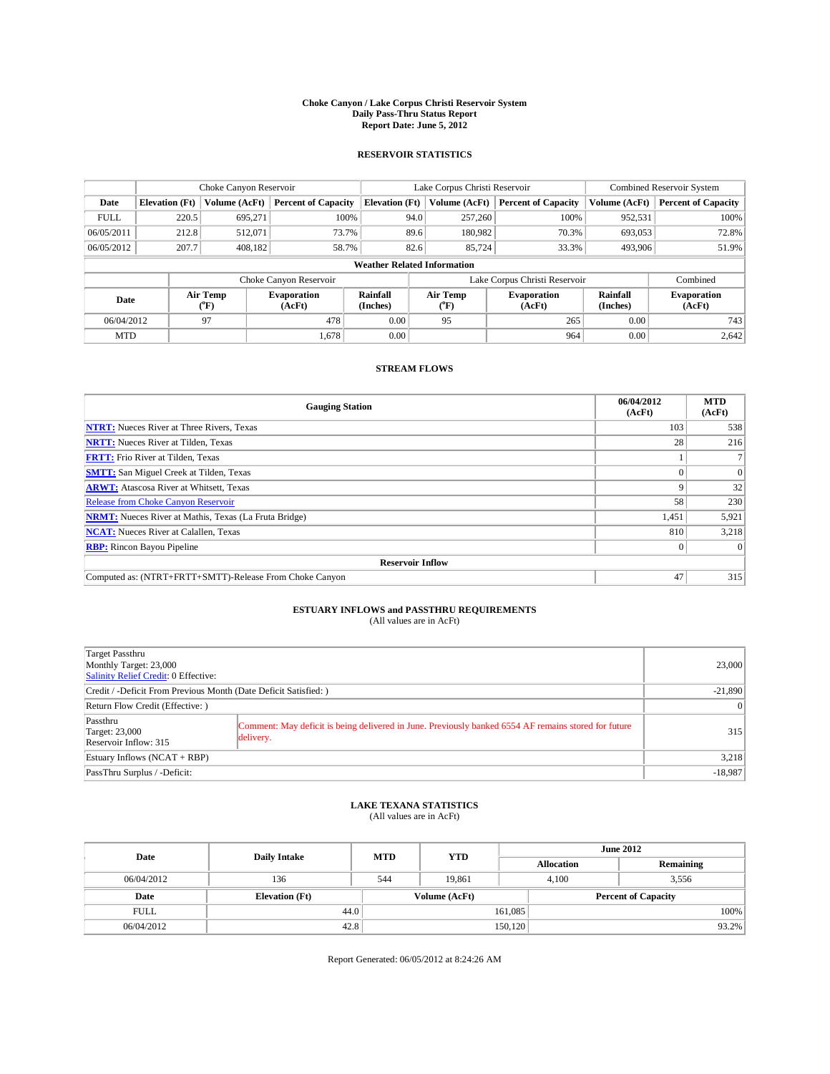### **Choke Canyon / Lake Corpus Christi Reservoir System Daily Pass-Thru Status Report Report Date: June 5, 2012**

### **RESERVOIR STATISTICS**

|             | Choke Canyon Reservoir |                  |                              |                                    | Lake Corpus Christi Reservoir | Combined Reservoir System     |                      |                              |
|-------------|------------------------|------------------|------------------------------|------------------------------------|-------------------------------|-------------------------------|----------------------|------------------------------|
| Date        | <b>Elevation</b> (Ft)  | Volume (AcFt)    | <b>Percent of Capacity</b>   | <b>Elevation (Ft)</b>              | Volume (AcFt)                 | <b>Percent of Capacity</b>    | Volume (AcFt)        | <b>Percent of Capacity</b>   |
| <b>FULL</b> | 220.5                  | 695,271          | 100%                         | 94.0                               | 257,260                       | 100%                          | 952,531              | 100%                         |
| 06/05/2011  | 212.8                  | 512,071          | 73.7%                        | 89.6                               | 180,982                       | 70.3%                         | 693,053              | 72.8%                        |
| 06/05/2012  | 207.7                  | 408.182          | 58.7%                        | 82.6                               | 85,724                        | 33.3%                         | 493,906              | 51.9%                        |
|             |                        |                  |                              | <b>Weather Related Information</b> |                               |                               |                      |                              |
|             |                        |                  | Choke Canyon Reservoir       |                                    |                               | Lake Corpus Christi Reservoir |                      | Combined                     |
| Date        |                        | Air Temp<br>(°F) | <b>Evaporation</b><br>(AcFt) | Rainfall<br>(Inches)               | Air Temp<br>$\rm ^{(^o}\!F)$  | <b>Evaporation</b><br>(AcFt)  | Rainfall<br>(Inches) | <b>Evaporation</b><br>(AcFt) |
| 06/04/2012  |                        | 97               | 478                          | 0.00                               | 95                            | 265                           | 0.00                 | 743                          |
| <b>MTD</b>  |                        |                  | 1.678                        | 0.00                               |                               | 964                           | 0.00                 | 2,642                        |

## **STREAM FLOWS**

| <b>Gauging Station</b>                                       | 06/04/2012<br>(AcFt) | <b>MTD</b><br>(AcFt) |  |  |  |
|--------------------------------------------------------------|----------------------|----------------------|--|--|--|
| <b>NTRT:</b> Nueces River at Three Rivers, Texas             | 103                  | 538                  |  |  |  |
| <b>NRTT:</b> Nueces River at Tilden, Texas                   | 28                   | 216                  |  |  |  |
| <b>FRTT:</b> Frio River at Tilden, Texas                     |                      |                      |  |  |  |
| <b>SMTT:</b> San Miguel Creek at Tilden, Texas               |                      | $\overline{0}$       |  |  |  |
| <b>ARWT:</b> Atascosa River at Whitsett, Texas               |                      | 32                   |  |  |  |
| Release from Choke Canyon Reservoir                          | 58                   | 230                  |  |  |  |
| <b>NRMT:</b> Nueces River at Mathis, Texas (La Fruta Bridge) | 1,451                | 5,921                |  |  |  |
| <b>NCAT:</b> Nueces River at Calallen, Texas                 | 810                  | 3,218                |  |  |  |
| <b>RBP:</b> Rincon Bayou Pipeline                            | $\Omega$             | $\Omega$             |  |  |  |
| <b>Reservoir Inflow</b>                                      |                      |                      |  |  |  |
| Computed as: (NTRT+FRTT+SMTT)-Release From Choke Canyon      | 47                   | 315                  |  |  |  |

# **ESTUARY INFLOWS and PASSTHRU REQUIREMENTS**<br>(All values are in AcFt)

| Target Passthru<br>Monthly Target: 23,000<br>Salinity Relief Credit: 0 Effective: | 23,000                                                                                                            |  |  |  |  |
|-----------------------------------------------------------------------------------|-------------------------------------------------------------------------------------------------------------------|--|--|--|--|
| Credit / -Deficit From Previous Month (Date Deficit Satisfied: )                  |                                                                                                                   |  |  |  |  |
| Return Flow Credit (Effective: )                                                  | $\vert 0 \vert$                                                                                                   |  |  |  |  |
| Passthru<br><b>Target: 23,000</b><br>Reservoir Inflow: 315                        | Comment: May deficit is being delivered in June. Previously banked 6554 AF remains stored for future<br>delivery. |  |  |  |  |
| Estuary Inflows (NCAT + RBP)                                                      | 3,218                                                                                                             |  |  |  |  |
| PassThru Surplus / -Deficit:                                                      | $-18,987$                                                                                                         |  |  |  |  |

## **LAKE TEXANA STATISTICS** (All values are in AcFt)

| Date        | <b>Daily Intake</b>   | <b>MTD</b>    | <b>YTD</b> | <b>June 2012</b>  |                |                            |  |
|-------------|-----------------------|---------------|------------|-------------------|----------------|----------------------------|--|
|             |                       |               |            | <b>Allocation</b> |                | Remaining                  |  |
| 06/04/2012  | 136                   | 544           | 19.861     |                   | 4.100<br>3,556 |                            |  |
| Date        | <b>Elevation</b> (Ft) | Volume (AcFt) |            |                   |                | <b>Percent of Capacity</b> |  |
| <b>FULL</b> | 44.0                  |               |            | 161,085           |                | 100%                       |  |
| 06/04/2012  | 42.8                  |               |            | 150, 120          |                | 93.2%                      |  |

Report Generated: 06/05/2012 at 8:24:26 AM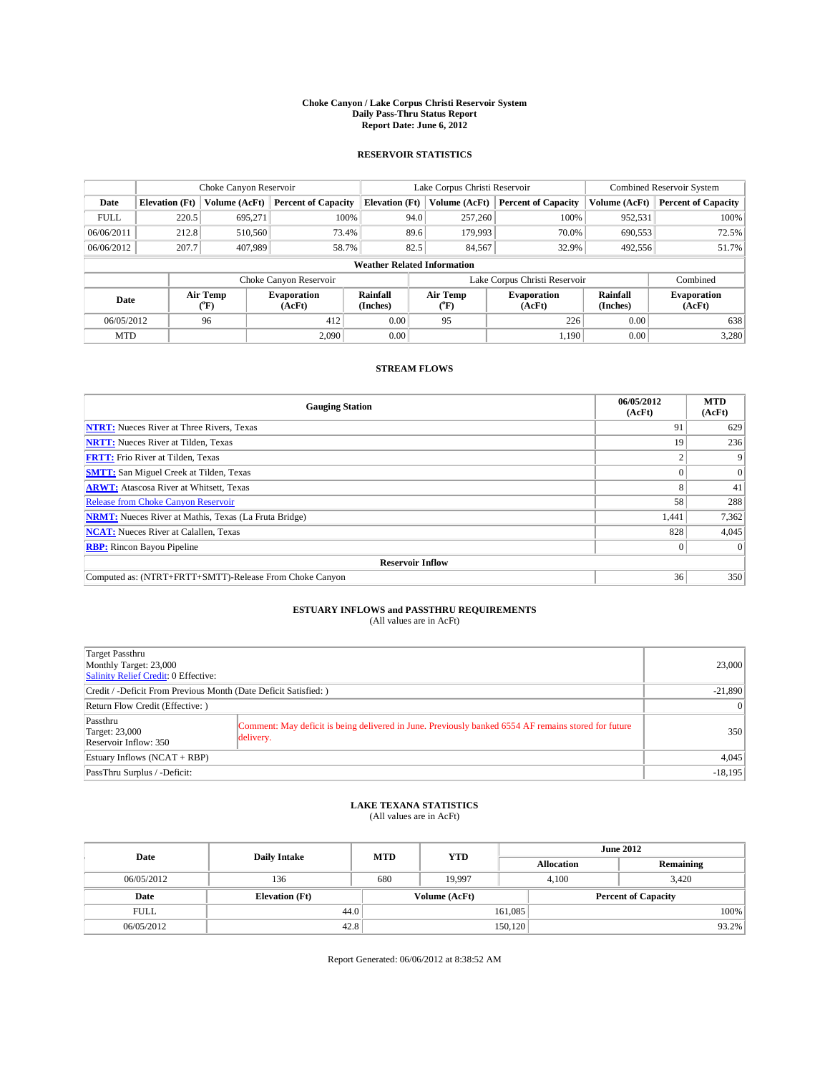### **Choke Canyon / Lake Corpus Christi Reservoir System Daily Pass-Thru Status Report Report Date: June 6, 2012**

### **RESERVOIR STATISTICS**

|             | Choke Canyon Reservoir |                                      |                              |                                    | Lake Corpus Christi Reservoir | <b>Combined Reservoir System</b> |                      |                              |
|-------------|------------------------|--------------------------------------|------------------------------|------------------------------------|-------------------------------|----------------------------------|----------------------|------------------------------|
| Date        | <b>Elevation</b> (Ft)  | Volume (AcFt)                        | <b>Percent of Capacity</b>   | <b>Elevation (Ft)</b>              | Volume (AcFt)                 | <b>Percent of Capacity</b>       | Volume (AcFt)        | Percent of Capacity          |
| <b>FULL</b> | 220.5                  | 695,271                              | 100%                         | 94.0                               | 257,260                       | 100%                             | 952,531              | 100%                         |
| 06/06/2011  | 212.8                  | 510,560                              | 73.4%                        | 89.6                               | 179,993                       | 70.0%                            | 690,553              | 72.5%                        |
| 06/06/2012  | 207.7                  | 407,989                              | 58.7%                        | 82.5                               | 84,567                        | 32.9%                            | 492,556              | 51.7%                        |
|             |                        |                                      |                              | <b>Weather Related Information</b> |                               |                                  |                      |                              |
|             |                        |                                      | Choke Canyon Reservoir       |                                    |                               | Lake Corpus Christi Reservoir    |                      | Combined                     |
| Date        |                        | Air Temp<br>$({}^{\circ}\mathrm{F})$ | <b>Evaporation</b><br>(AcFt) | Rainfall<br>(Inches)               | Air Temp<br>("F)              | <b>Evaporation</b><br>(AcFt)     | Rainfall<br>(Inches) | <b>Evaporation</b><br>(AcFt) |
| 06/05/2012  |                        | 96                                   | 412                          | 0.00                               | 95                            | 226                              | 0.00                 | 638                          |
| <b>MTD</b>  |                        |                                      | 2.090                        | 0.00                               |                               | 1.190                            | 0.00                 | 3,280                        |

### **STREAM FLOWS**

| <b>Gauging Station</b>                                       | 06/05/2012<br>(AcFt) | <b>MTD</b><br>(AcFt) |  |  |  |
|--------------------------------------------------------------|----------------------|----------------------|--|--|--|
| <b>NTRT:</b> Nueces River at Three Rivers, Texas             | 91                   | 629                  |  |  |  |
| <b>NRTT:</b> Nueces River at Tilden, Texas                   | 19                   | 236                  |  |  |  |
| <b>FRTT:</b> Frio River at Tilden, Texas                     |                      |                      |  |  |  |
| <b>SMTT:</b> San Miguel Creek at Tilden, Texas               |                      | $\Omega$             |  |  |  |
| <b>ARWT:</b> Atascosa River at Whitsett, Texas               |                      | 41                   |  |  |  |
| <b>Release from Choke Canyon Reservoir</b>                   | 58                   | 288                  |  |  |  |
| <b>NRMT:</b> Nueces River at Mathis, Texas (La Fruta Bridge) | 1,441                | 7,362                |  |  |  |
| <b>NCAT:</b> Nueces River at Calallen, Texas                 | 828                  | 4,045                |  |  |  |
| <b>RBP:</b> Rincon Bayou Pipeline                            | $\Omega$             | $\Omega$             |  |  |  |
| <b>Reservoir Inflow</b>                                      |                      |                      |  |  |  |
| Computed as: (NTRT+FRTT+SMTT)-Release From Choke Canyon      | 36                   | 350                  |  |  |  |

# **ESTUARY INFLOWS and PASSTHRU REQUIREMENTS**<br>(All values are in AcFt)

| Target Passthru<br>Monthly Target: 23,000<br>Salinity Relief Credit: 0 Effective: |                                                                                                                   |  |  |  |  |
|-----------------------------------------------------------------------------------|-------------------------------------------------------------------------------------------------------------------|--|--|--|--|
| Credit / -Deficit From Previous Month (Date Deficit Satisfied: )                  |                                                                                                                   |  |  |  |  |
| Return Flow Credit (Effective: )                                                  |                                                                                                                   |  |  |  |  |
| Passthru<br><b>Target: 23,000</b><br>Reservoir Inflow: 350                        | Comment: May deficit is being delivered in June. Previously banked 6554 AF remains stored for future<br>delivery. |  |  |  |  |
| Estuary Inflows (NCAT + RBP)                                                      | 4,045                                                                                                             |  |  |  |  |
| PassThru Surplus / -Deficit:                                                      | $-18,195$                                                                                                         |  |  |  |  |

## **LAKE TEXANA STATISTICS** (All values are in AcFt)

| Date        | <b>Daily Intake</b>   | <b>MTD</b> | <b>YTD</b>    | <b>June 2012</b>  |                |                            |  |
|-------------|-----------------------|------------|---------------|-------------------|----------------|----------------------------|--|
|             |                       |            |               | <b>Allocation</b> |                | Remaining                  |  |
| 06/05/2012  | 136                   | 680        | 19.997        |                   | 3.420<br>4.100 |                            |  |
| Date        | <b>Elevation</b> (Ft) |            | Volume (AcFt) |                   |                | <b>Percent of Capacity</b> |  |
| <b>FULL</b> | 44.0                  |            |               | 161,085           |                | 100%                       |  |
| 06/05/2012  | 42.8                  |            |               | 150, 120          |                | 93.2%                      |  |

Report Generated: 06/06/2012 at 8:38:52 AM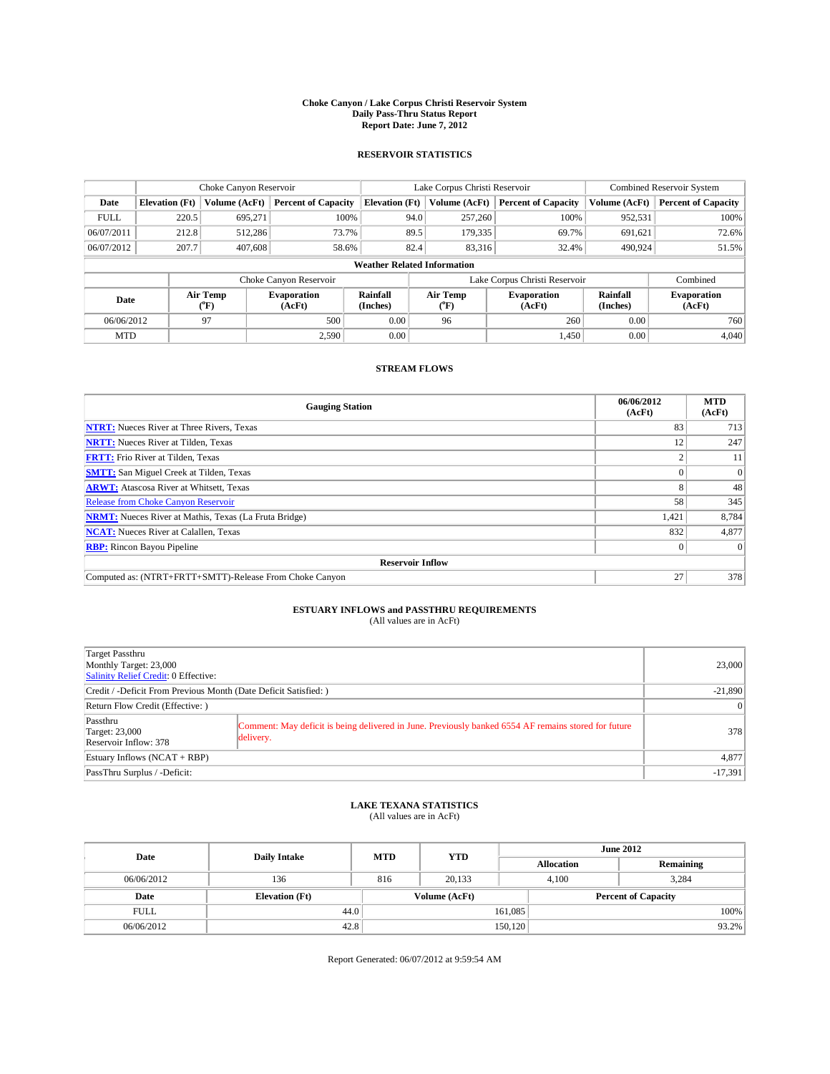### **Choke Canyon / Lake Corpus Christi Reservoir System Daily Pass-Thru Status Report Report Date: June 7, 2012**

### **RESERVOIR STATISTICS**

|                                        |                       | Choke Canyon Reservoir |                              |                                    | Lake Corpus Christi Reservoir | <b>Combined Reservoir System</b> |                      |                              |
|----------------------------------------|-----------------------|------------------------|------------------------------|------------------------------------|-------------------------------|----------------------------------|----------------------|------------------------------|
| Date                                   | <b>Elevation</b> (Ft) | Volume (AcFt)          | <b>Percent of Capacity</b>   | <b>Elevation (Ft)</b>              | Volume (AcFt)                 | <b>Percent of Capacity</b>       | Volume (AcFt)        | <b>Percent of Capacity</b>   |
| <b>FULL</b>                            | 220.5                 | 695,271                | 100%                         | 94.0                               | 257,260                       | 100%                             | 952,531              | 100%                         |
| 06/07/2011                             | 212.8                 | 512,286                | 73.7%                        | 89.5                               | 179,335                       | 69.7%                            | 691,621              | 72.6%                        |
| 06/07/2012                             | 207.7                 | 407,608                | 58.6%                        | 82.4                               | 83,316                        | 32.4%                            | 490.924              | 51.5%                        |
|                                        |                       |                        |                              | <b>Weather Related Information</b> |                               |                                  |                      |                              |
|                                        |                       |                        | Choke Canyon Reservoir       |                                    |                               | Lake Corpus Christi Reservoir    |                      | Combined                     |
| Air Temp<br>Date<br>$({}^o\mathrm{F})$ |                       |                        | <b>Evaporation</b><br>(AcFt) | Rainfall<br>(Inches)               | Air Temp<br>$\rm ^{(o}\!F)$   | <b>Evaporation</b><br>(AcFt)     | Rainfall<br>(Inches) | <b>Evaporation</b><br>(AcFt) |
| 06/06/2012                             |                       | 97                     | 500                          | 0.00                               | 96                            | 260                              | 0.00                 | 760                          |
| <b>MTD</b>                             |                       |                        | 2,590                        | 0.00                               |                               | 1.450                            | 0.00                 | 4,040                        |

### **STREAM FLOWS**

| <b>Gauging Station</b>                                       | 06/06/2012<br>(AcFt) | <b>MTD</b><br>(AcFt) |  |  |  |
|--------------------------------------------------------------|----------------------|----------------------|--|--|--|
| <b>NTRT:</b> Nueces River at Three Rivers, Texas             | 83                   | 713                  |  |  |  |
| <b>NRTT:</b> Nueces River at Tilden, Texas                   | 12                   | 247                  |  |  |  |
| <b>FRTT:</b> Frio River at Tilden, Texas                     |                      | 11                   |  |  |  |
| <b>SMTT:</b> San Miguel Creek at Tilden, Texas               |                      | $\Omega$             |  |  |  |
| <b>ARWT:</b> Atascosa River at Whitsett, Texas               |                      | 48                   |  |  |  |
| <b>Release from Choke Canyon Reservoir</b>                   | 58                   | 345                  |  |  |  |
| <b>NRMT:</b> Nueces River at Mathis, Texas (La Fruta Bridge) | 1,421                | 8,784                |  |  |  |
| <b>NCAT:</b> Nueces River at Calallen, Texas                 | 832                  | 4,877                |  |  |  |
| <b>RBP:</b> Rincon Bayou Pipeline                            | $\Omega$             | $\Omega$             |  |  |  |
| <b>Reservoir Inflow</b>                                      |                      |                      |  |  |  |
| Computed as: (NTRT+FRTT+SMTT)-Release From Choke Canyon      | 27                   | 378                  |  |  |  |

# **ESTUARY INFLOWS and PASSTHRU REQUIREMENTS**<br>(All values are in AcFt)

| Target Passthru                                                                                                                                                                 |           |  |  |  |
|---------------------------------------------------------------------------------------------------------------------------------------------------------------------------------|-----------|--|--|--|
| Monthly Target: 23,000                                                                                                                                                          | 23,000    |  |  |  |
| Salinity Relief Credit: 0 Effective:                                                                                                                                            |           |  |  |  |
| Credit / -Deficit From Previous Month (Date Deficit Satisfied: )                                                                                                                | $-21,890$ |  |  |  |
| Return Flow Credit (Effective: )                                                                                                                                                | $\vert$ 0 |  |  |  |
| Passthru<br>Comment: May deficit is being delivered in June. Previously banked 6554 AF remains stored for future<br><b>Target: 23,000</b><br>delivery.<br>Reservoir Inflow: 378 | 378       |  |  |  |
| Estuary Inflows (NCAT + RBP)                                                                                                                                                    | 4,877     |  |  |  |
| PassThru Surplus / -Deficit:                                                                                                                                                    | $-17,391$ |  |  |  |

# **LAKE TEXANA STATISTICS** (All values are in AcFt)

| Date        | <b>Daily Intake</b>   | <b>MTD</b> | <b>June 2012</b><br><b>YTD</b> |                   |                            |           |
|-------------|-----------------------|------------|--------------------------------|-------------------|----------------------------|-----------|
|             |                       |            |                                | <b>Allocation</b> |                            | Remaining |
| 06/06/2012  | 136                   | 816        | 20.133                         |                   | 3.284<br>4.100             |           |
| Date        | <b>Elevation</b> (Ft) |            | Volume (AcFt)                  |                   | <b>Percent of Capacity</b> |           |
| <b>FULL</b> |                       | 44.0       |                                | 161,085           |                            | 100%      |
| 06/06/2012  | 42.8                  |            |                                | 150, 120          |                            | 93.2%     |

Report Generated: 06/07/2012 at 9:59:54 AM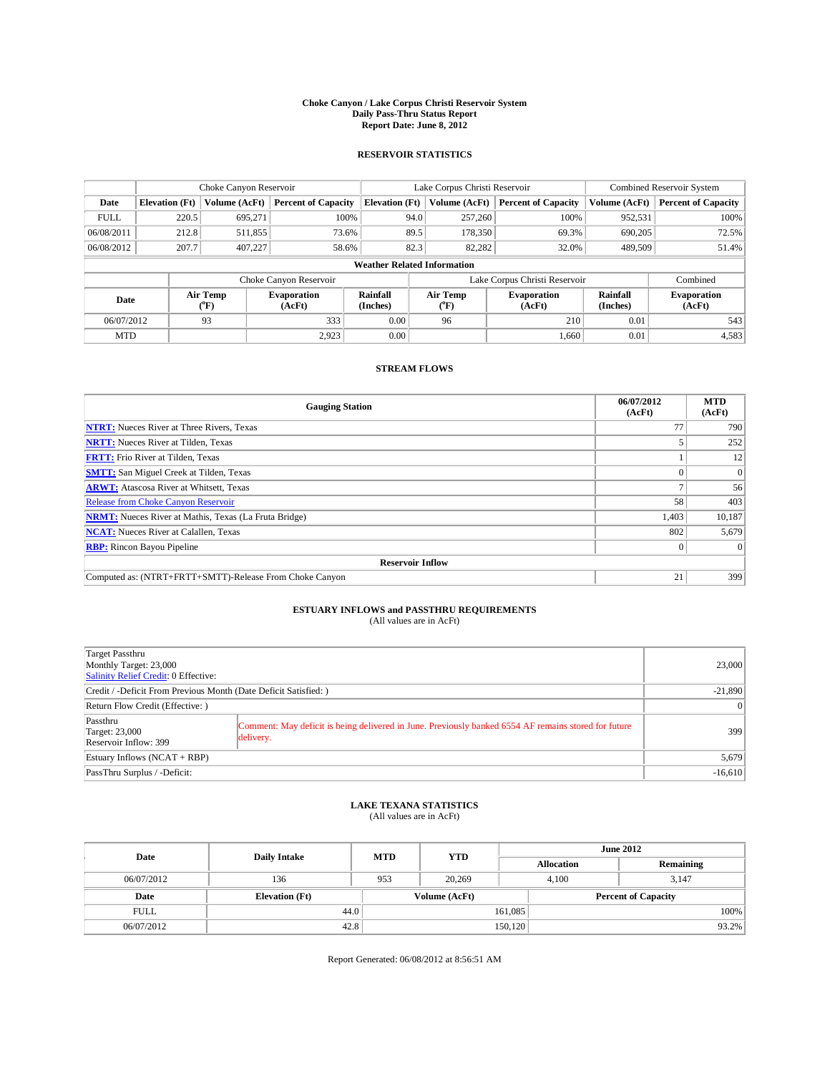### **Choke Canyon / Lake Corpus Christi Reservoir System Daily Pass-Thru Status Report Report Date: June 8, 2012**

### **RESERVOIR STATISTICS**

|             |                       | Choke Canyon Reservoir |                              |                       | Lake Corpus Christi Reservoir      | <b>Combined Reservoir System</b> |                      |                              |
|-------------|-----------------------|------------------------|------------------------------|-----------------------|------------------------------------|----------------------------------|----------------------|------------------------------|
| Date        | <b>Elevation</b> (Ft) | Volume (AcFt)          | <b>Percent of Capacity</b>   | <b>Elevation</b> (Ft) | Volume (AcFt)                      | <b>Percent of Capacity</b>       | Volume (AcFt)        | Percent of Capacity          |
| <b>FULL</b> | 220.5                 | 695,271                | 100%                         |                       | 257,260<br>94.0                    | 100%                             | 952,531              | 100%                         |
| 06/08/2011  | 212.8                 | 511,855                | 73.6%                        |                       | 89.5<br>178,350                    | 69.3%                            | 690,205              | 72.5%                        |
| 06/08/2012  | 207.7                 | 407.227                | 58.6%                        |                       | 82.3<br>82.282                     | 32.0%                            | 489,509              | 51.4%                        |
|             |                       |                        |                              |                       | <b>Weather Related Information</b> |                                  |                      |                              |
|             |                       |                        | Choke Canyon Reservoir       |                       |                                    | Lake Corpus Christi Reservoir    |                      | Combined                     |
| Date        |                       | Air Temp<br>("F)       | <b>Evaporation</b><br>(AcFt) | Rainfall<br>(Inches)  | Air Temp<br>("F)                   | <b>Evaporation</b><br>(AcFt)     | Rainfall<br>(Inches) | <b>Evaporation</b><br>(AcFt) |
| 06/07/2012  |                       | 93                     | 333                          | 0.00                  | 96                                 | 210                              | 0.01                 | 543                          |
| <b>MTD</b>  |                       |                        | 2.923                        | 0.00                  |                                    | 1.660                            | 0.01                 | 4,583                        |

### **STREAM FLOWS**

| <b>Gauging Station</b>                                       | 06/07/2012<br>(AcFt) | <b>MTD</b><br>(AcFt) |  |  |  |
|--------------------------------------------------------------|----------------------|----------------------|--|--|--|
| <b>NTRT:</b> Nueces River at Three Rivers, Texas             |                      | 790                  |  |  |  |
| <b>NRTT:</b> Nueces River at Tilden, Texas                   |                      | 252                  |  |  |  |
| <b>FRTT:</b> Frio River at Tilden, Texas                     |                      | 12                   |  |  |  |
| <b>SMTT:</b> San Miguel Creek at Tilden, Texas               |                      | $\Omega$             |  |  |  |
| <b>ARWT:</b> Atascosa River at Whitsett, Texas               |                      | 56                   |  |  |  |
| <b>Release from Choke Canyon Reservoir</b>                   | 58                   | 403                  |  |  |  |
| <b>NRMT:</b> Nueces River at Mathis, Texas (La Fruta Bridge) | 1,403                | 10,187               |  |  |  |
| <b>NCAT:</b> Nueces River at Calallen, Texas                 | 802                  | 5,679                |  |  |  |
| <b>RBP:</b> Rincon Bayou Pipeline                            | $\Omega$             | $\Omega$             |  |  |  |
| <b>Reservoir Inflow</b>                                      |                      |                      |  |  |  |
| Computed as: (NTRT+FRTT+SMTT)-Release From Choke Canyon      | 21                   | 399                  |  |  |  |

# **ESTUARY INFLOWS and PASSTHRU REQUIREMENTS**<br>(All values are in AcFt)

| Target Passthru                                                                                                                                                                 |           |
|---------------------------------------------------------------------------------------------------------------------------------------------------------------------------------|-----------|
| Monthly Target: 23,000<br>Salinity Relief Credit: 0 Effective:                                                                                                                  | 23,000    |
| Credit / -Deficit From Previous Month (Date Deficit Satisfied: )                                                                                                                | $-21,890$ |
| Return Flow Credit (Effective: )                                                                                                                                                | $\vert$ 0 |
| Passthru<br>Comment: May deficit is being delivered in June. Previously banked 6554 AF remains stored for future<br><b>Target: 23,000</b><br>delivery.<br>Reservoir Inflow: 399 | 399       |
| Estuary Inflows $(NCAT + RBP)$                                                                                                                                                  | 5,679     |
| PassThru Surplus / -Deficit:                                                                                                                                                    | $-16,610$ |

## **LAKE TEXANA STATISTICS** (All values are in AcFt)

| Date        | <b>Daily Intake</b>   | <b>MTD</b> | <b>YTD</b>    |                   |                            | <b>June 2012</b> |  |
|-------------|-----------------------|------------|---------------|-------------------|----------------------------|------------------|--|
|             |                       |            |               | <b>Allocation</b> |                            | Remaining        |  |
| 06/07/2012  | 136                   | 953        | 20,269        |                   | 4.100<br>3.147             |                  |  |
| Date        | <b>Elevation</b> (Ft) |            | Volume (AcFt) |                   | <b>Percent of Capacity</b> |                  |  |
| <b>FULL</b> | 44.0                  |            |               | 161,085           |                            | 100%             |  |
| 06/07/2012  | 42.8                  |            |               | 150, 120          |                            | 93.2%            |  |

Report Generated: 06/08/2012 at 8:56:51 AM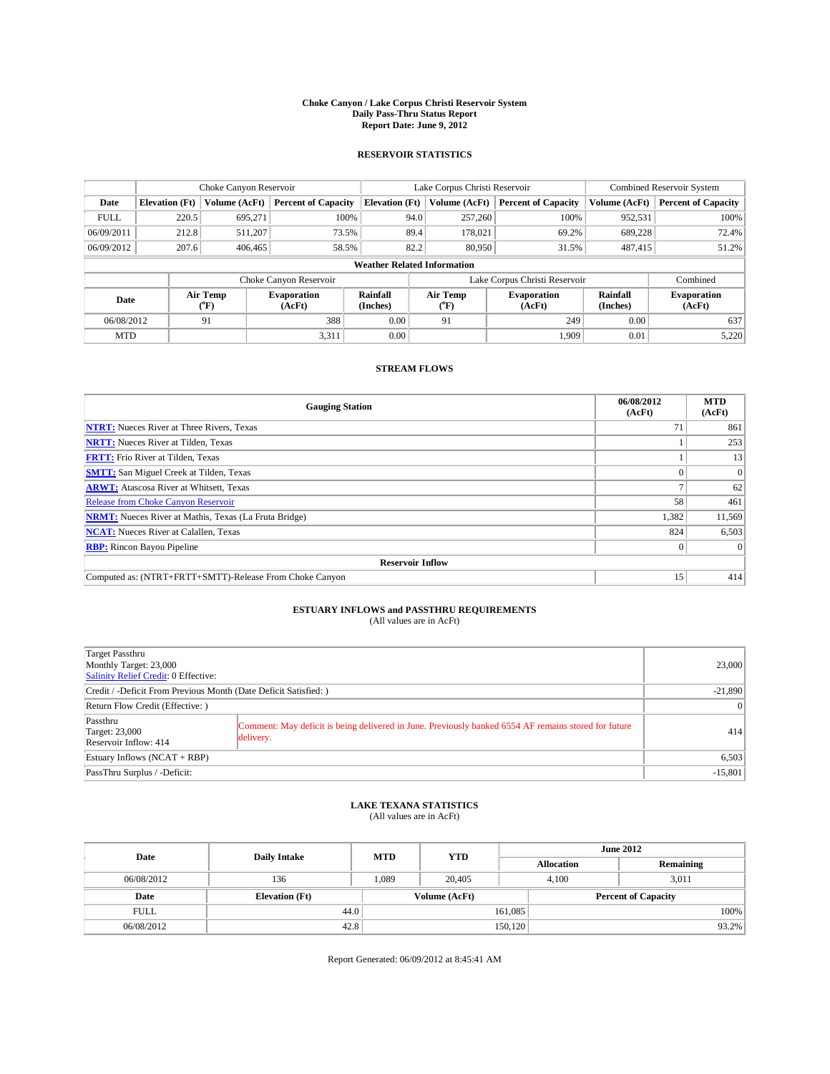### **Choke Canyon / Lake Corpus Christi Reservoir System Daily Pass-Thru Status Report Report Date: June 9, 2012**

### **RESERVOIR STATISTICS**

|             |                       | Choke Canyon Reservoir |                              |                                    | Lake Corpus Christi Reservoir                         | <b>Combined Reservoir System</b> |                      |                              |
|-------------|-----------------------|------------------------|------------------------------|------------------------------------|-------------------------------------------------------|----------------------------------|----------------------|------------------------------|
| Date        | <b>Elevation</b> (Ft) | Volume (AcFt)          | <b>Percent of Capacity</b>   | <b>Elevation (Ft)</b>              | Volume (AcFt)                                         | <b>Percent of Capacity</b>       | Volume (AcFt)        | <b>Percent of Capacity</b>   |
| <b>FULL</b> | 220.5                 | 695,271                | 100%                         | 94.0                               | 257,260                                               | 100%                             | 952,531              | 100%                         |
| 06/09/2011  | 212.8                 | 511,207                | 73.5%                        | 89.4                               | 178,021                                               | 69.2%                            | 689,228              | 72.4%                        |
| 06/09/2012  | 207.6                 | 406,465                | 58.5%                        | 82.2                               | 80,950                                                | 31.5%                            | 487.415              | 51.2%                        |
|             |                       |                        |                              | <b>Weather Related Information</b> |                                                       |                                  |                      |                              |
|             |                       |                        | Choke Canyon Reservoir       |                                    |                                                       | Lake Corpus Christi Reservoir    |                      | Combined                     |
| Date        |                       | Air Temp<br>(°F)       | <b>Evaporation</b><br>(AcFt) | Rainfall<br>(Inches)               | Air Temp<br><b>Evaporation</b><br>(AcFt)<br>$(^{0}F)$ |                                  | Rainfall<br>(Inches) | <b>Evaporation</b><br>(AcFt) |
| 06/08/2012  |                       | 91                     | 388                          | 0.00                               | 91                                                    | 249                              | 0.00                 | 637                          |
| <b>MTD</b>  |                       |                        | 3,311                        | 0.00                               |                                                       | 1,909                            | 0.01                 | 5,220                        |

### **STREAM FLOWS**

| <b>Gauging Station</b>                                       | 06/08/2012<br>(AcFt) | <b>MTD</b><br>(AcFt) |  |  |  |
|--------------------------------------------------------------|----------------------|----------------------|--|--|--|
| <b>NTRT:</b> Nueces River at Three Rivers, Texas             | 71                   | 861                  |  |  |  |
| <b>NRTT:</b> Nueces River at Tilden, Texas                   |                      | 253                  |  |  |  |
| <b>FRTT:</b> Frio River at Tilden, Texas                     |                      | 13                   |  |  |  |
| <b>SMTT:</b> San Miguel Creek at Tilden, Texas               |                      | $\Omega$             |  |  |  |
| <b>ARWT:</b> Atascosa River at Whitsett, Texas               |                      | 62                   |  |  |  |
| <b>Release from Choke Canyon Reservoir</b>                   | 58                   | 461                  |  |  |  |
| <b>NRMT:</b> Nueces River at Mathis, Texas (La Fruta Bridge) | 1,382                | 11,569               |  |  |  |
| <b>NCAT:</b> Nueces River at Calallen, Texas                 | 824                  | 6,503                |  |  |  |
| <b>RBP:</b> Rincon Bayou Pipeline                            | $\Omega$             | $\Omega$             |  |  |  |
| <b>Reservoir Inflow</b>                                      |                      |                      |  |  |  |
| Computed as: (NTRT+FRTT+SMTT)-Release From Choke Canyon      | 15                   | 414                  |  |  |  |

# **ESTUARY INFLOWS and PASSTHRU REQUIREMENTS**<br>(All values are in AcFt)

| Target Passthru<br>Monthly Target: 23,000<br>Salinity Relief Credit: 0 Effective: |                                                                                                                   | 23,000    |
|-----------------------------------------------------------------------------------|-------------------------------------------------------------------------------------------------------------------|-----------|
| Credit / -Deficit From Previous Month (Date Deficit Satisfied: )                  |                                                                                                                   | $-21,890$ |
| Return Flow Credit (Effective: )                                                  |                                                                                                                   | $\vert$ 0 |
| Passthru<br><b>Target: 23,000</b><br>Reservoir Inflow: 414                        | Comment: May deficit is being delivered in June. Previously banked 6554 AF remains stored for future<br>delivery. | 414       |
| Estuary Inflows $(NCAT + RBP)$                                                    |                                                                                                                   | 6,503     |
| PassThru Surplus / -Deficit:                                                      |                                                                                                                   | $-15,801$ |

## **LAKE TEXANA STATISTICS** (All values are in AcFt)

| Date        | <b>Daily Intake</b>   | <b>MTD</b> | <b>June 2012</b><br><b>YTD</b> |                   |                            |           |
|-------------|-----------------------|------------|--------------------------------|-------------------|----------------------------|-----------|
|             |                       |            |                                | <b>Allocation</b> |                            | Remaining |
| 06/08/2012  | 136                   | 1.089      | 20,405                         |                   | 3.011<br>4.100             |           |
| Date        | <b>Elevation</b> (Ft) |            | Volume (AcFt)                  |                   | <b>Percent of Capacity</b> |           |
| <b>FULL</b> | 44.0                  |            |                                | 161,085           |                            | 100%      |
| 06/08/2012  | 42.8                  |            |                                | 150, 120          |                            | 93.2%     |

Report Generated: 06/09/2012 at 8:45:41 AM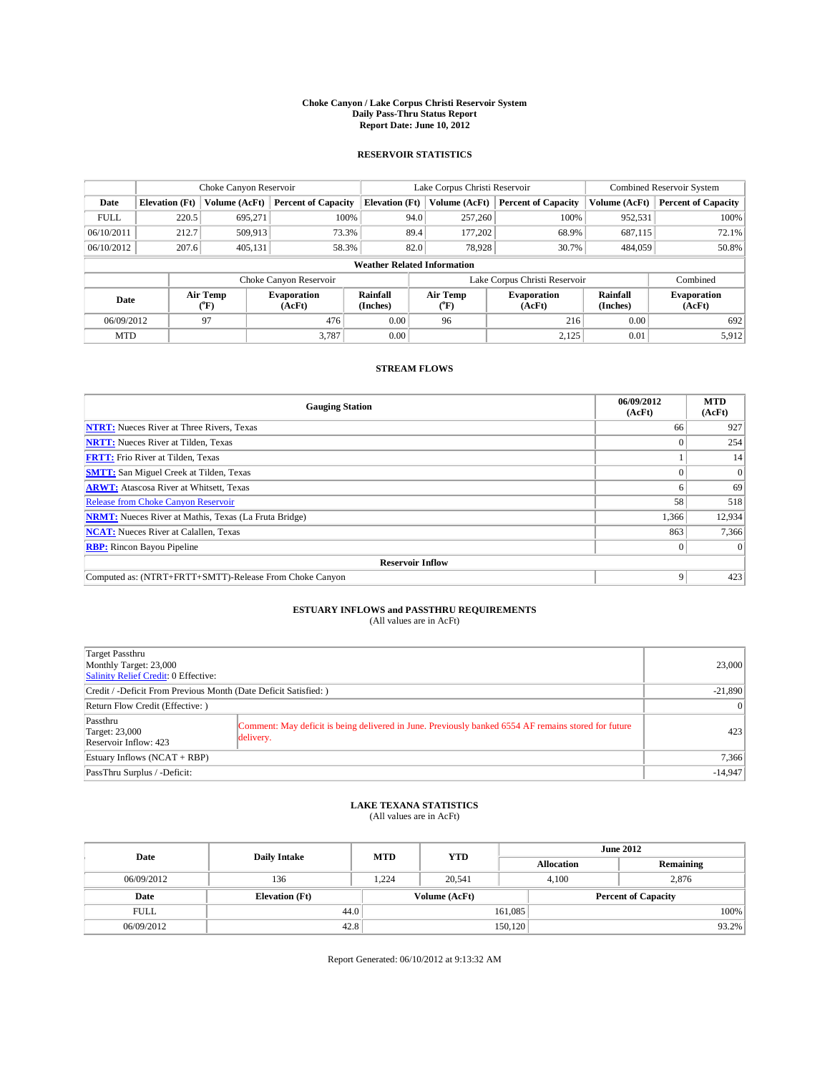### **Choke Canyon / Lake Corpus Christi Reservoir System Daily Pass-Thru Status Report Report Date: June 10, 2012**

### **RESERVOIR STATISTICS**

|             | Choke Canyon Reservoir             |                  |                              |                       |                               | Lake Corpus Christi Reservoir | <b>Combined Reservoir System</b> |                      |                              |  |
|-------------|------------------------------------|------------------|------------------------------|-----------------------|-------------------------------|-------------------------------|----------------------------------|----------------------|------------------------------|--|
| Date        | <b>Elevation</b> (Ft)              | Volume (AcFt)    | <b>Percent of Capacity</b>   | <b>Elevation</b> (Ft) |                               | Volume (AcFt)                 | <b>Percent of Capacity</b>       | Volume (AcFt)        | Percent of Capacity          |  |
| <b>FULL</b> | 220.5                              | 695,271          | 100%                         |                       | 94.0                          | 257,260                       | 100%                             | 952,531              | 100%                         |  |
| 06/10/2011  | 212.7                              | 509,913          | 73.3%                        |                       | 89.4                          | 177,202                       | 68.9%                            | 687,115              | 72.1%                        |  |
| 06/10/2012  | 207.6                              | 405,131          | 58.3%                        |                       | 82.0                          | 78,928                        | 30.7%                            | 484,059              | 50.8%                        |  |
|             | <b>Weather Related Information</b> |                  |                              |                       |                               |                               |                                  |                      |                              |  |
|             |                                    |                  | Choke Canyon Reservoir       |                       | Lake Corpus Christi Reservoir |                               |                                  |                      | Combined                     |  |
| Date        |                                    | Air Temp<br>("F) | <b>Evaporation</b><br>(AcFt) | Rainfall<br>(Inches)  |                               | Air Temp<br>("F)              | <b>Evaporation</b><br>(AcFt)     | Rainfall<br>(Inches) | <b>Evaporation</b><br>(AcFt) |  |
| 06/09/2012  |                                    | 97               | 476                          | 0.00                  |                               | 96                            | 216                              | 0.00                 | 692                          |  |
| <b>MTD</b>  |                                    |                  | 3.787                        | 0.00                  |                               |                               | 2,125                            | 0.01                 | 5.912                        |  |

### **STREAM FLOWS**

| <b>Gauging Station</b>                                       | 06/09/2012<br>(AcFt) | <b>MTD</b><br>(AcFt) |  |  |  |  |
|--------------------------------------------------------------|----------------------|----------------------|--|--|--|--|
| <b>NTRT:</b> Nueces River at Three Rivers, Texas             | 66                   | 927                  |  |  |  |  |
| <b>NRTT:</b> Nueces River at Tilden, Texas                   |                      | 254                  |  |  |  |  |
| <b>FRTT:</b> Frio River at Tilden, Texas                     |                      | 14                   |  |  |  |  |
| <b>SMTT:</b> San Miguel Creek at Tilden, Texas               |                      | $\Omega$             |  |  |  |  |
| <b>ARWT:</b> Atascosa River at Whitsett, Texas               |                      | 69                   |  |  |  |  |
| <b>Release from Choke Canyon Reservoir</b>                   | 58                   | 518                  |  |  |  |  |
| <b>NRMT:</b> Nueces River at Mathis, Texas (La Fruta Bridge) | 1,366                | 12,934               |  |  |  |  |
| 863<br><b>NCAT:</b> Nueces River at Calallen, Texas          |                      |                      |  |  |  |  |
| <b>RBP:</b> Rincon Bayou Pipeline                            | $\Omega$             | $\Omega$             |  |  |  |  |
| <b>Reservoir Inflow</b>                                      |                      |                      |  |  |  |  |
| Computed as: (NTRT+FRTT+SMTT)-Release From Choke Canyon      | 9                    | 423                  |  |  |  |  |

# **ESTUARY INFLOWS and PASSTHRU REQUIREMENTS**<br>(All values are in AcFt)

| Target Passthru<br>Monthly Target: 23,000<br>Salinity Relief Credit: 0 Effective:                                                                                               |       | 23,000    |  |  |  |
|---------------------------------------------------------------------------------------------------------------------------------------------------------------------------------|-------|-----------|--|--|--|
| Credit / -Deficit From Previous Month (Date Deficit Satisfied: )                                                                                                                |       |           |  |  |  |
| Return Flow Credit (Effective: )                                                                                                                                                |       |           |  |  |  |
| Passthru<br>Comment: May deficit is being delivered in June. Previously banked 6554 AF remains stored for future<br><b>Target: 23,000</b><br>delivery.<br>Reservoir Inflow: 423 |       | 423       |  |  |  |
| Estuary Inflows (NCAT + RBP)                                                                                                                                                    | 7,366 |           |  |  |  |
| PassThru Surplus / -Deficit:                                                                                                                                                    |       | $-14,947$ |  |  |  |

## **LAKE TEXANA STATISTICS** (All values are in AcFt)

| Date        | <b>Daily Intake</b>   | <b>MTD</b> | <b>YTD</b>    | <b>June 2012</b>  |                            |           |  |
|-------------|-----------------------|------------|---------------|-------------------|----------------------------|-----------|--|
|             |                       |            |               | <b>Allocation</b> |                            | Remaining |  |
| 06/09/2012  | 136                   | 1.224      | 20.541        |                   | 2.876<br>4.100             |           |  |
| Date        | <b>Elevation</b> (Ft) |            | Volume (AcFt) |                   | <b>Percent of Capacity</b> |           |  |
| <b>FULL</b> | 44.0                  |            |               | 161,085           |                            | 100%      |  |
| 06/09/2012  | 42.8                  |            |               | 150, 120          |                            | 93.2%     |  |

Report Generated: 06/10/2012 at 9:13:32 AM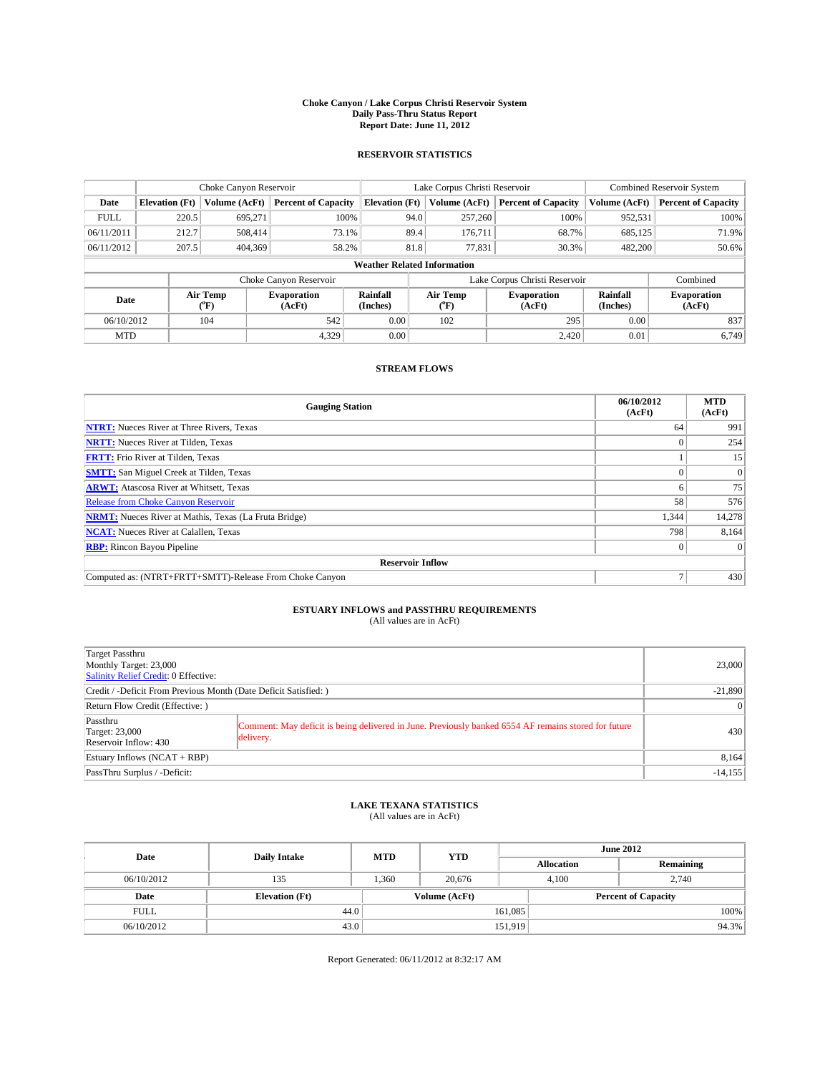### **Choke Canyon / Lake Corpus Christi Reservoir System Daily Pass-Thru Status Report Report Date: June 11, 2012**

### **RESERVOIR STATISTICS**

|             |                                    | Choke Canyon Reservoir |                              |                       | Lake Corpus Christi Reservoir | <b>Combined Reservoir System</b> |                      |                              |  |  |
|-------------|------------------------------------|------------------------|------------------------------|-----------------------|-------------------------------|----------------------------------|----------------------|------------------------------|--|--|
| Date        | <b>Elevation</b> (Ft)              | Volume (AcFt)          | <b>Percent of Capacity</b>   | <b>Elevation (Ft)</b> | Volume (AcFt)                 | <b>Percent of Capacity</b>       | Volume (AcFt)        | <b>Percent of Capacity</b>   |  |  |
| <b>FULL</b> | 220.5                              | 695,271                | 100%                         |                       | 94.0<br>257,260               | 100%                             | 952,531              | 100%                         |  |  |
| 06/11/2011  | 212.7                              | 508,414                | 73.1%                        |                       | 89.4<br>176,711               | 68.7%                            | 685,125              | 71.9%                        |  |  |
| 06/11/2012  | 207.5                              | 404,369                | 58.2%                        |                       | 81.8<br>77,831                | 30.3%                            | 482,200              | 50.6%                        |  |  |
|             | <b>Weather Related Information</b> |                        |                              |                       |                               |                                  |                      |                              |  |  |
|             |                                    |                        | Choke Canyon Reservoir       |                       |                               | Lake Corpus Christi Reservoir    |                      | Combined                     |  |  |
| Date        |                                    | Air Temp<br>(°F)       | <b>Evaporation</b><br>(AcFt) | Rainfall<br>(Inches)  | Air Temp<br>(°F)              | <b>Evaporation</b><br>(AcFt)     | Rainfall<br>(Inches) | <b>Evaporation</b><br>(AcFt) |  |  |
| 06/10/2012  |                                    | 104                    | 542                          | 0.00                  | 102                           | 295                              | 0.00                 | 837                          |  |  |
| <b>MTD</b>  |                                    |                        | 4,329                        | 0.00                  |                               | 2,420                            | 0.01                 | 6.749                        |  |  |

### **STREAM FLOWS**

| <b>Gauging Station</b>                                       | 06/10/2012<br>(AcFt) | <b>MTD</b><br>(AcFt) |  |  |  |  |
|--------------------------------------------------------------|----------------------|----------------------|--|--|--|--|
| <b>NTRT:</b> Nueces River at Three Rivers, Texas             | 64                   | 991                  |  |  |  |  |
| <b>NRTT:</b> Nueces River at Tilden, Texas                   |                      |                      |  |  |  |  |
| <b>FRTT:</b> Frio River at Tilden, Texas                     |                      | 15                   |  |  |  |  |
| <b>SMTT:</b> San Miguel Creek at Tilden, Texas               |                      | $\Omega$             |  |  |  |  |
| <b>ARWT:</b> Atascosa River at Whitsett, Texas               |                      | 75                   |  |  |  |  |
| <b>Release from Choke Canyon Reservoir</b>                   | 58                   | 576                  |  |  |  |  |
| <b>NRMT:</b> Nueces River at Mathis, Texas (La Fruta Bridge) | 1,344                | 14,278               |  |  |  |  |
| <b>NCAT:</b> Nueces River at Calallen, Texas                 | 798                  | 8,164                |  |  |  |  |
| <b>RBP:</b> Rincon Bayou Pipeline                            |                      |                      |  |  |  |  |
| <b>Reservoir Inflow</b>                                      |                      |                      |  |  |  |  |
| Computed as: (NTRT+FRTT+SMTT)-Release From Choke Canyon      |                      | 430                  |  |  |  |  |

# **ESTUARY INFLOWS and PASSTHRU REQUIREMENTS**<br>(All values are in AcFt)

| Target Passthru                                                                                                                                                                 |           |  |  |  |  |  |
|---------------------------------------------------------------------------------------------------------------------------------------------------------------------------------|-----------|--|--|--|--|--|
| Monthly Target: 23,000                                                                                                                                                          | 23,000    |  |  |  |  |  |
| Salinity Relief Credit: 0 Effective:                                                                                                                                            |           |  |  |  |  |  |
| Credit / -Deficit From Previous Month (Date Deficit Satisfied: )                                                                                                                |           |  |  |  |  |  |
| Return Flow Credit (Effective: )                                                                                                                                                |           |  |  |  |  |  |
| Passthru<br>Comment: May deficit is being delivered in June. Previously banked 6554 AF remains stored for future<br><b>Target: 23,000</b><br>delivery.<br>Reservoir Inflow: 430 | 430       |  |  |  |  |  |
| Estuary Inflows $(NCAT + RBP)$                                                                                                                                                  | 8,164     |  |  |  |  |  |
| PassThru Surplus / -Deficit:                                                                                                                                                    | $-14,155$ |  |  |  |  |  |

# **LAKE TEXANA STATISTICS** (All values are in AcFt)

| Date        | <b>Daily Intake</b>   | <b>MTD</b> | <b>YTD</b>    | <b>June 2012</b>  |                            |           |  |
|-------------|-----------------------|------------|---------------|-------------------|----------------------------|-----------|--|
|             |                       |            |               | <b>Allocation</b> |                            | Remaining |  |
| 06/10/2012  | 135                   | 1.360      | 20.676        |                   | 2.740<br>4.100             |           |  |
| Date        | <b>Elevation</b> (Ft) |            | Volume (AcFt) |                   | <b>Percent of Capacity</b> |           |  |
| <b>FULL</b> | 44.0                  |            |               | 161,085           |                            | 100%      |  |
| 06/10/2012  | 43.0                  |            |               | 151,919           |                            | 94.3%     |  |

Report Generated: 06/11/2012 at 8:32:17 AM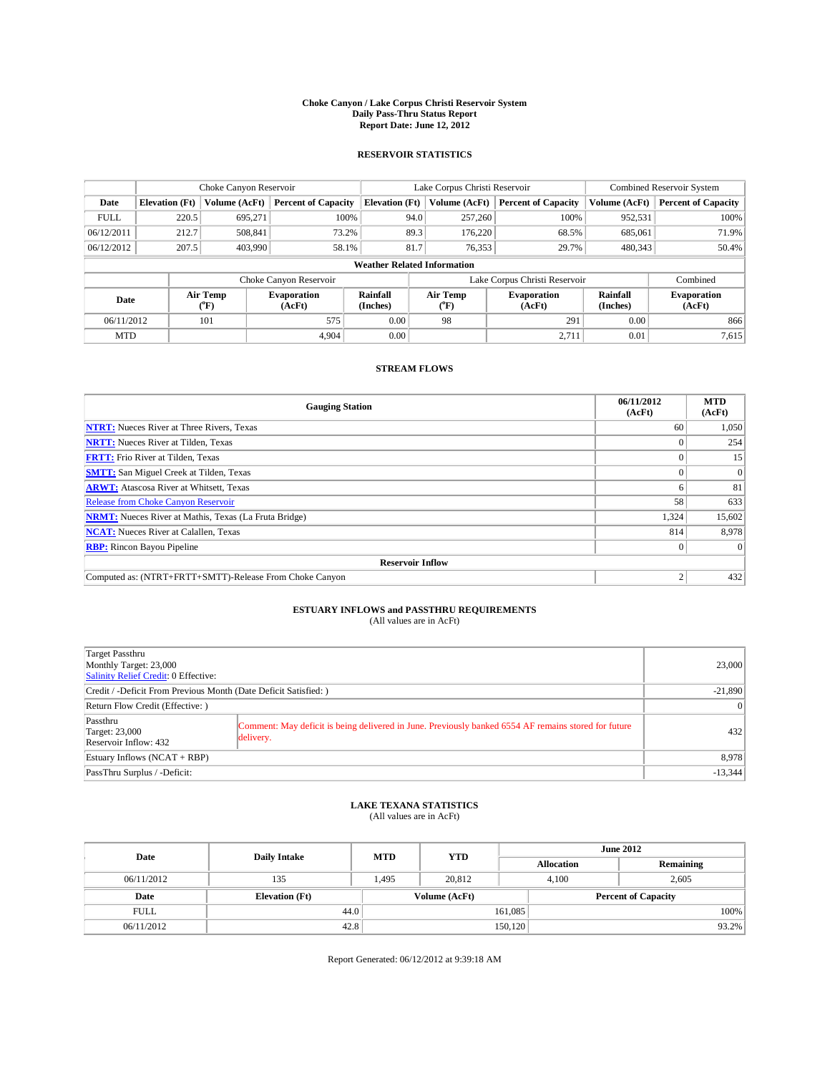### **Choke Canyon / Lake Corpus Christi Reservoir System Daily Pass-Thru Status Report Report Date: June 12, 2012**

### **RESERVOIR STATISTICS**

|             | Choke Canyon Reservoir             |                  |                              |                       |      | Lake Corpus Christi Reservoir | <b>Combined Reservoir System</b> |                      |                              |  |
|-------------|------------------------------------|------------------|------------------------------|-----------------------|------|-------------------------------|----------------------------------|----------------------|------------------------------|--|
| Date        | <b>Elevation</b> (Ft)              | Volume (AcFt)    | <b>Percent of Capacity</b>   | <b>Elevation</b> (Ft) |      | Volume (AcFt)                 | <b>Percent of Capacity</b>       | Volume (AcFt)        | Percent of Capacity          |  |
| <b>FULL</b> | 220.5                              | 695,271          | 100%                         |                       | 94.0 | 257,260                       | 100%                             | 952,531              | 100%                         |  |
| 06/12/2011  | 212.7                              | 508,841          | 73.2%                        |                       | 89.3 | 176,220                       | 68.5%                            | 685,061              | 71.9%                        |  |
| 06/12/2012  | 207.5                              | 403.990          | 58.1%                        |                       | 81.7 | 76.353                        | 29.7%                            | 480,343              | $50.4\%$                     |  |
|             | <b>Weather Related Information</b> |                  |                              |                       |      |                               |                                  |                      |                              |  |
|             |                                    |                  | Choke Canyon Reservoir       |                       |      |                               | Lake Corpus Christi Reservoir    |                      | Combined                     |  |
| Date        |                                    | Air Temp<br>("F) | <b>Evaporation</b><br>(AcFt) | Rainfall<br>(Inches)  |      | Air Temp<br>("F)              | <b>Evaporation</b><br>(AcFt)     | Rainfall<br>(Inches) | <b>Evaporation</b><br>(AcFt) |  |
| 06/11/2012  |                                    | 101              | 575                          | 0.00                  |      | 98                            | 291                              | 0.00                 | 866                          |  |
| <b>MTD</b>  |                                    |                  | 4.904                        | 0.00                  |      |                               | 2,711                            | 0.01                 | 7,615                        |  |

## **STREAM FLOWS**

| <b>Gauging Station</b>                                       | 06/11/2012<br>(AcFt) | <b>MTD</b><br>(AcFt) |  |  |  |  |
|--------------------------------------------------------------|----------------------|----------------------|--|--|--|--|
| <b>NTRT:</b> Nueces River at Three Rivers, Texas             | 60                   | 1,050                |  |  |  |  |
| <b>NRTT:</b> Nueces River at Tilden, Texas                   |                      | 254                  |  |  |  |  |
| <b>FRTT:</b> Frio River at Tilden, Texas                     |                      | 15                   |  |  |  |  |
| <b>SMTT:</b> San Miguel Creek at Tilden, Texas               |                      | $\Omega$             |  |  |  |  |
| <b>ARWT:</b> Atascosa River at Whitsett, Texas               |                      | 81                   |  |  |  |  |
| <b>Release from Choke Canyon Reservoir</b>                   | 58                   | 633                  |  |  |  |  |
| <b>NRMT:</b> Nueces River at Mathis, Texas (La Fruta Bridge) | 1,324                | 15,602               |  |  |  |  |
| <b>NCAT:</b> Nueces River at Calallen, Texas                 | 814                  | 8,978                |  |  |  |  |
| <b>RBP:</b> Rincon Bayou Pipeline                            | $\Omega$             | $\Omega$             |  |  |  |  |
| <b>Reservoir Inflow</b>                                      |                      |                      |  |  |  |  |
| Computed as: (NTRT+FRTT+SMTT)-Release From Choke Canyon      | h                    | 432                  |  |  |  |  |

# **ESTUARY INFLOWS and PASSTHRU REQUIREMENTS**<br>(All values are in AcFt)

| Target Passthru<br>Monthly Target: 23,000<br>Salinity Relief Credit: 0 Effective: |                                                                                                                   | 23,000    |  |  |
|-----------------------------------------------------------------------------------|-------------------------------------------------------------------------------------------------------------------|-----------|--|--|
| Credit / -Deficit From Previous Month (Date Deficit Satisfied: )                  | $-21,890$                                                                                                         |           |  |  |
| Return Flow Credit (Effective: )                                                  |                                                                                                                   |           |  |  |
| Passthru<br><b>Target: 23,000</b><br>Reservoir Inflow: 432                        | Comment: May deficit is being delivered in June. Previously banked 6554 AF remains stored for future<br>delivery. | 432       |  |  |
| Estuary Inflows $(NCAT + RBP)$                                                    | 8,978                                                                                                             |           |  |  |
| PassThru Surplus / -Deficit:                                                      |                                                                                                                   | $-13,344$ |  |  |

## **LAKE TEXANA STATISTICS** (All values are in AcFt)

| Date        | <b>Daily Intake</b>   | <b>MTD</b> | <b>YTD</b>    | <b>June 2012</b>  |                |                            |  |  |
|-------------|-----------------------|------------|---------------|-------------------|----------------|----------------------------|--|--|
|             |                       |            |               | <b>Allocation</b> |                | Remaining                  |  |  |
| 06/11/2012  | 135                   | 1.495      | 20.812        |                   | 2,605<br>4.100 |                            |  |  |
| Date        | <b>Elevation</b> (Ft) |            | Volume (AcFt) |                   |                | <b>Percent of Capacity</b> |  |  |
| <b>FULL</b> | 44.0                  |            |               | 161,085           |                | 100%                       |  |  |
| 06/11/2012  | 42.8                  |            |               | 150, 120          |                | 93.2%                      |  |  |

Report Generated: 06/12/2012 at 9:39:18 AM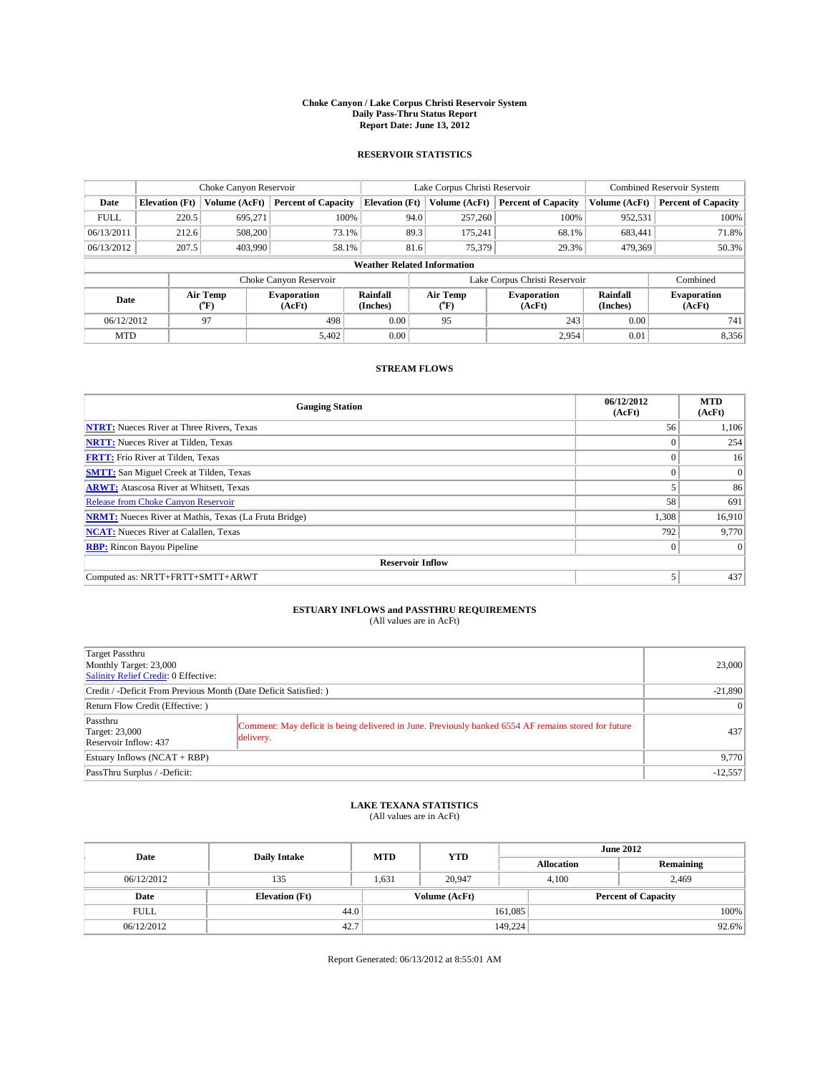### **Choke Canyon / Lake Corpus Christi Reservoir System Daily Pass-Thru Status Report Report Date: June 13, 2012**

### **RESERVOIR STATISTICS**

|                                    |                       | Choke Canyon Reservoir |                              |                       | Lake Corpus Christi Reservoir | <b>Combined Reservoir System</b> |               |                              |
|------------------------------------|-----------------------|------------------------|------------------------------|-----------------------|-------------------------------|----------------------------------|---------------|------------------------------|
| Date                               | <b>Elevation</b> (Ft) | Volume (AcFt)          | <b>Percent of Capacity</b>   | <b>Elevation (Ft)</b> | Volume (AcFt)                 | <b>Percent of Capacity</b>       | Volume (AcFt) | <b>Percent of Capacity</b>   |
| <b>FULL</b>                        | 220.5                 | 695,271                | 100%                         | 94.0                  | 257,260                       | 100%                             | 952,531       | 100%                         |
| 06/13/2011                         | 212.6                 | 508,200                | 73.1%                        | 89.3                  | 175,241                       | 68.1%                            | 683,441       | 71.8%                        |
| 06/13/2012                         | 207.5                 | 403,990                | 58.1%                        | 81.6                  | 75,379                        | 29.3%                            | 479,369       | 50.3%                        |
| <b>Weather Related Information</b> |                       |                        |                              |                       |                               |                                  |               |                              |
|                                    |                       |                        | Choke Canyon Reservoir       |                       |                               | Lake Corpus Christi Reservoir    |               | Combined                     |
| Date                               |                       | Air Temp<br>(°F)       | <b>Evaporation</b><br>(AcFt) | Rainfall<br>(Inches)  | Air Temp<br>(°F)              | <b>Evaporation</b><br>(AcFt)     |               | <b>Evaporation</b><br>(AcFt) |
| 06/12/2012                         |                       | 97                     | 498                          | 0.00                  | 95                            | 243                              | 0.00          | 741                          |
| <b>MTD</b>                         |                       |                        | 5,402                        | 0.00                  |                               | 2,954                            | 0.01          | 8,356                        |

## **STREAM FLOWS**

| <b>Gauging Station</b>                                       | 06/12/2012<br>(AcFt) | <b>MTD</b><br>(AcFt) |  |  |  |  |
|--------------------------------------------------------------|----------------------|----------------------|--|--|--|--|
| <b>NTRT:</b> Nueces River at Three Rivers, Texas             | 56                   | 1,106                |  |  |  |  |
| <b>NRTT:</b> Nueces River at Tilden, Texas                   | $\theta$             | 254                  |  |  |  |  |
| <b>FRTT:</b> Frio River at Tilden, Texas                     |                      | 16                   |  |  |  |  |
| <b>SMTT:</b> San Miguel Creek at Tilden, Texas               |                      | $\overline{0}$       |  |  |  |  |
| <b>ARWT:</b> Atascosa River at Whitsett, Texas               |                      | 86                   |  |  |  |  |
| Release from Choke Canyon Reservoir                          | 58                   | 691                  |  |  |  |  |
| <b>NRMT:</b> Nueces River at Mathis, Texas (La Fruta Bridge) | 1,308                | 16,910               |  |  |  |  |
| <b>NCAT:</b> Nueces River at Calallen, Texas                 | 792                  | 9,770                |  |  |  |  |
| <b>RBP:</b> Rincon Bayou Pipeline                            | $\mathbf{0}$         | $\Omega$             |  |  |  |  |
| <b>Reservoir Inflow</b>                                      |                      |                      |  |  |  |  |
| Computed as: NRTT+FRTT+SMTT+ARWT                             | 5                    | 437                  |  |  |  |  |

# **ESTUARY INFLOWS and PASSTHRU REQUIREMENTS**<br>(All values are in AcFt)

| Target Passthru                                                                                                                                                                 |           |  |  |  |  |
|---------------------------------------------------------------------------------------------------------------------------------------------------------------------------------|-----------|--|--|--|--|
| Monthly Target: 23,000                                                                                                                                                          |           |  |  |  |  |
| Salinity Relief Credit: 0 Effective:                                                                                                                                            |           |  |  |  |  |
| Credit / -Deficit From Previous Month (Date Deficit Satisfied: )                                                                                                                |           |  |  |  |  |
| Return Flow Credit (Effective: )                                                                                                                                                |           |  |  |  |  |
| Passthru<br>Comment: May deficit is being delivered in June. Previously banked 6554 AF remains stored for future<br><b>Target: 23,000</b><br>delivery.<br>Reservoir Inflow: 437 | 437       |  |  |  |  |
| Estuary Inflows $(NCAT + RBP)$                                                                                                                                                  | 9,770     |  |  |  |  |
| PassThru Surplus / -Deficit:                                                                                                                                                    | $-12,557$ |  |  |  |  |

## **LAKE TEXANA STATISTICS** (All values are in AcFt)

| Date        | <b>Daily Intake</b>   | <b>MTD</b> | <b>YTD</b>    | <b>June 2012</b>  |                            |           |  |
|-------------|-----------------------|------------|---------------|-------------------|----------------------------|-----------|--|
|             |                       |            |               | <b>Allocation</b> |                            | Remaining |  |
| 06/12/2012  | 135                   | 1.631      | 20,947        |                   | 2,469<br>4.100             |           |  |
| Date        | <b>Elevation</b> (Ft) |            | Volume (AcFt) |                   | <b>Percent of Capacity</b> |           |  |
| <b>FULL</b> | 44.0                  |            |               | 161,085           |                            | 100%      |  |
| 06/12/2012  | 42.7                  |            |               | 149,224           |                            | 92.6%     |  |

Report Generated: 06/13/2012 at 8:55:01 AM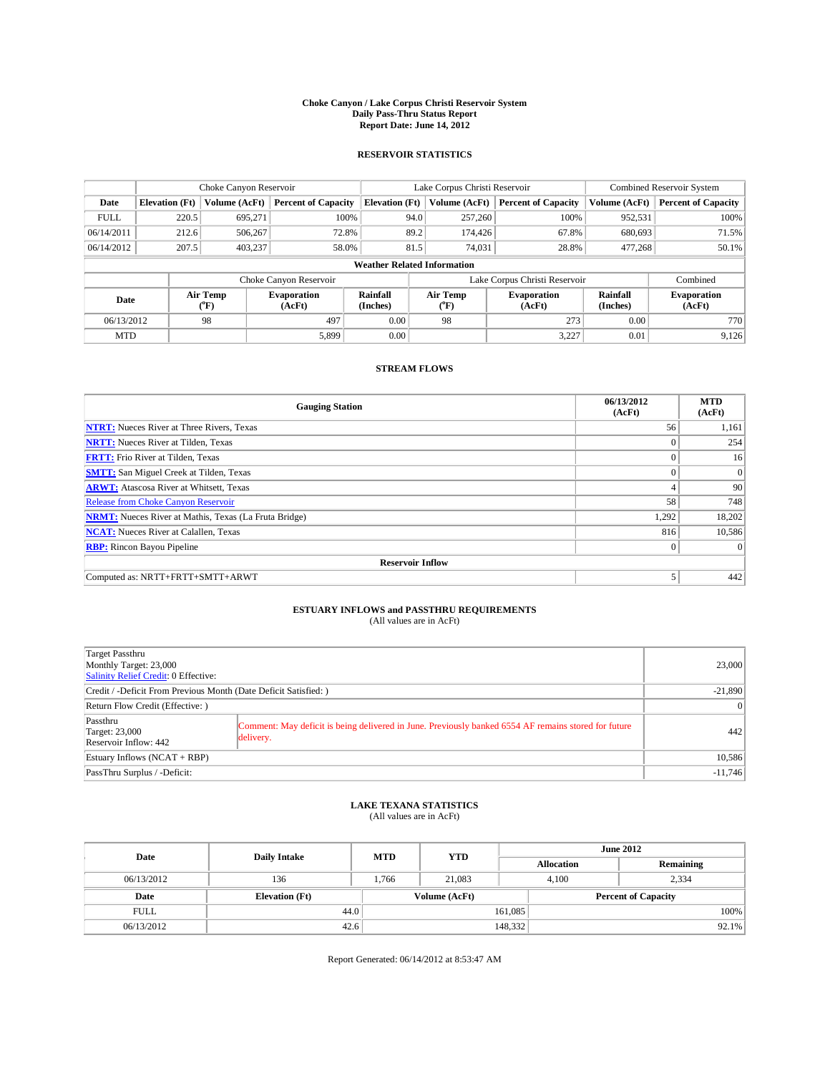### **Choke Canyon / Lake Corpus Christi Reservoir System Daily Pass-Thru Status Report Report Date: June 14, 2012**

### **RESERVOIR STATISTICS**

|                                    | Choke Canyon Reservoir |                  |                              |                       | Lake Corpus Christi Reservoir |                  |                               |                      | <b>Combined Reservoir System</b> |  |  |
|------------------------------------|------------------------|------------------|------------------------------|-----------------------|-------------------------------|------------------|-------------------------------|----------------------|----------------------------------|--|--|
| Date                               | <b>Elevation</b> (Ft)  | Volume (AcFt)    | <b>Percent of Capacity</b>   | <b>Elevation</b> (Ft) |                               | Volume (AcFt)    | <b>Percent of Capacity</b>    | Volume (AcFt)        | Percent of Capacity              |  |  |
| <b>FULL</b>                        | 220.5                  | 695,271          | 100%                         |                       | 94.0                          | 257,260          | 100%                          | 952,531              | 100%                             |  |  |
| 06/14/2011                         | 212.6                  | 506,267          | 72.8%                        |                       | 89.2                          | 174,426          | 67.8%                         | 680,693              | 71.5%                            |  |  |
| 06/14/2012                         | 207.5                  | 403,237          | 58.0%                        |                       | 81.5                          | 74,031           | 28.8%                         | 477.268              | $50.1\%$                         |  |  |
| <b>Weather Related Information</b> |                        |                  |                              |                       |                               |                  |                               |                      |                                  |  |  |
|                                    |                        |                  | Choke Canyon Reservoir       |                       |                               |                  | Lake Corpus Christi Reservoir |                      | Combined                         |  |  |
| Date                               |                        | Air Temp<br>("F) | <b>Evaporation</b><br>(AcFt) | Rainfall<br>(Inches)  |                               | Air Temp<br>("F) | <b>Evaporation</b><br>(AcFt)  | Rainfall<br>(Inches) | <b>Evaporation</b><br>(AcFt)     |  |  |
| 06/13/2012                         |                        | 98               | 497                          | 0.00                  |                               | 98               | 273                           | 0.00                 | 770                              |  |  |
| <b>MTD</b>                         |                        |                  | 5.899                        | 0.00                  |                               |                  | 3,227                         | 0.01                 | 9,126                            |  |  |

## **STREAM FLOWS**

| <b>Gauging Station</b>                                       | 06/13/2012<br>(AcFt) | <b>MTD</b><br>(AcFt) |  |  |  |  |
|--------------------------------------------------------------|----------------------|----------------------|--|--|--|--|
| <b>NTRT:</b> Nueces River at Three Rivers, Texas             | 56                   | 1,161                |  |  |  |  |
| <b>NRTT:</b> Nueces River at Tilden, Texas                   | $\theta$             | 254                  |  |  |  |  |
| <b>FRTT:</b> Frio River at Tilden, Texas                     |                      | 16                   |  |  |  |  |
| <b>SMTT:</b> San Miguel Creek at Tilden, Texas               | $\theta$             | $\overline{0}$       |  |  |  |  |
| <b>ARWT:</b> Atascosa River at Whitsett, Texas               | 4                    | 90                   |  |  |  |  |
| <b>Release from Choke Canyon Reservoir</b>                   | 58                   | 748                  |  |  |  |  |
| <b>NRMT:</b> Nueces River at Mathis, Texas (La Fruta Bridge) | 1,292                | 18,202               |  |  |  |  |
| <b>NCAT:</b> Nueces River at Calallen, Texas                 | 816                  | 10,586               |  |  |  |  |
| <b>RBP:</b> Rincon Bayou Pipeline                            | $\mathbf{0}$         | $\Omega$             |  |  |  |  |
| <b>Reservoir Inflow</b>                                      |                      |                      |  |  |  |  |
| Computed as: NRTT+FRTT+SMTT+ARWT                             | 5                    | 442                  |  |  |  |  |

# **ESTUARY INFLOWS and PASSTHRU REQUIREMENTS**<br>(All values are in AcFt)

| Target Passthru                                                                                                                           |           |  |  |  |  |  |
|-------------------------------------------------------------------------------------------------------------------------------------------|-----------|--|--|--|--|--|
| Monthly Target: 23,000                                                                                                                    |           |  |  |  |  |  |
| Salinity Relief Credit: 0 Effective:                                                                                                      |           |  |  |  |  |  |
| Credit / -Deficit From Previous Month (Date Deficit Satisfied: )                                                                          |           |  |  |  |  |  |
| Return Flow Credit (Effective: )                                                                                                          |           |  |  |  |  |  |
| Passthru<br>Comment: May deficit is being delivered in June. Previously banked 6554 AF remains stored for future<br><b>Target: 23,000</b> | 442       |  |  |  |  |  |
| delivery.<br>Reservoir Inflow: 442                                                                                                        |           |  |  |  |  |  |
| Estuary Inflows (NCAT + RBP)                                                                                                              |           |  |  |  |  |  |
| PassThru Surplus / -Deficit:                                                                                                              | $-11,746$ |  |  |  |  |  |

## **LAKE TEXANA STATISTICS** (All values are in AcFt)

| Date        | <b>Daily Intake</b>   | <b>MTD</b> | <b>YTD</b>    | <b>June 2012</b>  |                            |           |          |
|-------------|-----------------------|------------|---------------|-------------------|----------------------------|-----------|----------|
|             |                       |            |               | <b>Allocation</b> |                            | Remaining |          |
| 06/13/2012  | 136                   | 1.766      | 21.083        |                   | 2.334<br>4.100             |           |          |
| Date        | <b>Elevation</b> (Ft) |            | Volume (AcFt) |                   | <b>Percent of Capacity</b> |           |          |
| <b>FULL</b> | 44.0                  |            |               | 161,085           |                            |           | 100%     |
| 06/13/2012  | 42.6                  |            |               | 148,332           |                            |           | $92.1\%$ |

Report Generated: 06/14/2012 at 8:53:47 AM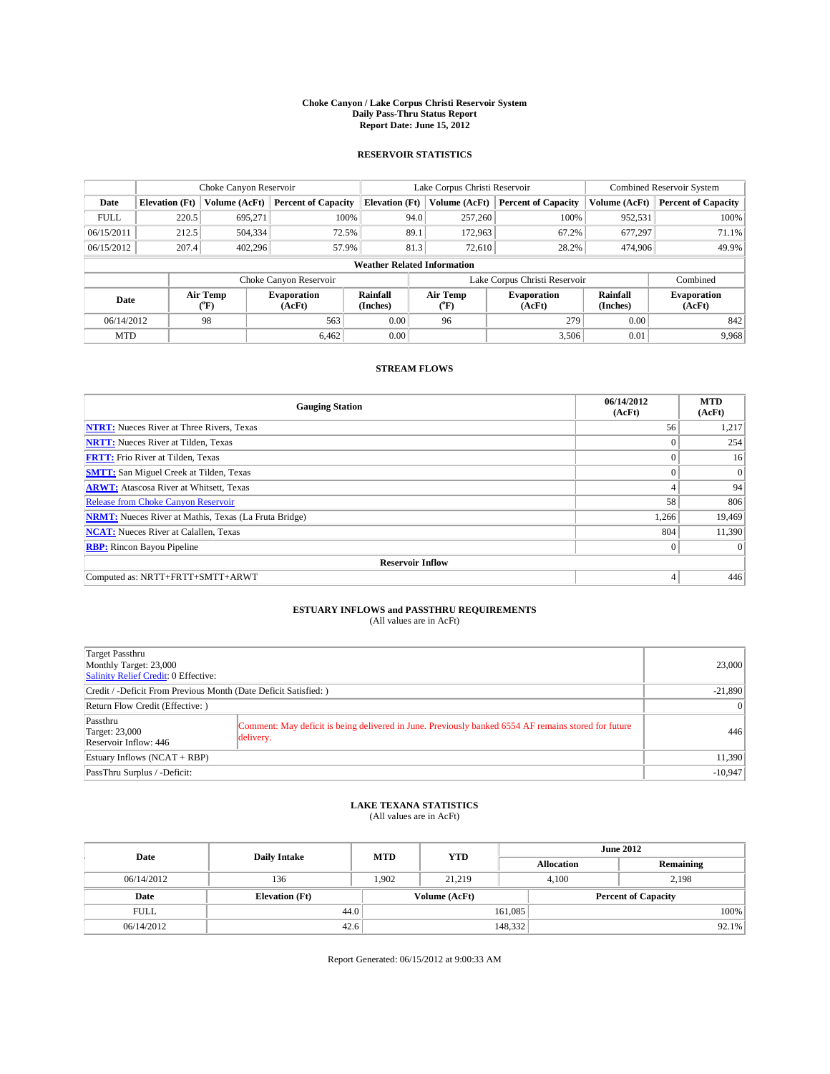### **Choke Canyon / Lake Corpus Christi Reservoir System Daily Pass-Thru Status Report Report Date: June 15, 2012**

### **RESERVOIR STATISTICS**

|                                    | Choke Canyon Reservoir |                  |                            |                       | Lake Corpus Christi Reservoir |                  |                               |                      | <b>Combined Reservoir System</b> |  |  |
|------------------------------------|------------------------|------------------|----------------------------|-----------------------|-------------------------------|------------------|-------------------------------|----------------------|----------------------------------|--|--|
| Date                               | <b>Elevation</b> (Ft)  | Volume (AcFt)    | <b>Percent of Capacity</b> | <b>Elevation</b> (Ft) |                               | Volume (AcFt)    | <b>Percent of Capacity</b>    | Volume (AcFt)        | Percent of Capacity              |  |  |
| <b>FULL</b>                        | 220.5                  | 695,271          | 100%                       |                       | 94.0                          | 257,260          | 100%                          | 952,531              | 100%                             |  |  |
| 06/15/2011                         | 212.5                  | 504,334          | 72.5%                      |                       | 89.1                          | 172,963          | 67.2%                         | 677,297              | 71.1%                            |  |  |
| 06/15/2012                         | 207.4                  | 402,296          | 57.9%                      |                       | 81.3                          | 72.610           | 28.2%                         | 474,906              | 49.9%                            |  |  |
| <b>Weather Related Information</b> |                        |                  |                            |                       |                               |                  |                               |                      |                                  |  |  |
|                                    |                        |                  | Choke Canyon Reservoir     |                       |                               |                  | Lake Corpus Christi Reservoir |                      | Combined                         |  |  |
| Date                               |                        | Air Temp<br>("F) | Evaporation<br>(AcFt)      | Rainfall<br>(Inches)  |                               | Air Temp<br>("F) | <b>Evaporation</b><br>(AcFt)  | Rainfall<br>(Inches) | <b>Evaporation</b><br>(AcFt)     |  |  |
| 06/14/2012                         |                        | 98               | 563                        | 0.00                  |                               | 279<br>96        |                               | 0.00                 | 842                              |  |  |
| <b>MTD</b>                         |                        |                  | 6.462                      | 0.00                  |                               |                  | 3,506                         | 0.01                 | 9.968                            |  |  |

## **STREAM FLOWS**

| <b>Gauging Station</b>                                       | 06/14/2012<br>(AcFt) | <b>MTD</b><br>(AcFt) |  |  |  |  |  |
|--------------------------------------------------------------|----------------------|----------------------|--|--|--|--|--|
| <b>NTRT:</b> Nueces River at Three Rivers, Texas             | 56                   | 1,217                |  |  |  |  |  |
| <b>NRTT:</b> Nueces River at Tilden, Texas                   | $\theta$             | 254                  |  |  |  |  |  |
| <b>FRTT:</b> Frio River at Tilden, Texas                     |                      | 16                   |  |  |  |  |  |
| <b>SMTT:</b> San Miguel Creek at Tilden, Texas               | $\theta$             | $\overline{0}$       |  |  |  |  |  |
| <b>ARWT:</b> Atascosa River at Whitsett, Texas               | 4                    | 94                   |  |  |  |  |  |
| <b>Release from Choke Canyon Reservoir</b>                   | 58                   | 806                  |  |  |  |  |  |
| <b>NRMT:</b> Nueces River at Mathis, Texas (La Fruta Bridge) | 1,266                | 19,469               |  |  |  |  |  |
| <b>NCAT:</b> Nueces River at Calallen, Texas                 | 804                  | 11,390               |  |  |  |  |  |
| <b>RBP:</b> Rincon Bayou Pipeline                            | $\mathbf{0}$         | $\Omega$             |  |  |  |  |  |
| <b>Reservoir Inflow</b>                                      |                      |                      |  |  |  |  |  |
| Computed as: NRTT+FRTT+SMTT+ARWT                             | $\overline{4}$       | 446                  |  |  |  |  |  |

# **ESTUARY INFLOWS and PASSTHRU REQUIREMENTS**<br>(All values are in AcFt)

| Target Passthru                                                                                                                                                                 |           |  |  |  |  |
|---------------------------------------------------------------------------------------------------------------------------------------------------------------------------------|-----------|--|--|--|--|
| Monthly Target: 23,000                                                                                                                                                          | 23,000    |  |  |  |  |
| Salinity Relief Credit: 0 Effective:                                                                                                                                            |           |  |  |  |  |
| Credit / -Deficit From Previous Month (Date Deficit Satisfied: )                                                                                                                |           |  |  |  |  |
| Return Flow Credit (Effective: )                                                                                                                                                |           |  |  |  |  |
| Passthru<br>Comment: May deficit is being delivered in June. Previously banked 6554 AF remains stored for future<br><b>Target: 23,000</b><br>delivery.<br>Reservoir Inflow: 446 | 446       |  |  |  |  |
| Estuary Inflows $(NCAT + RBP)$                                                                                                                                                  | 11,390    |  |  |  |  |
| PassThru Surplus / -Deficit:                                                                                                                                                    | $-10,947$ |  |  |  |  |

## **LAKE TEXANA STATISTICS** (All values are in AcFt)

| Date        | <b>Daily Intake</b>   | <b>MTD</b> | <b>YTD</b>    | <b>June 2012</b>  |                            |           |  |
|-------------|-----------------------|------------|---------------|-------------------|----------------------------|-----------|--|
|             |                       |            |               | <b>Allocation</b> |                            | Remaining |  |
| 06/14/2012  | 136                   | 1,902      | 21.219        |                   | 2,198<br>4,100             |           |  |
| Date        | <b>Elevation</b> (Ft) |            | Volume (AcFt) |                   | <b>Percent of Capacity</b> |           |  |
| <b>FULL</b> | 44.0                  |            |               | 161,085           |                            | 100%      |  |
| 06/14/2012  | 42.6                  |            |               | 148,332           |                            | 92.1%     |  |

Report Generated: 06/15/2012 at 9:00:33 AM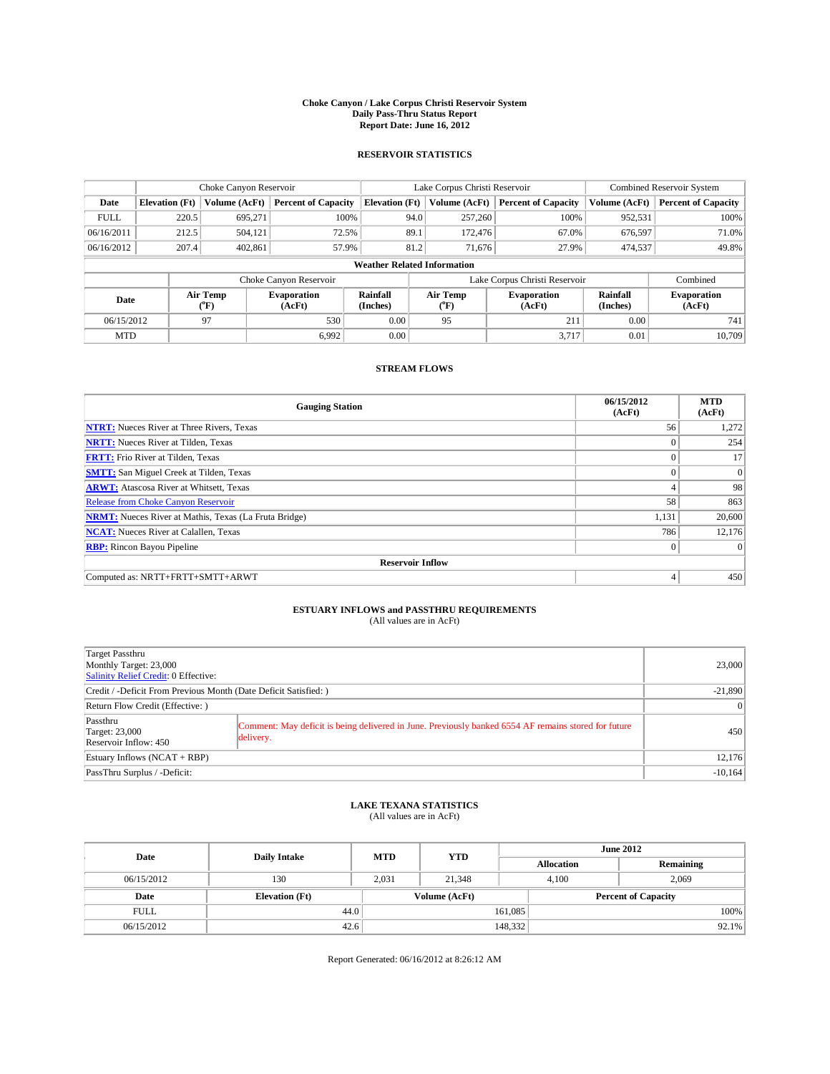### **Choke Canyon / Lake Corpus Christi Reservoir System Daily Pass-Thru Status Report Report Date: June 16, 2012**

### **RESERVOIR STATISTICS**

|             | Choke Canyon Reservoir |                  |                            |                                    | Lake Corpus Christi Reservoir |                  |                               |                      | <b>Combined Reservoir System</b> |  |  |
|-------------|------------------------|------------------|----------------------------|------------------------------------|-------------------------------|------------------|-------------------------------|----------------------|----------------------------------|--|--|
| Date        | <b>Elevation</b> (Ft)  | Volume (AcFt)    | <b>Percent of Capacity</b> | <b>Elevation</b> (Ft)              |                               | Volume (AcFt)    | <b>Percent of Capacity</b>    | Volume (AcFt)        | Percent of Capacity              |  |  |
| <b>FULL</b> | 220.5                  | 695,271          | 100%                       |                                    | 94.0                          | 257,260          | 100%                          | 952,531              | 100%                             |  |  |
| 06/16/2011  | 212.5                  | 504,121          | 72.5%                      |                                    | 89.1                          | 172,476          | 67.0%                         | 676,597              | 71.0%                            |  |  |
| 06/16/2012  | 207.4                  | 402,861          | 57.9%                      |                                    | 81.2                          | 71.676           | 27.9%                         | 474,537              | 49.8%                            |  |  |
|             |                        |                  |                            | <b>Weather Related Information</b> |                               |                  |                               |                      |                                  |  |  |
|             |                        |                  | Choke Canyon Reservoir     |                                    |                               |                  | Lake Corpus Christi Reservoir |                      | Combined                         |  |  |
| Date        |                        | Air Temp<br>("F) | Evaporation<br>(AcFt)      | Rainfall<br>(Inches)               |                               | Air Temp<br>("F) | <b>Evaporation</b><br>(AcFt)  | Rainfall<br>(Inches) | <b>Evaporation</b><br>(AcFt)     |  |  |
| 06/15/2012  |                        | 97               | 530                        | 0.00                               |                               | 95               | 211                           | 0.00                 | 741                              |  |  |
| <b>MTD</b>  |                        |                  | 6.992                      | 0.00                               |                               |                  | 3.717                         | 0.01                 | 10.709                           |  |  |

## **STREAM FLOWS**

| <b>Gauging Station</b>                                       | 06/15/2012<br>(AcFt) | <b>MTD</b><br>(AcFt) |  |  |  |  |  |
|--------------------------------------------------------------|----------------------|----------------------|--|--|--|--|--|
| <b>NTRT:</b> Nueces River at Three Rivers, Texas             | 56                   | 1,272                |  |  |  |  |  |
| <b>NRTT:</b> Nueces River at Tilden, Texas                   | $\theta$             | 254                  |  |  |  |  |  |
| <b>FRTT:</b> Frio River at Tilden, Texas                     |                      | 17                   |  |  |  |  |  |
| <b>SMTT:</b> San Miguel Creek at Tilden, Texas               | $\theta$             | $\overline{0}$       |  |  |  |  |  |
| <b>ARWT:</b> Atascosa River at Whitsett, Texas               | 4                    | 98                   |  |  |  |  |  |
| Release from Choke Canyon Reservoir                          | 58                   | 863                  |  |  |  |  |  |
| <b>NRMT:</b> Nueces River at Mathis, Texas (La Fruta Bridge) | 1,131                | 20,600               |  |  |  |  |  |
| <b>NCAT:</b> Nueces River at Calallen, Texas                 | 786                  | 12,176               |  |  |  |  |  |
| <b>RBP:</b> Rincon Bayou Pipeline                            | $\mathbf{0}$         | $\Omega$             |  |  |  |  |  |
| <b>Reservoir Inflow</b>                                      |                      |                      |  |  |  |  |  |
| Computed as: NRTT+FRTT+SMTT+ARWT                             | 4                    | 450                  |  |  |  |  |  |

# **ESTUARY INFLOWS and PASSTHRU REQUIREMENTS**<br>(All values are in AcFt)

| Target Passthru                                                  |                                                                                                                   |           |  |  |  |
|------------------------------------------------------------------|-------------------------------------------------------------------------------------------------------------------|-----------|--|--|--|
| Monthly Target: 23,000<br>Salinity Relief Credit: 0 Effective:   |                                                                                                                   | 23,000    |  |  |  |
| Credit / -Deficit From Previous Month (Date Deficit Satisfied: ) |                                                                                                                   |           |  |  |  |
| Return Flow Credit (Effective: )                                 |                                                                                                                   |           |  |  |  |
| Passthru<br>Target: 23,000<br>Reservoir Inflow: 450              | Comment: May deficit is being delivered in June. Previously banked 6554 AF remains stored for future<br>delivery. | 450       |  |  |  |
| Estuary Inflows $(NCAT + RBP)$                                   | 12,176                                                                                                            |           |  |  |  |
| PassThru Surplus / -Deficit:                                     |                                                                                                                   | $-10,164$ |  |  |  |

## **LAKE TEXANA STATISTICS** (All values are in AcFt)

| Date        | <b>Daily Intake</b>   | <b>MTD</b>    | <b>YTD</b> | <b>June 2012</b>  |                            |           |  |
|-------------|-----------------------|---------------|------------|-------------------|----------------------------|-----------|--|
|             |                       |               |            | <b>Allocation</b> |                            | Remaining |  |
| 06/15/2012  | 130                   | 2,031         | 21.348     |                   | 4,100                      | 2,069     |  |
| Date        | <b>Elevation</b> (Ft) | Volume (AcFt) |            |                   | <b>Percent of Capacity</b> |           |  |
| <b>FULL</b> | 44.0                  |               |            | 161,085           |                            | 100%      |  |
| 06/15/2012  | 42.6                  |               |            | 148,332           |                            | 92.1%     |  |

Report Generated: 06/16/2012 at 8:26:12 AM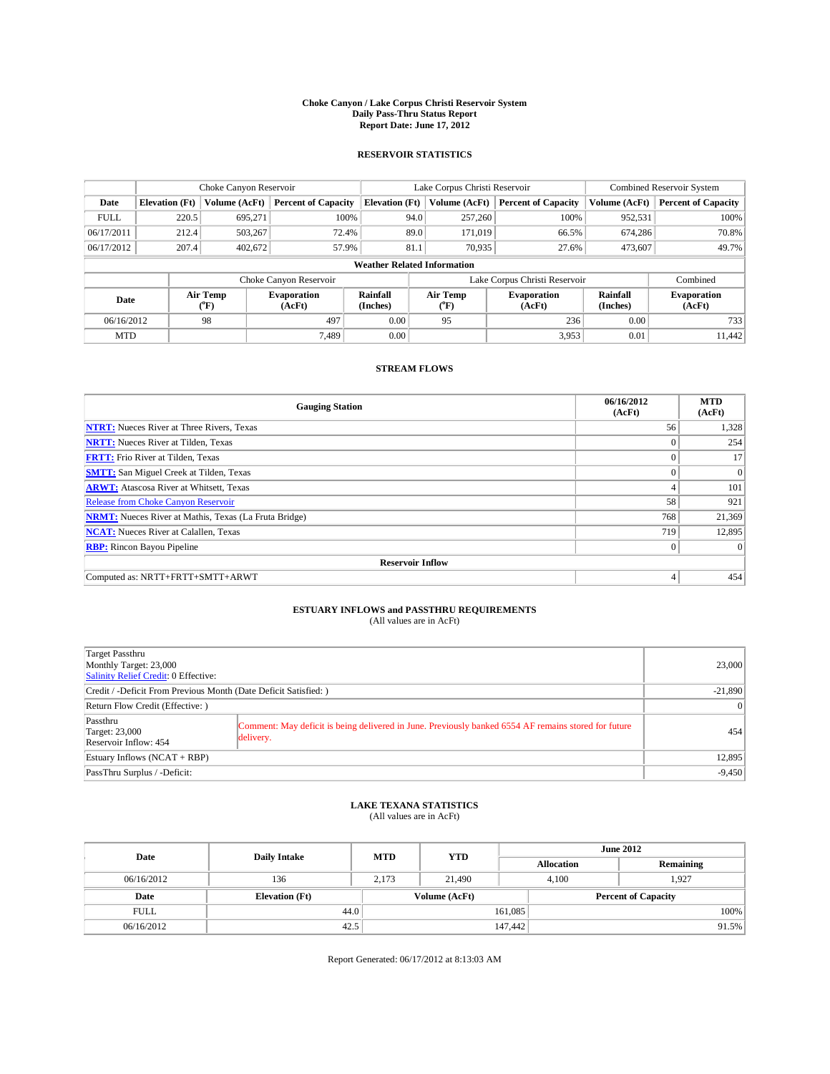### **Choke Canyon / Lake Corpus Christi Reservoir System Daily Pass-Thru Status Report Report Date: June 17, 2012**

### **RESERVOIR STATISTICS**

|             | Choke Canyon Reservoir                                                                               |               |                              |                                    | Lake Corpus Christi Reservoir |               |                               |               | Combined Reservoir System  |  |  |
|-------------|------------------------------------------------------------------------------------------------------|---------------|------------------------------|------------------------------------|-------------------------------|---------------|-------------------------------|---------------|----------------------------|--|--|
| Date        | <b>Elevation</b> (Ft)                                                                                | Volume (AcFt) | <b>Percent of Capacity</b>   | <b>Elevation</b> (Ft)              |                               | Volume (AcFt) | <b>Percent of Capacity</b>    | Volume (AcFt) | <b>Percent of Capacity</b> |  |  |
| <b>FULL</b> | 220.5                                                                                                | 695,271       | 100%                         |                                    | 94.0                          | 257,260       | 100%                          | 952,531       | 100%                       |  |  |
| 06/17/2011  | 212.4                                                                                                | 503,267       | 72.4%                        |                                    | 89.0                          | 171,019       | 66.5%                         | 674,286       | 70.8%                      |  |  |
| 06/17/2012  | 207.4                                                                                                | 402,672       | 57.9%                        |                                    | 81.1                          | 70.935        | 27.6%                         | 473,607       | 49.7%                      |  |  |
|             |                                                                                                      |               |                              | <b>Weather Related Information</b> |                               |               |                               |               |                            |  |  |
|             |                                                                                                      |               | Choke Canyon Reservoir       |                                    |                               |               | Lake Corpus Christi Reservoir |               | Combined                   |  |  |
|             | Air Temp<br>Air Temp<br>Rainfall<br><b>Evaporation</b><br>Date<br>(Inches)<br>(AcFt)<br>(°F)<br>("F) |               | <b>Evaporation</b><br>(AcFt) | Rainfall<br>(Inches)               | <b>Evaporation</b><br>(AcFt)  |               |                               |               |                            |  |  |
| 06/16/2012  |                                                                                                      | 98            | 497                          | 0.00                               |                               | 95            | 236                           | 0.00          | 733                        |  |  |
| <b>MTD</b>  |                                                                                                      |               | 7.489                        | 0.00                               |                               |               | 3,953                         | 0.01          | 11.442                     |  |  |

### **STREAM FLOWS**

| <b>Gauging Station</b>                                       | 06/16/2012<br>(AcFt) | <b>MTD</b><br>(AcFt) |  |  |  |  |  |
|--------------------------------------------------------------|----------------------|----------------------|--|--|--|--|--|
| <b>NTRT:</b> Nueces River at Three Rivers, Texas             | 56                   | 1,328                |  |  |  |  |  |
| <b>NRTT:</b> Nueces River at Tilden, Texas                   | $\theta$             | 254                  |  |  |  |  |  |
| <b>FRTT:</b> Frio River at Tilden, Texas                     |                      | 17                   |  |  |  |  |  |
| <b>SMTT:</b> San Miguel Creek at Tilden, Texas               | $\theta$             | $\overline{0}$       |  |  |  |  |  |
| <b>ARWT:</b> Atascosa River at Whitsett, Texas               | 4                    | 101                  |  |  |  |  |  |
| <b>Release from Choke Canyon Reservoir</b>                   | 58                   | 921                  |  |  |  |  |  |
| <b>NRMT:</b> Nueces River at Mathis, Texas (La Fruta Bridge) | 768                  | 21,369               |  |  |  |  |  |
| <b>NCAT:</b> Nueces River at Calallen, Texas                 | 719                  | 12,895               |  |  |  |  |  |
| <b>RBP:</b> Rincon Bayou Pipeline                            | $\mathbf{0}$         | $\Omega$             |  |  |  |  |  |
| <b>Reservoir Inflow</b>                                      |                      |                      |  |  |  |  |  |
| Computed as: NRTT+FRTT+SMTT+ARWT                             | 4                    | 454                  |  |  |  |  |  |

# **ESTUARY INFLOWS and PASSTHRU REQUIREMENTS**<br>(All values are in AcFt)

| Target Passthru                                                                                                                                                          |           |  |  |  |
|--------------------------------------------------------------------------------------------------------------------------------------------------------------------------|-----------|--|--|--|
| Monthly Target: 23,000                                                                                                                                                   | 23,000    |  |  |  |
| Salinity Relief Credit: 0 Effective:                                                                                                                                     |           |  |  |  |
| Credit / -Deficit From Previous Month (Date Deficit Satisfied: )                                                                                                         | $-21,890$ |  |  |  |
| Return Flow Credit (Effective: )                                                                                                                                         |           |  |  |  |
| Passthru<br>Comment: May deficit is being delivered in June. Previously banked 6554 AF remains stored for future<br>Target: 23,000<br>delivery.<br>Reservoir Inflow: 454 | 454       |  |  |  |
| Estuary Inflows (NCAT + RBP)                                                                                                                                             | 12,895    |  |  |  |
| PassThru Surplus / -Deficit:                                                                                                                                             | $-9,450$  |  |  |  |

## **LAKE TEXANA STATISTICS** (All values are in AcFt)

| Date        | <b>Daily Intake</b>   | <b>MTD</b> | <b>YTD</b>    | <b>June 2012</b>           |                |           |  |
|-------------|-----------------------|------------|---------------|----------------------------|----------------|-----------|--|
|             |                       |            |               | <b>Allocation</b>          |                | Remaining |  |
| 06/16/2012  | 136                   | 2.173      | 21,490        |                            | 1.927<br>4.100 |           |  |
| Date        | <b>Elevation</b> (Ft) |            | Volume (AcFt) | <b>Percent of Capacity</b> |                |           |  |
| <b>FULL</b> | 44.0                  |            |               | 161,085                    |                | 100%      |  |
| 06/16/2012  | 42.5                  |            |               | 147,442                    |                | 91.5%     |  |

Report Generated: 06/17/2012 at 8:13:03 AM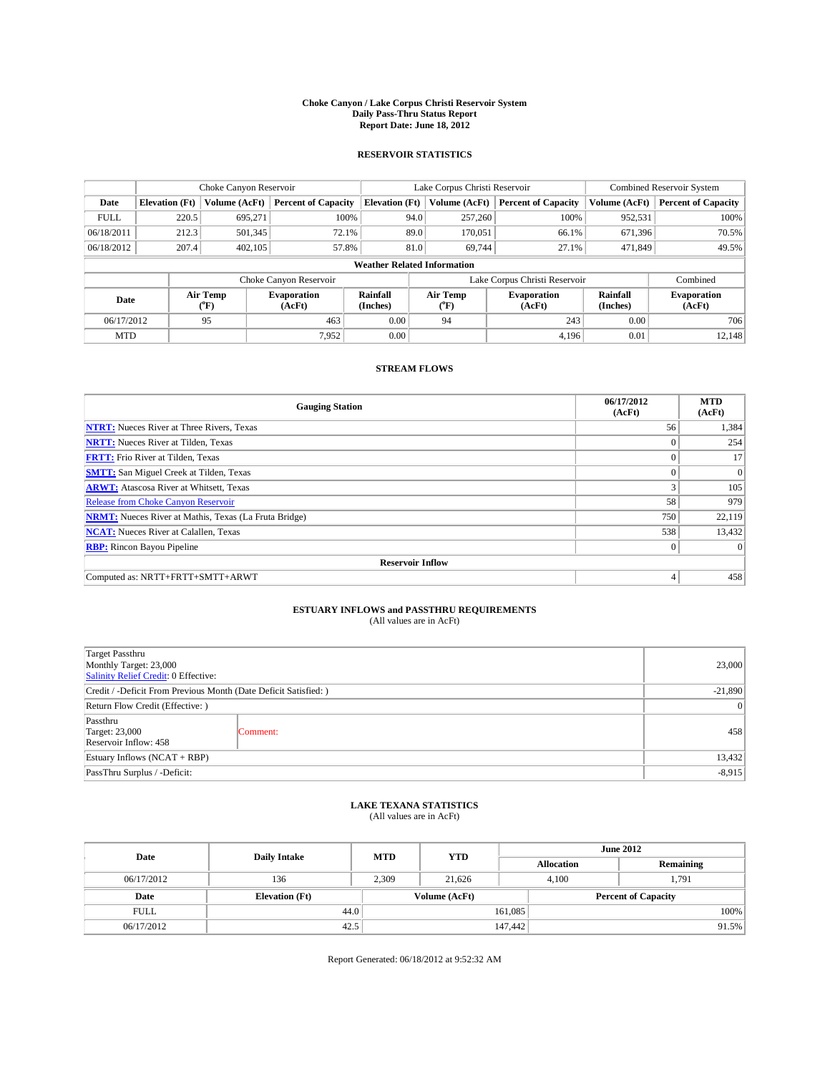### **Choke Canyon / Lake Corpus Christi Reservoir System Daily Pass-Thru Status Report Report Date: June 18, 2012**

### **RESERVOIR STATISTICS**

|             | Choke Canyon Reservoir |                  |                            |                                    | Lake Corpus Christi Reservoir |                  |                               |               | <b>Combined Reservoir System</b> |  |  |
|-------------|------------------------|------------------|----------------------------|------------------------------------|-------------------------------|------------------|-------------------------------|---------------|----------------------------------|--|--|
| Date        | <b>Elevation</b> (Ft)  | Volume (AcFt)    | <b>Percent of Capacity</b> | <b>Elevation</b> (Ft)              |                               | Volume (AcFt)    | <b>Percent of Capacity</b>    | Volume (AcFt) | Percent of Capacity              |  |  |
| <b>FULL</b> | 220.5                  | 695,271          | 100%                       |                                    | 94.0                          | 257,260          | 100%                          | 952,531       | 100%                             |  |  |
| 06/18/2011  | 212.3                  | 501,345          | 72.1%                      |                                    | 89.0                          | 170,051          | 66.1%                         | 671,396       | 70.5%                            |  |  |
| 06/18/2012  | 207.4                  | 402,105          | 57.8%                      |                                    | 81.0                          | 69.744           | 27.1%                         | 471,849       | 49.5%                            |  |  |
|             |                        |                  |                            | <b>Weather Related Information</b> |                               |                  |                               |               |                                  |  |  |
|             |                        |                  | Choke Canyon Reservoir     |                                    |                               |                  | Lake Corpus Christi Reservoir |               | Combined                         |  |  |
| Date        |                        | Air Temp<br>("F) | Evaporation<br>(AcFt)      | Rainfall<br>(Inches)               |                               | Air Temp<br>("F) | <b>Evaporation</b><br>(AcFt)  |               | <b>Evaporation</b><br>(AcFt)     |  |  |
| 06/17/2012  |                        | 95               | 463                        | 0.00                               |                               | 94               | 243                           | 0.00          | 706                              |  |  |
| <b>MTD</b>  |                        |                  | 7.952                      | 0.00                               |                               |                  | 4.196                         | 0.01          | 12,148                           |  |  |

## **STREAM FLOWS**

| <b>Gauging Station</b>                                       | 06/17/2012<br>(AcFt) | <b>MTD</b><br>(AcFt) |  |  |  |  |  |
|--------------------------------------------------------------|----------------------|----------------------|--|--|--|--|--|
| <b>NTRT:</b> Nueces River at Three Rivers, Texas             | 56                   | 1,384                |  |  |  |  |  |
| <b>NRTT:</b> Nueces River at Tilden, Texas                   |                      | 254                  |  |  |  |  |  |
| <b>FRTT:</b> Frio River at Tilden, Texas                     |                      | 17                   |  |  |  |  |  |
| <b>SMTT:</b> San Miguel Creek at Tilden, Texas               |                      | $\Omega$             |  |  |  |  |  |
| <b>ARWT:</b> Atascosa River at Whitsett, Texas               | 3                    | 105                  |  |  |  |  |  |
| Release from Choke Canyon Reservoir                          | 58                   | 979                  |  |  |  |  |  |
| <b>NRMT:</b> Nueces River at Mathis, Texas (La Fruta Bridge) | 750                  | 22,119               |  |  |  |  |  |
| <b>NCAT:</b> Nueces River at Calallen, Texas                 | 538                  | 13,432               |  |  |  |  |  |
| <b>RBP:</b> Rincon Bayou Pipeline                            | $\mathbf{0}$         | $\Omega$             |  |  |  |  |  |
| <b>Reservoir Inflow</b>                                      |                      |                      |  |  |  |  |  |
| Computed as: NRTT+FRTT+SMTT+ARWT                             | 4                    | 458                  |  |  |  |  |  |

# **ESTUARY INFLOWS and PASSTHRU REQUIREMENTS**<br>(All values are in AcFt)

| Target Passthru<br>Monthly Target: 23,000<br>Salinity Relief Credit: 0 Effective: | 23,000    |     |  |  |
|-----------------------------------------------------------------------------------|-----------|-----|--|--|
| Credit / -Deficit From Previous Month (Date Deficit Satisfied: )                  | $-21,890$ |     |  |  |
| Return Flow Credit (Effective: )                                                  | $\vert$ 0 |     |  |  |
| Passthru<br>Target: 23,000<br>Reservoir Inflow: 458                               | Comment:  | 458 |  |  |
| Estuary Inflows $(NCAT + RBP)$                                                    |           |     |  |  |
| PassThru Surplus / -Deficit:                                                      | $-8,915$  |     |  |  |

## **LAKE TEXANA STATISTICS** (All values are in AcFt)

| Date        | <b>Daily Intake</b>   | <b>MTD</b> | <b>YTD</b>    | <b>June 2012</b>  |                            |           |  |
|-------------|-----------------------|------------|---------------|-------------------|----------------------------|-----------|--|
|             |                       |            |               | <b>Allocation</b> |                            | Remaining |  |
| 06/17/2012  | 136                   | 2,309      | 21,626        |                   | 4,100<br>1,791             |           |  |
| Date        | <b>Elevation</b> (Ft) |            | Volume (AcFt) |                   | <b>Percent of Capacity</b> |           |  |
| <b>FULL</b> | 44.0                  |            |               | 161,085           |                            | 100%      |  |
| 06/17/2012  | 42.5                  |            |               | 147,442           |                            | 91.5%     |  |

Report Generated: 06/18/2012 at 9:52:32 AM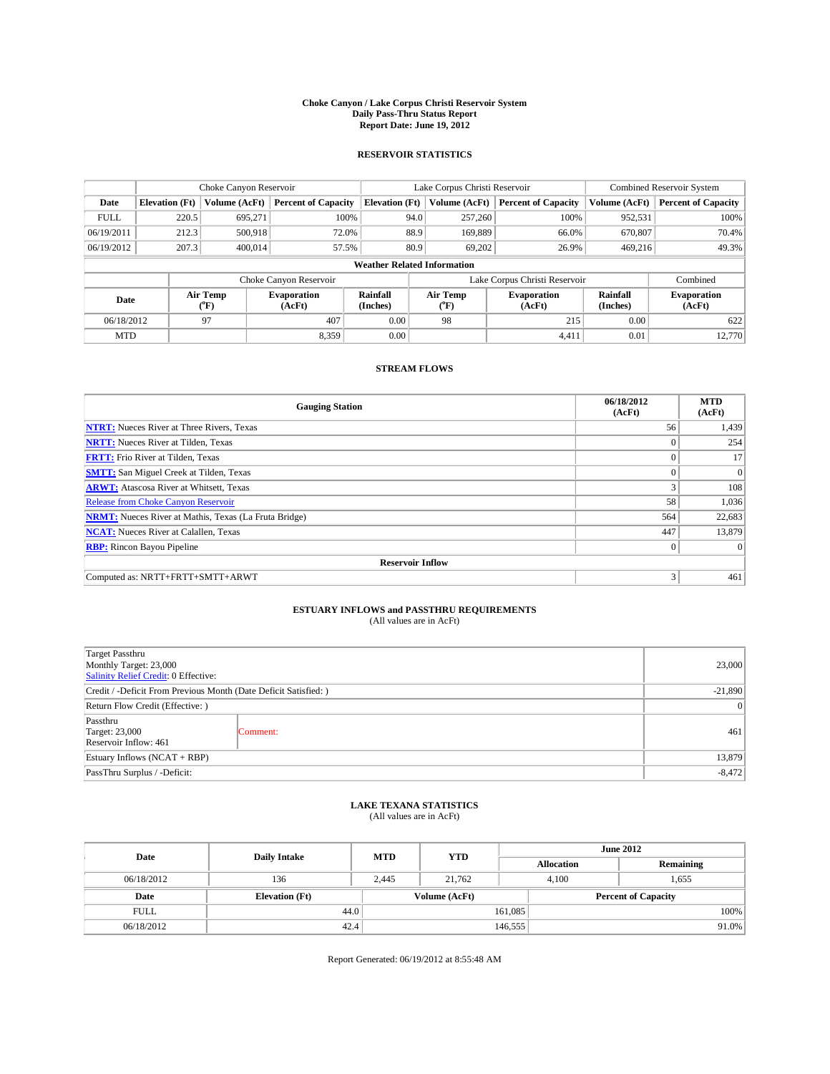### **Choke Canyon / Lake Corpus Christi Reservoir System Daily Pass-Thru Status Report Report Date: June 19, 2012**

### **RESERVOIR STATISTICS**

|                                                   | Choke Canyon Reservoir             |                      |                            |                       | Lake Corpus Christi Reservoir |                      |                               |               | <b>Combined Reservoir System</b> |  |  |
|---------------------------------------------------|------------------------------------|----------------------|----------------------------|-----------------------|-------------------------------|----------------------|-------------------------------|---------------|----------------------------------|--|--|
| Date                                              | <b>Elevation</b> (Ft)              | Volume (AcFt)        | <b>Percent of Capacity</b> | <b>Elevation</b> (Ft) |                               | Volume (AcFt)        | <b>Percent of Capacity</b>    | Volume (AcFt) | Percent of Capacity              |  |  |
| <b>FULL</b>                                       | 220.5                              | 695,271              | 100%                       |                       | 94.0                          | 257,260              | 100%                          | 952,531       | 100%                             |  |  |
| 06/19/2011                                        | 212.3                              | 500,918              | 72.0%                      |                       | 88.9                          | 169,889              | 66.0%                         | 670,807       | 70.4%                            |  |  |
| 06/19/2012                                        | 207.3                              | 400.014              | 57.5%                      |                       | 80.9                          | 69.202               | 26.9%                         | 469,216       | 49.3%                            |  |  |
|                                                   | <b>Weather Related Information</b> |                      |                            |                       |                               |                      |                               |               |                                  |  |  |
|                                                   |                                    |                      | Choke Canyon Reservoir     |                       |                               |                      | Lake Corpus Christi Reservoir |               | Combined                         |  |  |
| Air Temp<br>Evaporation<br>Date<br>(AcFt)<br>("F) |                                    | Rainfall<br>(Inches) |                            | Air Temp<br>("F)      | <b>Evaporation</b><br>(AcFt)  | Rainfall<br>(Inches) | <b>Evaporation</b><br>(AcFt)  |               |                                  |  |  |
| 06/18/2012                                        |                                    | 97                   | 407                        | 0.00                  | 98<br>215                     |                      | 0.00                          | 622           |                                  |  |  |
| <b>MTD</b>                                        |                                    |                      | 8,359                      | 0.00                  |                               |                      | 4.411                         | 0.01          | 12.770                           |  |  |

## **STREAM FLOWS**

| <b>Gauging Station</b>                                       | 06/18/2012<br>(AcFt) | <b>MTD</b><br>(AcFt) |
|--------------------------------------------------------------|----------------------|----------------------|
| <b>NTRT:</b> Nueces River at Three Rivers, Texas             | 56                   | 1,439                |
| <b>NRTT:</b> Nueces River at Tilden, Texas                   | $\theta$             | 254                  |
| <b>FRTT:</b> Frio River at Tilden, Texas                     |                      | 17                   |
| <b>SMTT:</b> San Miguel Creek at Tilden, Texas               | $\theta$             | $\Omega$             |
| <b>ARWT:</b> Atascosa River at Whitsett, Texas               | 3                    | 108                  |
| Release from Choke Canyon Reservoir                          | 58                   | 1,036                |
| <b>NRMT:</b> Nueces River at Mathis, Texas (La Fruta Bridge) | 564                  | 22,683               |
| <b>NCAT:</b> Nueces River at Calallen, Texas                 | 447                  | 13,879               |
| <b>RBP:</b> Rincon Bayou Pipeline                            | $\mathbf{0}$         | $\Omega$             |
| <b>Reservoir Inflow</b>                                      |                      |                      |
| Computed as: NRTT+FRTT+SMTT+ARWT                             | 3                    | 461                  |

# **ESTUARY INFLOWS and PASSTHRU REQUIREMENTS**<br>(All values are in AcFt)

| Target Passthru<br>Monthly Target: 23,000<br>Salinity Relief Credit: 0 Effective: | 23,000    |     |  |  |
|-----------------------------------------------------------------------------------|-----------|-----|--|--|
| Credit / -Deficit From Previous Month (Date Deficit Satisfied: )                  | $-21,890$ |     |  |  |
| Return Flow Credit (Effective: )                                                  | $\vert$ 0 |     |  |  |
| Passthru<br>Target: 23,000<br>Reservoir Inflow: 461                               | Comment:  | 461 |  |  |
| Estuary Inflows $(NCAT + RBP)$                                                    |           |     |  |  |
| PassThru Surplus / -Deficit:                                                      |           |     |  |  |

## **LAKE TEXANA STATISTICS** (All values are in AcFt)

| Date        | <b>Daily Intake</b>   | <b>MTD</b> | <b>YTD</b>    | <b>June 2012</b>           |                |           |  |
|-------------|-----------------------|------------|---------------|----------------------------|----------------|-----------|--|
|             |                       |            |               | <b>Allocation</b>          |                | Remaining |  |
| 06/18/2012  | 136                   | 2,445      | 21,762        |                            | 4,100<br>1,655 |           |  |
| Date        | <b>Elevation</b> (Ft) |            | Volume (AcFt) | <b>Percent of Capacity</b> |                |           |  |
| <b>FULL</b> | 44.0                  |            |               | 161,085                    |                | 100%      |  |
| 06/18/2012  | 42.4                  |            |               | 146,555                    |                | 91.0%     |  |

Report Generated: 06/19/2012 at 8:55:48 AM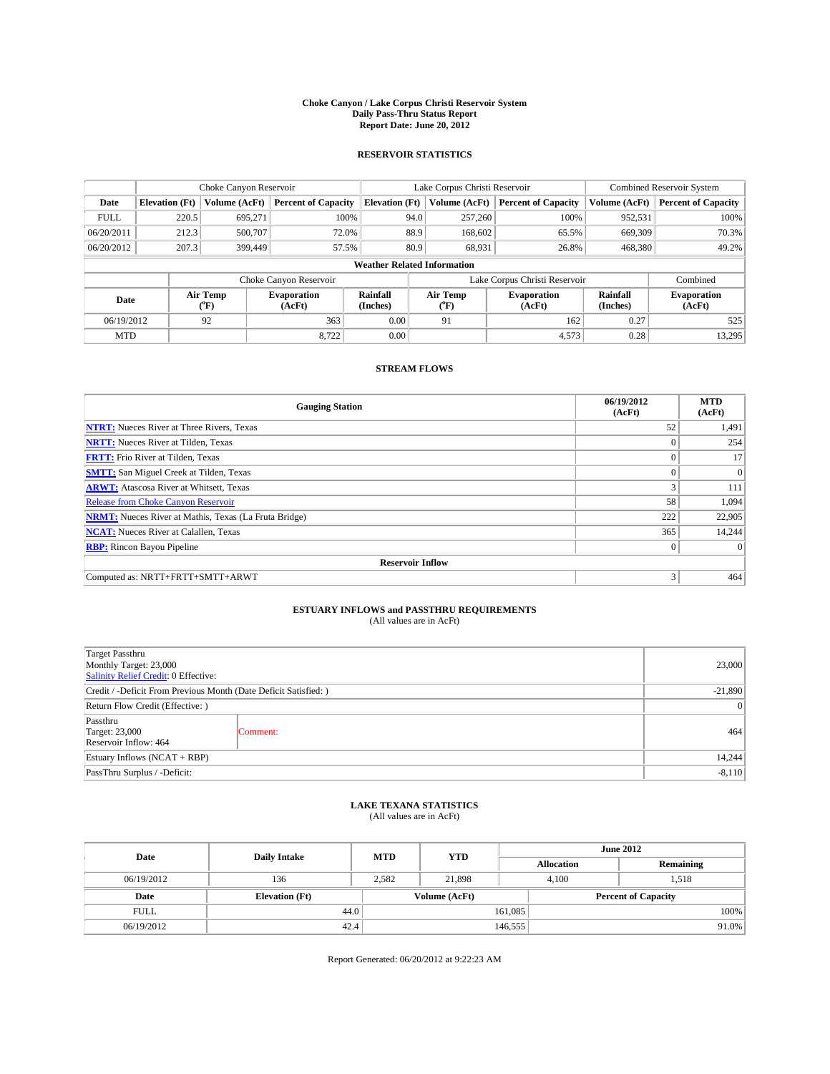### **Choke Canyon / Lake Corpus Christi Reservoir System Daily Pass-Thru Status Report Report Date: June 20, 2012**

### **RESERVOIR STATISTICS**

|             | Choke Canyon Reservoir             |                  |                              |                       | Lake Corpus Christi Reservoir |                              |                               |                      | Combined Reservoir System    |  |  |
|-------------|------------------------------------|------------------|------------------------------|-----------------------|-------------------------------|------------------------------|-------------------------------|----------------------|------------------------------|--|--|
| Date        | <b>Elevation</b> (Ft)              | Volume (AcFt)    | <b>Percent of Capacity</b>   | <b>Elevation</b> (Ft) | Volume (AcFt)                 |                              | <b>Percent of Capacity</b>    | Volume (AcFt)        | <b>Percent of Capacity</b>   |  |  |
| <b>FULL</b> | 220.5                              | 695,271          | 100%                         |                       | 94.0                          | 257,260                      | 100%                          | 952,531              | 100%                         |  |  |
| 06/20/2011  | 212.3                              | 500,707          | 72.0%                        |                       | 88.9                          | 168,602                      | 65.5%                         | 669,309              | 70.3%                        |  |  |
| 06/20/2012  | 207.3                              | 399,449          | 57.5%                        |                       | 80.9                          | 68,931                       | 26.8%                         | 468,380              | 49.2%                        |  |  |
|             | <b>Weather Related Information</b> |                  |                              |                       |                               |                              |                               |                      |                              |  |  |
|             |                                    |                  | Choke Canyon Reservoir       |                       |                               |                              | Lake Corpus Christi Reservoir |                      | Combined                     |  |  |
| Date        |                                    | Air Temp<br>(°F) | <b>Evaporation</b><br>(AcFt) | Rainfall<br>(Inches)  | Air Temp<br>("F)              | <b>Evaporation</b><br>(AcFt) |                               | Rainfall<br>(Inches) | <b>Evaporation</b><br>(AcFt) |  |  |
| 06/19/2012  |                                    | 92               | 363                          | 0.00                  | 91                            |                              | 162                           | 0.27                 | 525                          |  |  |
| <b>MTD</b>  |                                    |                  | 8,722                        | 0.00                  |                               |                              | 4,573                         | 0.28                 | 13,295                       |  |  |

### **STREAM FLOWS**

| <b>Gauging Station</b>                                       | 06/19/2012<br>(AcFt) | <b>MTD</b><br>(AcFt) |
|--------------------------------------------------------------|----------------------|----------------------|
| <b>NTRT:</b> Nueces River at Three Rivers, Texas             | 52                   | 1,491                |
| <b>NRTT:</b> Nueces River at Tilden, Texas                   | $\theta$             | 254                  |
| <b>FRTT:</b> Frio River at Tilden, Texas                     |                      | 17                   |
| <b>SMTT:</b> San Miguel Creek at Tilden, Texas               | $\theta$             | $\overline{0}$       |
| <b>ARWT:</b> Atascosa River at Whitsett, Texas               | 3                    | 111                  |
| <b>Release from Choke Canyon Reservoir</b>                   | 58                   | 1,094                |
| <b>NRMT:</b> Nueces River at Mathis, Texas (La Fruta Bridge) | 222                  | 22,905               |
| <b>NCAT:</b> Nueces River at Calallen, Texas                 | 365                  | 14,244               |
| <b>RBP:</b> Rincon Bayou Pipeline                            | $\mathbf{0}$         | $\Omega$             |
| <b>Reservoir Inflow</b>                                      |                      |                      |
| Computed as: NRTT+FRTT+SMTT+ARWT                             | 3                    | 464                  |

# **ESTUARY INFLOWS and PASSTHRU REQUIREMENTS**<br>(All values are in AcFt)

| Target Passthru<br>Monthly Target: 23,000<br>Salinity Relief Credit: 0 Effective: |           |     |  |  |
|-----------------------------------------------------------------------------------|-----------|-----|--|--|
| Credit / -Deficit From Previous Month (Date Deficit Satisfied: )                  | $-21,890$ |     |  |  |
| Return Flow Credit (Effective: )                                                  | $\vert$ 0 |     |  |  |
| Passthru<br>Target: 23,000<br>Reservoir Inflow: 464                               | Comment:  | 464 |  |  |
| Estuary Inflows $(NCAT + RBP)$                                                    |           |     |  |  |
| PassThru Surplus / -Deficit:                                                      |           |     |  |  |

# **LAKE TEXANA STATISTICS** (All values are in AcFt)

| Date        | <b>Daily Intake</b>   | <b>MTD</b> | <b>YTD</b>    | <b>June 2012</b>  |                            |           |  |
|-------------|-----------------------|------------|---------------|-------------------|----------------------------|-----------|--|
|             |                       |            |               | <b>Allocation</b> |                            | Remaining |  |
| 06/19/2012  | 136                   | 2,582      | 21,898        |                   | 1,518<br>4,100             |           |  |
| Date        | <b>Elevation</b> (Ft) |            | Volume (AcFt) |                   | <b>Percent of Capacity</b> |           |  |
| <b>FULL</b> | 44.0                  |            |               | 161,085           |                            | 100%      |  |
| 06/19/2012  | 42.4                  |            |               | 146,555           |                            | 91.0%     |  |

Report Generated: 06/20/2012 at 9:22:23 AM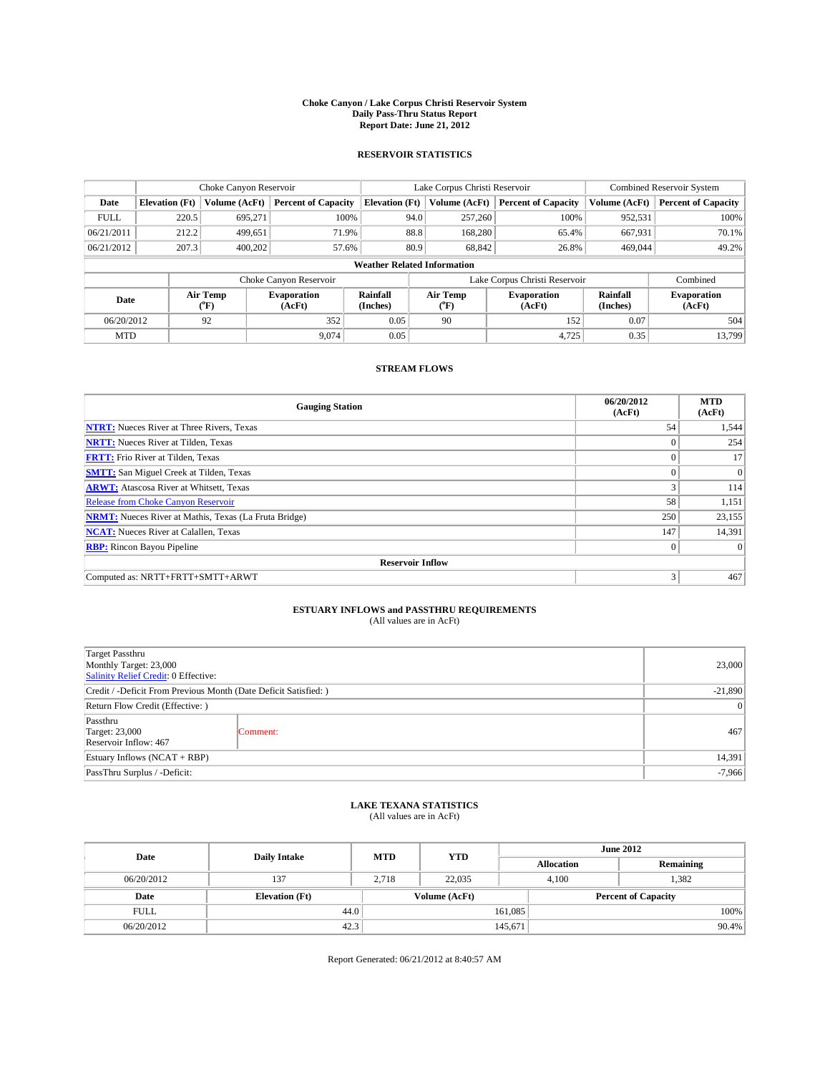### **Choke Canyon / Lake Corpus Christi Reservoir System Daily Pass-Thru Status Report Report Date: June 21, 2012**

### **RESERVOIR STATISTICS**

|                                                   | Choke Canyon Reservoir             |                      |                            |                       | Lake Corpus Christi Reservoir |                      |                               |               | <b>Combined Reservoir System</b> |  |  |
|---------------------------------------------------|------------------------------------|----------------------|----------------------------|-----------------------|-------------------------------|----------------------|-------------------------------|---------------|----------------------------------|--|--|
| Date                                              | <b>Elevation</b> (Ft)              | Volume (AcFt)        | <b>Percent of Capacity</b> | <b>Elevation</b> (Ft) |                               | Volume (AcFt)        | <b>Percent of Capacity</b>    | Volume (AcFt) | Percent of Capacity              |  |  |
| <b>FULL</b>                                       | 220.5                              | 695,271              | 100%                       |                       | 94.0                          | 257,260              | 100%                          | 952,531       | 100%                             |  |  |
| 06/21/2011                                        | 212.2                              | 499,651              | 71.9%                      |                       | 88.8                          | 168,280              | 65.4%                         | 667,931       | $70.1\%$                         |  |  |
| 06/21/2012                                        | 207.3                              | 400,202              | 57.6%                      |                       | 80.9                          | 68.842               | 26.8%                         | 469,044       | 49.2%                            |  |  |
|                                                   | <b>Weather Related Information</b> |                      |                            |                       |                               |                      |                               |               |                                  |  |  |
|                                                   |                                    |                      | Choke Canyon Reservoir     |                       |                               |                      | Lake Corpus Christi Reservoir |               | Combined                         |  |  |
| Air Temp<br>Evaporation<br>Date<br>(AcFt)<br>("F) |                                    | Rainfall<br>(Inches) |                            | Air Temp<br>("F)      | <b>Evaporation</b><br>(AcFt)  | Rainfall<br>(Inches) | <b>Evaporation</b><br>(AcFt)  |               |                                  |  |  |
| 06/20/2012                                        |                                    | 92                   | 352                        | 0.05                  | 90                            |                      | 152                           | 0.07          | 504                              |  |  |
| <b>MTD</b>                                        |                                    |                      | 9.074                      | 0.05                  |                               |                      | 4.725                         | 0.35          | 13,799                           |  |  |

## **STREAM FLOWS**

| <b>Gauging Station</b>                                       | 06/20/2012<br>(AcFt) | <b>MTD</b><br>(AcFt) |
|--------------------------------------------------------------|----------------------|----------------------|
| <b>NTRT:</b> Nueces River at Three Rivers, Texas             | 54                   | 1,544                |
| <b>NRTT:</b> Nueces River at Tilden, Texas                   |                      | 254                  |
| <b>FRTT:</b> Frio River at Tilden, Texas                     | $\theta$             | 17                   |
| <b>SMTT:</b> San Miguel Creek at Tilden, Texas               |                      | $\Omega$             |
| <b>ARWT:</b> Atascosa River at Whitsett, Texas               | 3                    | 114                  |
| Release from Choke Canyon Reservoir                          | 58                   | 1,151                |
| <b>NRMT:</b> Nueces River at Mathis, Texas (La Fruta Bridge) | 250                  | 23,155               |
| <b>NCAT:</b> Nueces River at Calallen, Texas                 | 147                  | 14,391               |
| <b>RBP:</b> Rincon Bayou Pipeline                            | $\mathbf{0}$         | $\Omega$             |
| <b>Reservoir Inflow</b>                                      |                      |                      |
| Computed as: NRTT+FRTT+SMTT+ARWT                             | 3                    | 467                  |

# **ESTUARY INFLOWS and PASSTHRU REQUIREMENTS**<br>(All values are in AcFt)

| Target Passthru<br>Monthly Target: 23,000<br>Salinity Relief Credit: 0 Effective: |           |     |  |  |
|-----------------------------------------------------------------------------------|-----------|-----|--|--|
| Credit / -Deficit From Previous Month (Date Deficit Satisfied: )                  | $-21,890$ |     |  |  |
| Return Flow Credit (Effective: )                                                  |           |     |  |  |
| Passthru<br>Target: 23,000<br>Reservoir Inflow: 467                               | Comment:  | 467 |  |  |
| Estuary Inflows $(NCAT + RBP)$                                                    |           |     |  |  |
| PassThru Surplus / -Deficit:                                                      |           |     |  |  |

## **LAKE TEXANA STATISTICS** (All values are in AcFt)

| Date        | <b>Daily Intake</b>   | <b>MTD</b> | <b>YTD</b>    | <b>June 2012</b>  |                            |           |  |
|-------------|-----------------------|------------|---------------|-------------------|----------------------------|-----------|--|
|             |                       |            |               | <b>Allocation</b> |                            | Remaining |  |
| 06/20/2012  | 137                   | 2.718      | 22,035        |                   | 1,382<br>4,100             |           |  |
| Date        | <b>Elevation</b> (Ft) |            | Volume (AcFt) |                   | <b>Percent of Capacity</b> |           |  |
| <b>FULL</b> | 44.0                  |            |               | 161,085           |                            | 100%      |  |
| 06/20/2012  | 42.3                  |            |               | 145,671           |                            | 90.4%     |  |

Report Generated: 06/21/2012 at 8:40:57 AM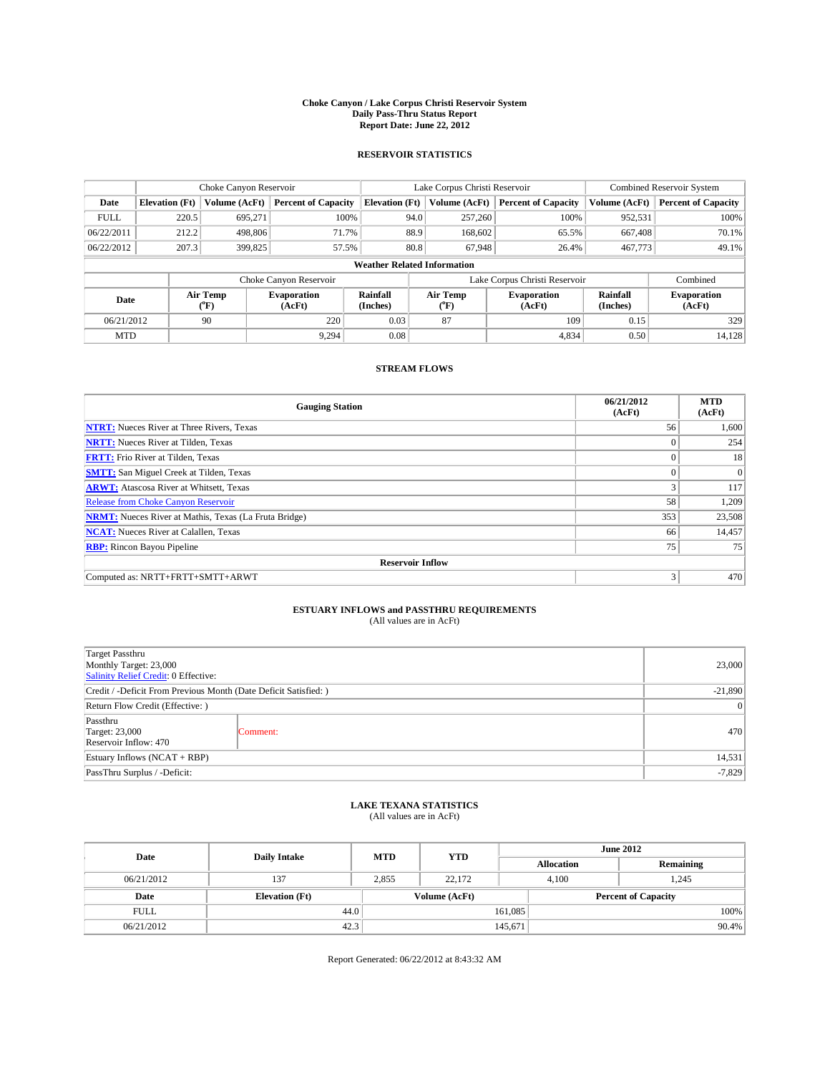### **Choke Canyon / Lake Corpus Christi Reservoir System Daily Pass-Thru Status Report Report Date: June 22, 2012**

### **RESERVOIR STATISTICS**

|             | Choke Canyon Reservoir             |                                      | Lake Corpus Christi Reservoir |                       |      |                                                  | <b>Combined Reservoir System</b> |                      |                              |
|-------------|------------------------------------|--------------------------------------|-------------------------------|-----------------------|------|--------------------------------------------------|----------------------------------|----------------------|------------------------------|
| Date        | <b>Elevation</b> (Ft)              | Volume (AcFt)                        | <b>Percent of Capacity</b>    | <b>Elevation (Ft)</b> |      | Volume (AcFt)                                    | <b>Percent of Capacity</b>       | Volume (AcFt)        | Percent of Capacity          |
| <b>FULL</b> | 220.5                              | 695,271                              | 100%                          |                       | 94.0 | 257,260                                          | 100%                             | 952,531              | 100%                         |
| 06/22/2011  | 212.2                              | 498,806                              | 71.7%                         |                       | 88.9 | 168,602                                          | 65.5%                            | 667,408              | $70.1\%$                     |
| 06/22/2012  | 207.3                              | 399,825                              | 57.5%                         |                       | 80.8 | 67.948                                           | 26.4%                            | 467,773              | 49.1%                        |
|             | <b>Weather Related Information</b> |                                      |                               |                       |      |                                                  |                                  |                      |                              |
|             |                                    |                                      | Choke Canyon Reservoir        |                       |      |                                                  | Lake Corpus Christi Reservoir    |                      | Combined                     |
| Date        |                                    | Air Temp<br>$({}^{\circ}\mathrm{F})$ | <b>Evaporation</b><br>(AcFt)  | Rainfall<br>(Inches)  |      | Air Temp<br><b>Evaporation</b><br>(AcFt)<br>("F) |                                  | Rainfall<br>(Inches) | <b>Evaporation</b><br>(AcFt) |
| 06/21/2012  |                                    | 90                                   | 220                           | 0.03                  |      | 87                                               | 109                              | 0.15                 | 329                          |
| <b>MTD</b>  |                                    |                                      | 9.294                         | 0.08                  |      |                                                  | 4,834                            | 0.50                 | 14,128                       |

## **STREAM FLOWS**

| <b>Gauging Station</b>                                       | 06/21/2012<br>(AcFt) | <b>MTD</b><br>(AcFt) |  |  |  |  |  |
|--------------------------------------------------------------|----------------------|----------------------|--|--|--|--|--|
| <b>NTRT:</b> Nueces River at Three Rivers, Texas             | 56                   | 1,600                |  |  |  |  |  |
| <b>NRTT:</b> Nueces River at Tilden, Texas                   | $\Omega$             | 254                  |  |  |  |  |  |
| <b>FRTT:</b> Frio River at Tilden, Texas                     | $\theta$             | 18                   |  |  |  |  |  |
| <b>SMTT:</b> San Miguel Creek at Tilden, Texas               |                      | $\Omega$             |  |  |  |  |  |
| <b>ARWT:</b> Atascosa River at Whitsett, Texas               | 3                    | 117                  |  |  |  |  |  |
| Release from Choke Canyon Reservoir                          | 58                   | 1,209                |  |  |  |  |  |
| <b>NRMT:</b> Nueces River at Mathis, Texas (La Fruta Bridge) | 353                  | 23,508               |  |  |  |  |  |
| <b>NCAT:</b> Nueces River at Calallen, Texas                 | 66                   | 14,457               |  |  |  |  |  |
| <b>RBP:</b> Rincon Bayou Pipeline                            | 75                   | 75                   |  |  |  |  |  |
| <b>Reservoir Inflow</b>                                      |                      |                      |  |  |  |  |  |
| Computed as: NRTT+FRTT+SMTT+ARWT                             | 3                    | 470                  |  |  |  |  |  |

# **ESTUARY INFLOWS and PASSTHRU REQUIREMENTS**<br>(All values are in AcFt)

| Target Passthru<br>Monthly Target: 23,000<br>Salinity Relief Credit: 0 Effective: |          |     |
|-----------------------------------------------------------------------------------|----------|-----|
| Credit / -Deficit From Previous Month (Date Deficit Satisfied: )                  |          |     |
| Return Flow Credit (Effective: )                                                  |          |     |
| Passthru<br>Target: 23,000<br>Reservoir Inflow: 470                               | Comment: | 470 |
| Estuary Inflows $(NCAT + RBP)$                                                    | 14,531   |     |
| PassThru Surplus / -Deficit:                                                      |          |     |

# **LAKE TEXANA STATISTICS** (All values are in AcFt)

| Date        | <b>Daily Intake</b>   | <b>MTD</b> | <b>YTD</b>    | <b>June 2012</b> |                            |           |  |
|-------------|-----------------------|------------|---------------|------------------|----------------------------|-----------|--|
|             |                       |            |               |                  | <b>Allocation</b>          | Remaining |  |
| 06/21/2012  | 137                   | 2,855      | 22.172        |                  | 1.245<br>4,100             |           |  |
| Date        | <b>Elevation</b> (Ft) |            | Volume (AcFt) |                  | <b>Percent of Capacity</b> |           |  |
| <b>FULL</b> | 44.0                  |            |               | 161,085          |                            | 100%      |  |
| 06/21/2012  | 42.3                  |            |               | 145,671          | 90.4%                      |           |  |

Report Generated: 06/22/2012 at 8:43:32 AM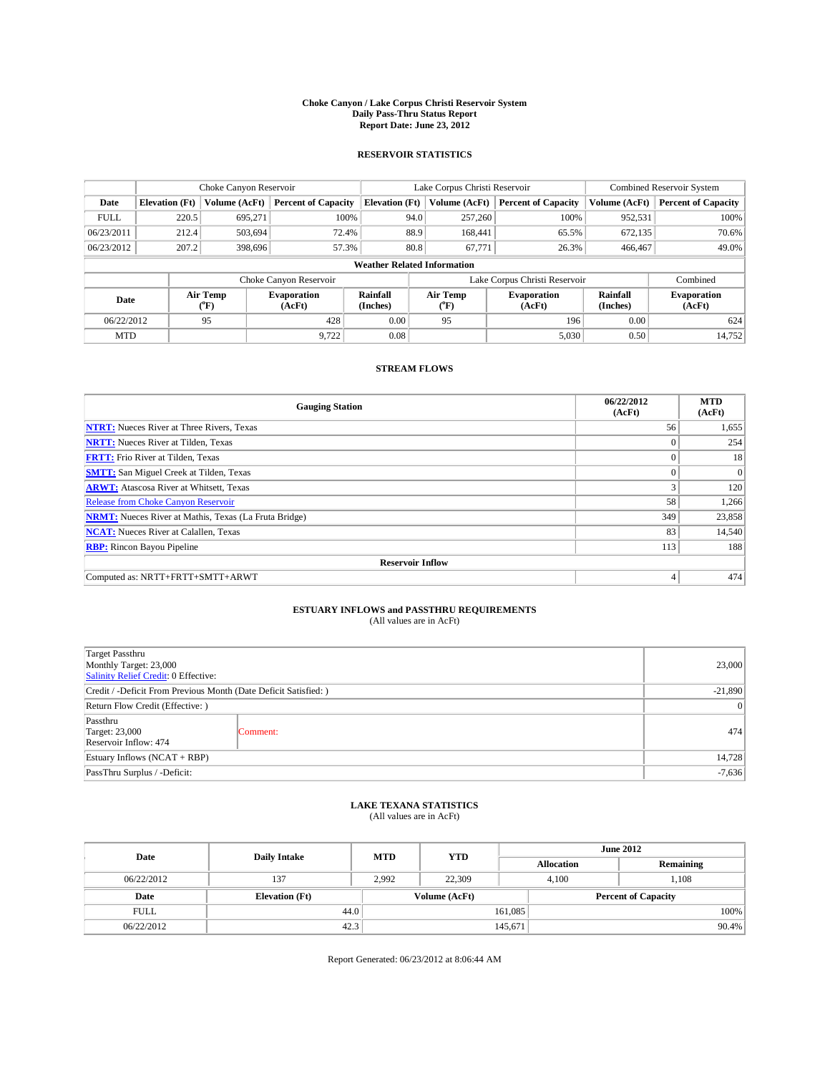### **Choke Canyon / Lake Corpus Christi Reservoir System Daily Pass-Thru Status Report Report Date: June 23, 2012**

### **RESERVOIR STATISTICS**

|             |                                    | Choke Canyon Reservoir |                            |                       | Lake Corpus Christi Reservoir | <b>Combined Reservoir System</b> |                      |                              |  |
|-------------|------------------------------------|------------------------|----------------------------|-----------------------|-------------------------------|----------------------------------|----------------------|------------------------------|--|
| Date        | <b>Elevation</b> (Ft)              | Volume (AcFt)          | <b>Percent of Capacity</b> | <b>Elevation</b> (Ft) | Volume (AcFt)                 | <b>Percent of Capacity</b>       | Volume (AcFt)        | Percent of Capacity          |  |
| <b>FULL</b> | 220.5                              | 695,271                | 100%                       |                       | 257,260<br>94.0               | 100%                             | 952,531              | 100%                         |  |
| 06/23/2011  | 212.4                              | 503,694                | 72.4%                      |                       | 88.9<br>168,441               | 65.5%                            | 672,135              | $70.6\%$                     |  |
| 06/23/2012  | 207.2                              | 398.696                | 57.3%                      |                       | 80.8<br>67,771                | 26.3%                            | 466,467              | 49.0%                        |  |
|             | <b>Weather Related Information</b> |                        |                            |                       |                               |                                  |                      |                              |  |
|             |                                    |                        | Choke Canyon Reservoir     |                       | Lake Corpus Christi Reservoir | Combined                         |                      |                              |  |
| Date        |                                    | Air Temp<br>("F)       | Evaporation<br>(AcFt)      | Rainfall<br>(Inches)  | Air Temp<br>("F)              | <b>Evaporation</b><br>(AcFt)     | Rainfall<br>(Inches) | <b>Evaporation</b><br>(AcFt) |  |
| 06/22/2012  |                                    | 95                     | 428                        | 0.00                  | 95                            | 196                              | 0.00                 | 624                          |  |
| <b>MTD</b>  |                                    |                        | 9,722                      | 0.08                  |                               | 5,030                            | 0.50                 | 14,752                       |  |

## **STREAM FLOWS**

| <b>Gauging Station</b>                                       | 06/22/2012<br>(AcFt) | <b>MTD</b><br>(AcFt) |  |  |  |  |  |
|--------------------------------------------------------------|----------------------|----------------------|--|--|--|--|--|
| <b>NTRT:</b> Nueces River at Three Rivers, Texas             | 56                   | 1,655                |  |  |  |  |  |
| <b>NRTT:</b> Nueces River at Tilden, Texas                   | $\theta$             | 254                  |  |  |  |  |  |
| <b>FRTT:</b> Frio River at Tilden, Texas                     | $\theta$             | 18                   |  |  |  |  |  |
| <b>SMTT:</b> San Miguel Creek at Tilden, Texas               |                      | $\Omega$             |  |  |  |  |  |
| <b>ARWT:</b> Atascosa River at Whitsett, Texas               | 3                    | 120                  |  |  |  |  |  |
| Release from Choke Canyon Reservoir                          | 58                   | 1,266                |  |  |  |  |  |
| <b>NRMT:</b> Nueces River at Mathis, Texas (La Fruta Bridge) | 349                  | 23,858               |  |  |  |  |  |
| <b>NCAT:</b> Nueces River at Calallen, Texas                 | 83                   | 14,540               |  |  |  |  |  |
| <b>RBP:</b> Rincon Bayou Pipeline                            | 113                  | 188                  |  |  |  |  |  |
| <b>Reservoir Inflow</b>                                      |                      |                      |  |  |  |  |  |
| Computed as: NRTT+FRTT+SMTT+ARWT                             | 4                    | 474                  |  |  |  |  |  |

# **ESTUARY INFLOWS and PASSTHRU REQUIREMENTS**<br>(All values are in AcFt)

| Target Passthru<br>Monthly Target: 23,000<br>Salinity Relief Credit: 0 Effective: |           |     |
|-----------------------------------------------------------------------------------|-----------|-----|
| Credit / -Deficit From Previous Month (Date Deficit Satisfied: )                  |           |     |
| Return Flow Credit (Effective: )                                                  | $\vert$ 0 |     |
| Passthru<br><b>Target: 23,000</b><br>Reservoir Inflow: 474                        | Comment:  | 474 |
| Estuary Inflows (NCAT + RBP)                                                      | 14,728    |     |
| PassThru Surplus / -Deficit:                                                      |           |     |

## **LAKE TEXANA STATISTICS** (All values are in AcFt)

| Date        | <b>Daily Intake</b>   | <b>MTD</b> | <b>YTD</b>    | <b>June 2012</b>  |                            |           |
|-------------|-----------------------|------------|---------------|-------------------|----------------------------|-----------|
|             |                       |            |               | <b>Allocation</b> |                            | Remaining |
| 06/22/2012  | 137                   | 2,992      | 22,309        |                   | 1,108<br>4,100             |           |
| Date        | <b>Elevation</b> (Ft) |            | Volume (AcFt) |                   | <b>Percent of Capacity</b> |           |
| <b>FULL</b> | 44.0                  |            |               | 161,085           |                            | 100%      |
| 06/22/2012  | 42.3                  |            |               | 145,671           |                            | 90.4%     |

Report Generated: 06/23/2012 at 8:06:44 AM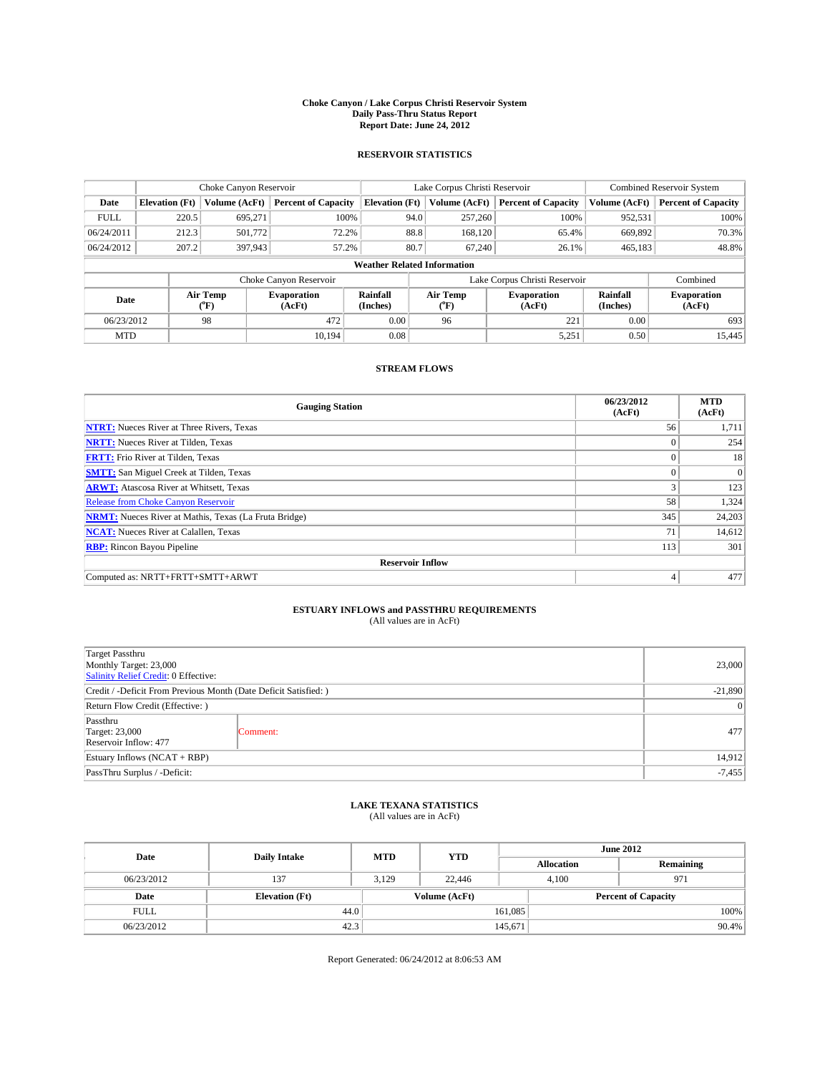### **Choke Canyon / Lake Corpus Christi Reservoir System Daily Pass-Thru Status Report Report Date: June 24, 2012**

### **RESERVOIR STATISTICS**

|             |                                    | Choke Canyon Reservoir |                              |                       | Lake Corpus Christi Reservoir | <b>Combined Reservoir System</b> |                      |                              |  |
|-------------|------------------------------------|------------------------|------------------------------|-----------------------|-------------------------------|----------------------------------|----------------------|------------------------------|--|
| Date        | <b>Elevation</b> (Ft)              | Volume (AcFt)          | <b>Percent of Capacity</b>   | <b>Elevation (Ft)</b> | Volume (AcFt)                 | <b>Percent of Capacity</b>       | Volume (AcFt)        | <b>Percent of Capacity</b>   |  |
| <b>FULL</b> | 220.5                              | 695,271                | 100%                         | 94.0                  | 257,260                       | 100%                             | 952,531              | 100%                         |  |
| 06/24/2011  | 212.3                              | 501,772                | 72.2%                        | 88.8                  | 168,120                       | 65.4%                            | 669,892              | 70.3%                        |  |
| 06/24/2012  | 207.2                              | 397,943                | 57.2%                        | 80.7                  | 67,240                        | 26.1%                            | 465,183              | 48.8%                        |  |
|             | <b>Weather Related Information</b> |                        |                              |                       |                               |                                  |                      |                              |  |
|             |                                    |                        | Choke Canyon Reservoir       |                       | Lake Corpus Christi Reservoir | Combined                         |                      |                              |  |
| Date        |                                    | Air Temp<br>(°F)       | <b>Evaporation</b><br>(AcFt) | Rainfall<br>(Inches)  | Air Temp<br>(°F)              | <b>Evaporation</b><br>(AcFt)     | Rainfall<br>(Inches) | <b>Evaporation</b><br>(AcFt) |  |
| 06/23/2012  |                                    | 98                     | 472                          | 0.00                  | 96                            | 221                              | 0.00                 | 693                          |  |
| <b>MTD</b>  |                                    |                        | 10.194                       | 0.08                  |                               | 5,251                            | 0.50                 | 15,445                       |  |

## **STREAM FLOWS**

| <b>Gauging Station</b>                                       | 06/23/2012<br>(AcFt) | <b>MTD</b><br>(AcFt) |  |  |  |  |  |
|--------------------------------------------------------------|----------------------|----------------------|--|--|--|--|--|
| <b>NTRT:</b> Nueces River at Three Rivers, Texas             | 56                   | 1,711                |  |  |  |  |  |
| <b>NRTT:</b> Nueces River at Tilden, Texas                   | $\theta$             | 254                  |  |  |  |  |  |
| <b>FRTT:</b> Frio River at Tilden, Texas                     | $\theta$             | 18                   |  |  |  |  |  |
| <b>SMTT:</b> San Miguel Creek at Tilden, Texas               |                      | $\Omega$             |  |  |  |  |  |
| <b>ARWT:</b> Atascosa River at Whitsett, Texas               | 3                    | 123                  |  |  |  |  |  |
| Release from Choke Canyon Reservoir                          | 58                   | 1,324                |  |  |  |  |  |
| <b>NRMT:</b> Nueces River at Mathis, Texas (La Fruta Bridge) | 345                  | 24,203               |  |  |  |  |  |
| <b>NCAT:</b> Nueces River at Calallen, Texas                 | 71                   | 14,612               |  |  |  |  |  |
| <b>RBP:</b> Rincon Bayou Pipeline                            | 113                  | 301                  |  |  |  |  |  |
| <b>Reservoir Inflow</b>                                      |                      |                      |  |  |  |  |  |
| Computed as: NRTT+FRTT+SMTT+ARWT                             | 4                    | 477                  |  |  |  |  |  |

# **ESTUARY INFLOWS and PASSTHRU REQUIREMENTS**<br>(All values are in AcFt)

| Target Passthru<br>Monthly Target: 23,000<br>Salinity Relief Credit: 0 Effective: | 23,000    |     |
|-----------------------------------------------------------------------------------|-----------|-----|
| Credit / -Deficit From Previous Month (Date Deficit Satisfied: )                  |           |     |
| Return Flow Credit (Effective: )                                                  | $\vert$ 0 |     |
| Passthru<br>Target: 23,000<br>Reservoir Inflow: 477                               | Comment:  | 477 |
| Estuary Inflows $(NCAT + RBP)$                                                    | 14,912    |     |
| PassThru Surplus / -Deficit:                                                      | $-7,455$  |     |

# **LAKE TEXANA STATISTICS** (All values are in AcFt)

| Date        | <b>Daily Intake</b>   | <b>MTD</b> | <b>YTD</b>    | <b>June 2012</b>  |                            |  |
|-------------|-----------------------|------------|---------------|-------------------|----------------------------|--|
|             |                       |            |               | <b>Allocation</b> | Remaining                  |  |
| 06/23/2012  | 137                   | 3,129      | 22,446        | 4,100             | 971                        |  |
| Date        | <b>Elevation</b> (Ft) |            | Volume (AcFt) |                   | <b>Percent of Capacity</b> |  |
| <b>FULL</b> | 44.0                  |            |               | 161,085           | 100%                       |  |
| 06/23/2012  | 42.3                  |            |               | 145,671           | 90.4%                      |  |

Report Generated: 06/24/2012 at 8:06:53 AM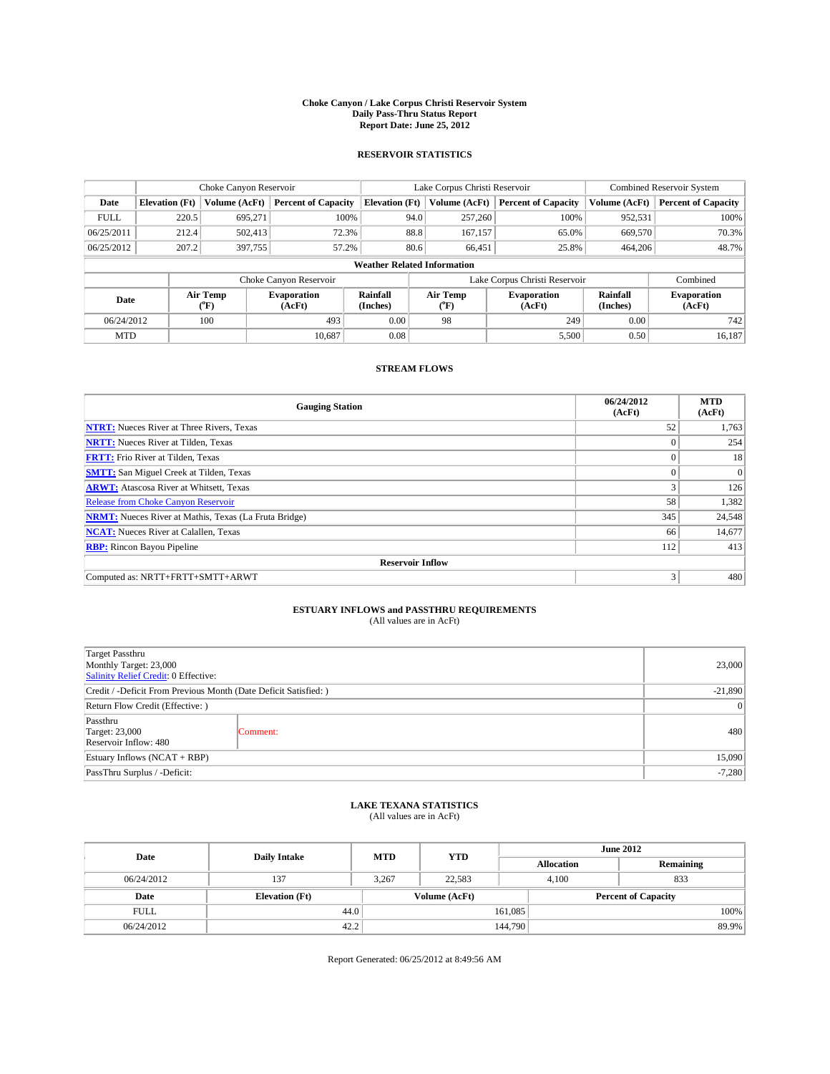### **Choke Canyon / Lake Corpus Christi Reservoir System Daily Pass-Thru Status Report Report Date: June 25, 2012**

### **RESERVOIR STATISTICS**

|             | Choke Canyon Reservoir             |                  |                            |                       | Lake Corpus Christi Reservoir                    |               |                               |                              | <b>Combined Reservoir System</b> |  |  |
|-------------|------------------------------------|------------------|----------------------------|-----------------------|--------------------------------------------------|---------------|-------------------------------|------------------------------|----------------------------------|--|--|
| Date        | <b>Elevation</b> (Ft)              | Volume (AcFt)    | <b>Percent of Capacity</b> | <b>Elevation</b> (Ft) |                                                  | Volume (AcFt) | <b>Percent of Capacity</b>    | Volume (AcFt)                | Percent of Capacity              |  |  |
| <b>FULL</b> | 220.5                              | 695,271          | 100%                       |                       | 94.0                                             | 257,260       | 100%                          | 952,531                      | 100%                             |  |  |
| 06/25/2011  | 212.4                              | 502,413          | 72.3%                      |                       | 88.8<br>65.0%<br>167,157                         |               | 669,570                       | 70.3%                        |                                  |  |  |
| 06/25/2012  | 207.2                              | 397,755          | 57.2%                      |                       | 80.6                                             | 66.451        | 25.8%                         | 464,206                      | 48.7%                            |  |  |
|             | <b>Weather Related Information</b> |                  |                            |                       |                                                  |               |                               |                              |                                  |  |  |
|             |                                    |                  | Choke Canyon Reservoir     |                       |                                                  |               | Lake Corpus Christi Reservoir |                              | Combined                         |  |  |
| Date        |                                    | Air Temp<br>("F) | Evaporation<br>(AcFt)      | Rainfall<br>(Inches)  | Air Temp<br><b>Evaporation</b><br>(AcFt)<br>("F) |               | Rainfall<br>(Inches)          | <b>Evaporation</b><br>(AcFt) |                                  |  |  |
| 06/24/2012  |                                    | 100              | 493                        | 0.00                  | 249<br>98                                        |               | 0.00                          | 742                          |                                  |  |  |
| <b>MTD</b>  |                                    |                  | 10.687                     | 0.08                  |                                                  |               | 5,500                         | 0.50                         | 16,187                           |  |  |

## **STREAM FLOWS**

| <b>Gauging Station</b>                                       | 06/24/2012<br>(AcFt) | <b>MTD</b><br>(AcFt) |
|--------------------------------------------------------------|----------------------|----------------------|
| <b>NTRT:</b> Nueces River at Three Rivers, Texas             | 52                   | 1,763                |
| <b>NRTT:</b> Nueces River at Tilden, Texas                   | $\theta$             | 254                  |
| <b>FRTT:</b> Frio River at Tilden, Texas                     |                      | 18                   |
| <b>SMTT:</b> San Miguel Creek at Tilden, Texas               | $\theta$             | $\Omega$             |
| <b>ARWT:</b> Atascosa River at Whitsett, Texas               | 3                    | 126                  |
| Release from Choke Canyon Reservoir                          | 58                   | 1,382                |
| <b>NRMT:</b> Nueces River at Mathis, Texas (La Fruta Bridge) | 345                  | 24,548               |
| <b>NCAT:</b> Nueces River at Calallen, Texas                 | 66                   | 14,677               |
| <b>RBP:</b> Rincon Bayou Pipeline                            | 112                  | 413                  |
| <b>Reservoir Inflow</b>                                      |                      |                      |
| Computed as: NRTT+FRTT+SMTT+ARWT                             | 3                    | 480                  |

# **ESTUARY INFLOWS and PASSTHRU REQUIREMENTS**<br>(All values are in AcFt)

| Target Passthru<br>Monthly Target: 23,000<br>Salinity Relief Credit: 0 Effective: |           |     |  |  |
|-----------------------------------------------------------------------------------|-----------|-----|--|--|
| Credit / -Deficit From Previous Month (Date Deficit Satisfied: )                  | $-21,890$ |     |  |  |
| Return Flow Credit (Effective: )                                                  | $\vert$ 0 |     |  |  |
| Passthru<br><b>Target: 23,000</b><br>Reservoir Inflow: 480                        | Comment:  | 480 |  |  |
| Estuary Inflows (NCAT + RBP)                                                      |           |     |  |  |
| PassThru Surplus / -Deficit:                                                      |           |     |  |  |

## **LAKE TEXANA STATISTICS** (All values are in AcFt)

| Date        | <b>Daily Intake</b>   | <b>MTD</b> | <b>YTD</b>    | <b>June 2012</b>  |                            |           |  |
|-------------|-----------------------|------------|---------------|-------------------|----------------------------|-----------|--|
|             |                       |            |               | <b>Allocation</b> |                            | Remaining |  |
| 06/24/2012  | 137                   | 3,267      | 22,583        |                   | 833<br>4,100               |           |  |
| Date        | <b>Elevation</b> (Ft) |            | Volume (AcFt) |                   | <b>Percent of Capacity</b> |           |  |
| <b>FULL</b> | 44.0                  |            |               | 161,085           |                            | 100%      |  |
| 06/24/2012  | 42.2                  |            |               | 144,790           |                            | 89.9%     |  |

Report Generated: 06/25/2012 at 8:49:56 AM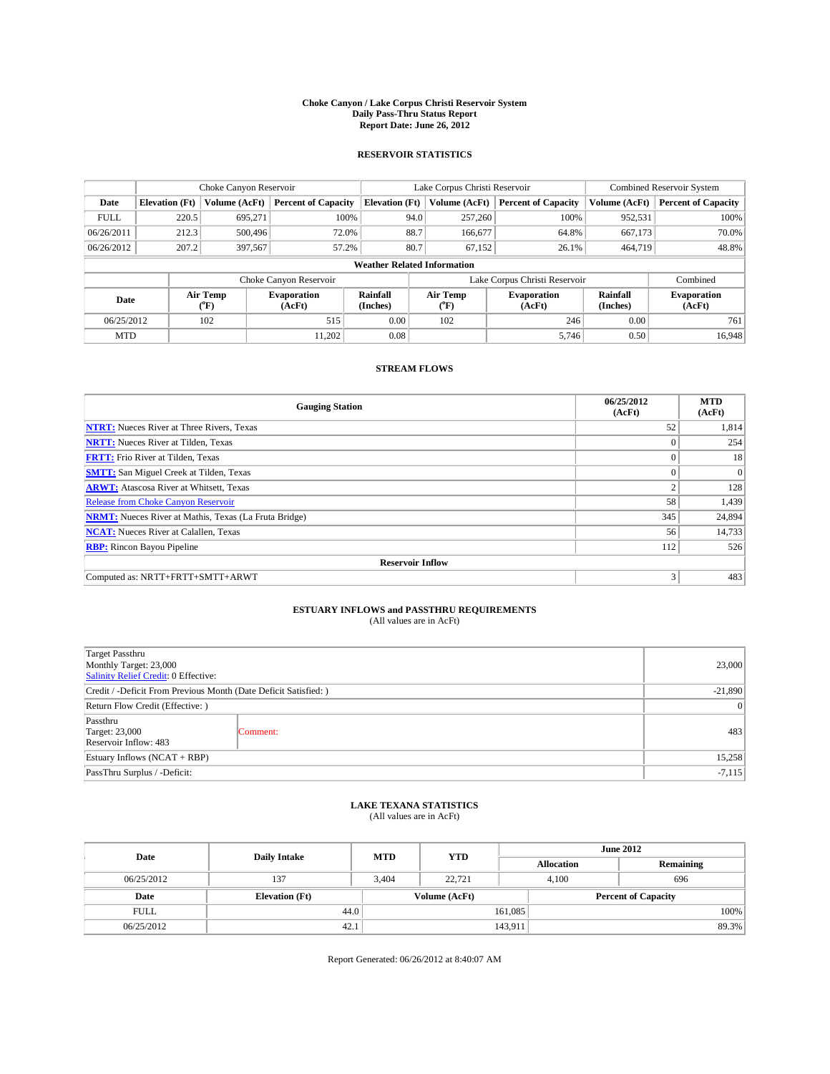### **Choke Canyon / Lake Corpus Christi Reservoir System Daily Pass-Thru Status Report Report Date: June 26, 2012**

### **RESERVOIR STATISTICS**

|             | Choke Canyon Reservoir             |                  |                              |                       | Lake Corpus Christi Reservoir                    |         |                               |                              | <b>Combined Reservoir System</b> |  |  |
|-------------|------------------------------------|------------------|------------------------------|-----------------------|--------------------------------------------------|---------|-------------------------------|------------------------------|----------------------------------|--|--|
| Date        | <b>Elevation</b> (Ft)              | Volume (AcFt)    | <b>Percent of Capacity</b>   | <b>Elevation</b> (Ft) | Volume (AcFt)                                    |         | <b>Percent of Capacity</b>    | Volume (AcFt)                | <b>Percent of Capacity</b>       |  |  |
| <b>FULL</b> | 220.5                              | 695,271          | 100%                         |                       | 94.0                                             | 257,260 | 100%                          | 952,531                      | 100%                             |  |  |
| 06/26/2011  | 212.3                              | 500,496          | 72.0%                        |                       | 88.7                                             | 166,677 | 64.8%                         | 667,173                      | 70.0%                            |  |  |
| 06/26/2012  | 207.2                              | 397,567          | 57.2%                        |                       | 80.7                                             | 67.152  | 26.1%                         | 464,719                      | 48.8%                            |  |  |
|             | <b>Weather Related Information</b> |                  |                              |                       |                                                  |         |                               |                              |                                  |  |  |
|             |                                    |                  | Choke Canyon Reservoir       |                       |                                                  |         | Lake Corpus Christi Reservoir |                              | Combined                         |  |  |
| Date        |                                    | Air Temp<br>(°F) | <b>Evaporation</b><br>(AcFt) | Rainfall<br>(Inches)  | Air Temp<br><b>Evaporation</b><br>(AcFt)<br>("F) |         | Rainfall<br>(Inches)          | <b>Evaporation</b><br>(AcFt) |                                  |  |  |
| 06/25/2012  |                                    | 102              | 515                          | 0.00                  | 102<br>246                                       |         | 0.00                          | 761                          |                                  |  |  |
| <b>MTD</b>  |                                    |                  | 11.202                       | 0.08                  |                                                  |         | 5,746                         | 0.50                         | 16.948                           |  |  |

### **STREAM FLOWS**

| <b>Gauging Station</b>                                       | 06/25/2012<br>(AcFt) | <b>MTD</b><br>(AcFt) |
|--------------------------------------------------------------|----------------------|----------------------|
| <b>NTRT:</b> Nueces River at Three Rivers, Texas             | 52                   | 1,814                |
| <b>NRTT:</b> Nueces River at Tilden, Texas                   | $\theta$             | 254                  |
| <b>FRTT:</b> Frio River at Tilden, Texas                     |                      | 18                   |
| <b>SMTT:</b> San Miguel Creek at Tilden, Texas               | $\theta$             | $\overline{0}$       |
| <b>ARWT:</b> Atascosa River at Whitsett, Texas               | 2                    | 128                  |
| <b>Release from Choke Canyon Reservoir</b>                   | 58                   | 1,439                |
| <b>NRMT:</b> Nueces River at Mathis, Texas (La Fruta Bridge) | 345                  | 24,894               |
| <b>NCAT:</b> Nueces River at Calallen, Texas                 | 56                   | 14,733               |
| <b>RBP:</b> Rincon Bayou Pipeline                            | 112                  | 526                  |
| <b>Reservoir Inflow</b>                                      |                      |                      |
| Computed as: NRTT+FRTT+SMTT+ARWT                             | 3                    | 483                  |

# **ESTUARY INFLOWS and PASSTHRU REQUIREMENTS**<br>(All values are in AcFt)

| Target Passthru<br>Monthly Target: 23,000<br>Salinity Relief Credit: 0 Effective: |           |     |  |  |
|-----------------------------------------------------------------------------------|-----------|-----|--|--|
| Credit / -Deficit From Previous Month (Date Deficit Satisfied: )                  | $-21,890$ |     |  |  |
| Return Flow Credit (Effective: )                                                  |           |     |  |  |
| Passthru<br>Target: 23,000<br>Reservoir Inflow: 483                               | Comment:  | 483 |  |  |
| Estuary Inflows $(NCAT + RBP)$                                                    |           |     |  |  |
| PassThru Surplus / -Deficit:                                                      |           |     |  |  |

# **LAKE TEXANA STATISTICS** (All values are in AcFt)

| Date        | <b>Daily Intake</b>   | <b>MTD</b> | <b>YTD</b>    | <b>June 2012</b>  |              |                            |  |
|-------------|-----------------------|------------|---------------|-------------------|--------------|----------------------------|--|
|             |                       |            |               | <b>Allocation</b> |              | Remaining                  |  |
| 06/25/2012  | 137                   | 3,404      | 22,721        |                   | 4,100<br>696 |                            |  |
| Date        | <b>Elevation</b> (Ft) |            | Volume (AcFt) |                   |              | <b>Percent of Capacity</b> |  |
| <b>FULL</b> | 44.0                  |            |               | 161,085           |              | 100%                       |  |
| 06/25/2012  | 42.1                  |            |               | 143,911           |              | 89.3%                      |  |

Report Generated: 06/26/2012 at 8:40:07 AM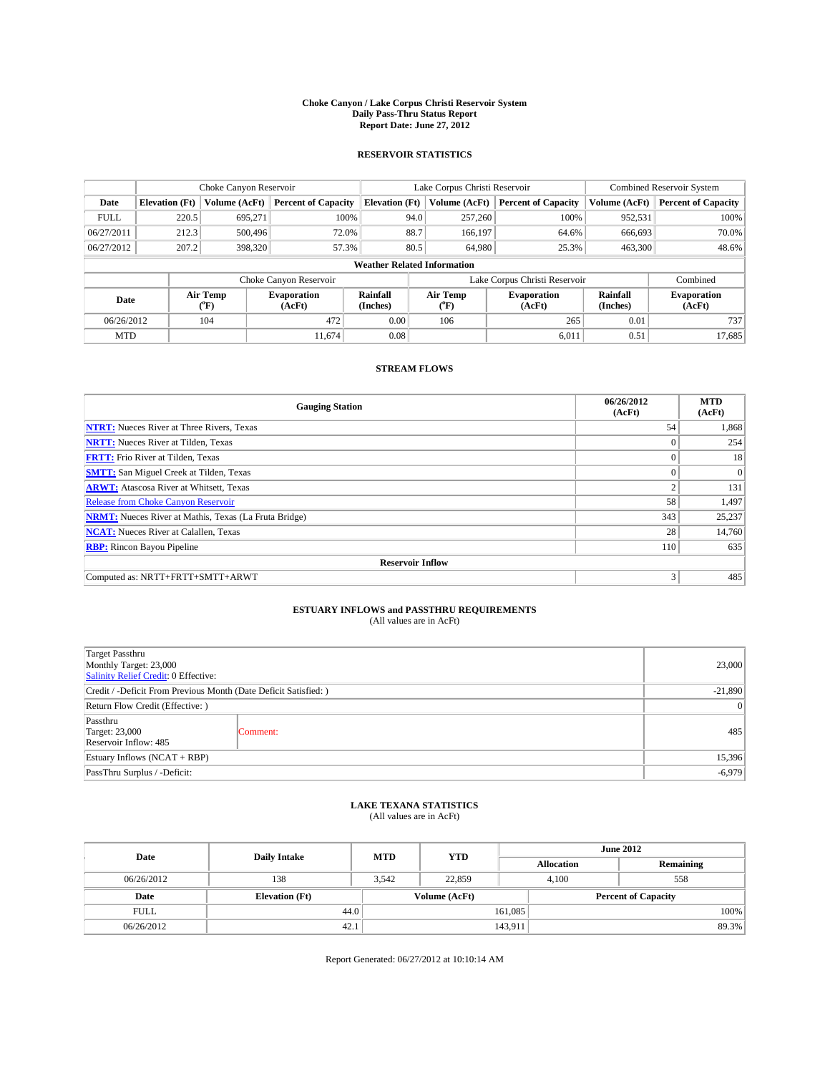### **Choke Canyon / Lake Corpus Christi Reservoir System Daily Pass-Thru Status Report Report Date: June 27, 2012**

### **RESERVOIR STATISTICS**

|             |                                    | Choke Canyon Reservoir |                              |                       | Lake Corpus Christi Reservoir                    | <b>Combined Reservoir System</b> |                      |                              |  |
|-------------|------------------------------------|------------------------|------------------------------|-----------------------|--------------------------------------------------|----------------------------------|----------------------|------------------------------|--|
| Date        | <b>Elevation</b> (Ft)              | Volume (AcFt)          | <b>Percent of Capacity</b>   | <b>Elevation (Ft)</b> | Volume (AcFt)                                    | <b>Percent of Capacity</b>       | Volume (AcFt)        | <b>Percent of Capacity</b>   |  |
| <b>FULL</b> | 220.5                              | 695,271                | 100%                         |                       | 94.0<br>257,260                                  | 100%                             | 952,531              | 100%                         |  |
| 06/27/2011  | 212.3                              | 500,496                | 72.0%                        | 88.7                  | 166,197                                          | 64.6%                            | 666,693              | 70.0%                        |  |
| 06/27/2012  | 207.2                              | 398,320                | 57.3%                        |                       | 80.5<br>64,980                                   | 25.3%                            | 463,300              | 48.6%                        |  |
|             | <b>Weather Related Information</b> |                        |                              |                       |                                                  |                                  |                      |                              |  |
|             |                                    |                        | Choke Canyon Reservoir       |                       |                                                  | Lake Corpus Christi Reservoir    |                      | Combined                     |  |
| Date        |                                    | Air Temp<br>(°F)       | <b>Evaporation</b><br>(AcFt) | Rainfall<br>(Inches)  | Air Temp<br><b>Evaporation</b><br>(AcFt)<br>(°F) |                                  | Rainfall<br>(Inches) | <b>Evaporation</b><br>(AcFt) |  |
| 06/26/2012  |                                    | 104                    | 472                          | 0.00                  | 106<br>265                                       |                                  | 0.01                 | 737                          |  |
| <b>MTD</b>  |                                    |                        | 11.674                       | 0.08                  |                                                  | 6.011                            | 0.51                 | 17,685                       |  |

## **STREAM FLOWS**

| <b>Gauging Station</b>                                       | 06/26/2012<br>(AcFt) | <b>MTD</b><br>(AcFt) |
|--------------------------------------------------------------|----------------------|----------------------|
| <b>NTRT:</b> Nueces River at Three Rivers, Texas             | 54                   | 1,868                |
| <b>NRTT:</b> Nueces River at Tilden, Texas                   | $\theta$             | 254                  |
| <b>FRTT:</b> Frio River at Tilden, Texas                     | $\theta$             | 18                   |
| <b>SMTT:</b> San Miguel Creek at Tilden, Texas               |                      | $\Omega$             |
| <b>ARWT:</b> Atascosa River at Whitsett, Texas               | 2                    | 131                  |
| Release from Choke Canyon Reservoir                          | 58                   | 1,497                |
| <b>NRMT:</b> Nueces River at Mathis, Texas (La Fruta Bridge) | 343                  | 25,237               |
| <b>NCAT:</b> Nueces River at Calallen, Texas                 | 28                   | 14,760               |
| <b>RBP:</b> Rincon Bayou Pipeline                            | 110                  | 635                  |
| <b>Reservoir Inflow</b>                                      |                      |                      |
| Computed as: NRTT+FRTT+SMTT+ARWT                             | 3                    | 485                  |

# **ESTUARY INFLOWS and PASSTHRU REQUIREMENTS**<br>(All values are in AcFt)

| Target Passthru<br>Monthly Target: 23,000<br>Salinity Relief Credit: 0 Effective: |           |     |  |  |
|-----------------------------------------------------------------------------------|-----------|-----|--|--|
| Credit / -Deficit From Previous Month (Date Deficit Satisfied: )                  | $-21,890$ |     |  |  |
| Return Flow Credit (Effective: )                                                  | $\vert$ 0 |     |  |  |
| Passthru<br><b>Target: 23,000</b><br>Reservoir Inflow: 485                        | Comment:  | 485 |  |  |
| Estuary Inflows (NCAT + RBP)                                                      |           |     |  |  |
| PassThru Surplus / -Deficit:                                                      |           |     |  |  |

# **LAKE TEXANA STATISTICS** (All values are in AcFt)

| Date        | <b>Daily Intake</b>   | <b>MTD</b> | <b>YTD</b>    | <b>June 2012</b>  |                            |           |  |
|-------------|-----------------------|------------|---------------|-------------------|----------------------------|-----------|--|
|             |                       |            |               | <b>Allocation</b> |                            | Remaining |  |
| 06/26/2012  | 138                   | 3.542      | 22,859        |                   | 558<br>4,100               |           |  |
| Date        | <b>Elevation</b> (Ft) |            | Volume (AcFt) |                   | <b>Percent of Capacity</b> |           |  |
| <b>FULL</b> | 44.0                  |            |               | 161,085           |                            | 100%      |  |
| 06/26/2012  | 42.1                  |            |               | 143,911           |                            | 89.3%     |  |

Report Generated: 06/27/2012 at 10:10:14 AM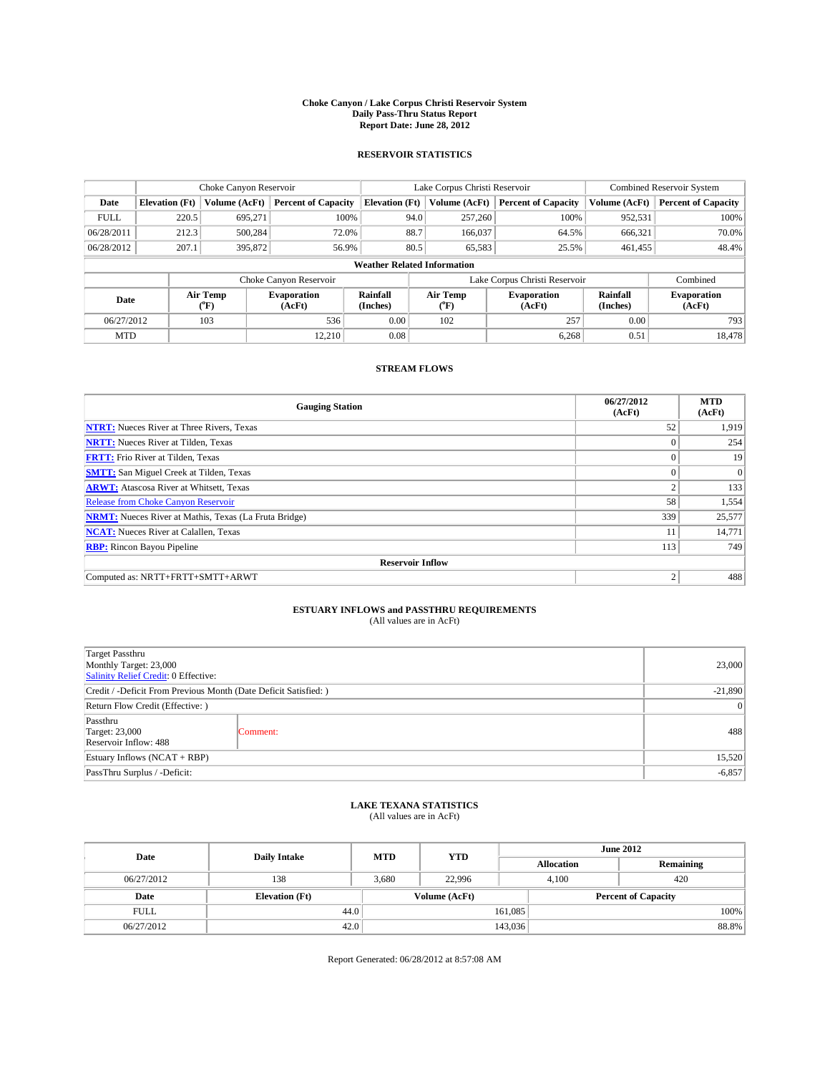### **Choke Canyon / Lake Corpus Christi Reservoir System Daily Pass-Thru Status Report Report Date: June 28, 2012**

### **RESERVOIR STATISTICS**

|             |                                    | Choke Canyon Reservoir |                            |                       | Lake Corpus Christi Reservoir | <b>Combined Reservoir System</b> |               |                              |  |
|-------------|------------------------------------|------------------------|----------------------------|-----------------------|-------------------------------|----------------------------------|---------------|------------------------------|--|
| Date        | <b>Elevation</b> (Ft)              | Volume (AcFt)          | <b>Percent of Capacity</b> | <b>Elevation</b> (Ft) | Volume (AcFt)                 | <b>Percent of Capacity</b>       | Volume (AcFt) | Percent of Capacity          |  |
| <b>FULL</b> | 220.5                              | 695,271                | 100%                       | 94.0                  | 257,260                       | 100%                             | 952,531       | 100%                         |  |
| 06/28/2011  | 212.3                              | 500,284                | 72.0%                      | 88.7                  | 166,037                       | 64.5%                            | 666,321       | $70.0\%$                     |  |
| 06/28/2012  | 207.1                              | 395,872                | 56.9%                      | 80.5                  | 65,583                        | 25.5%                            | 461.455       | 48.4%                        |  |
|             | <b>Weather Related Information</b> |                        |                            |                       |                               |                                  |               |                              |  |
|             |                                    |                        | Choke Canyon Reservoir     |                       |                               | Lake Corpus Christi Reservoir    |               | Combined                     |  |
| Date        |                                    | Air Temp<br>("F)       | Evaporation<br>(AcFt)      | Rainfall<br>(Inches)  | Air Temp<br>("F)              | <b>Evaporation</b><br>(AcFt)     |               | <b>Evaporation</b><br>(AcFt) |  |
| 06/27/2012  |                                    | 103                    | 536                        | 0.00                  | 102                           | 257                              | 0.00          | 793                          |  |
| <b>MTD</b>  |                                    |                        | 12.210                     | 0.08                  |                               | 6,268                            | 0.51          | 18,478                       |  |

## **STREAM FLOWS**

| <b>Gauging Station</b>                                       | 06/27/2012<br>(AcFt) | <b>MTD</b><br>(AcFt) |  |  |  |  |
|--------------------------------------------------------------|----------------------|----------------------|--|--|--|--|
| <b>NTRT:</b> Nueces River at Three Rivers, Texas             | 52                   | 1,919                |  |  |  |  |
| <b>NRTT:</b> Nueces River at Tilden, Texas                   | $\Omega$             | 254                  |  |  |  |  |
| <b>FRTT:</b> Frio River at Tilden, Texas                     |                      | 19                   |  |  |  |  |
| <b>SMTT:</b> San Miguel Creek at Tilden, Texas               | $\theta$             | $\theta$             |  |  |  |  |
| <b>ARWT:</b> Atascosa River at Whitsett, Texas               | $\mathbf{2}$         | 133                  |  |  |  |  |
| <b>Release from Choke Canyon Reservoir</b>                   | 58                   | 1,554                |  |  |  |  |
| <b>NRMT:</b> Nueces River at Mathis, Texas (La Fruta Bridge) | 339                  | 25,577               |  |  |  |  |
| <b>NCAT:</b> Nueces River at Calallen, Texas                 | 11                   | 14,771               |  |  |  |  |
| <b>RBP:</b> Rincon Bayou Pipeline                            | 113                  | 749                  |  |  |  |  |
| <b>Reservoir Inflow</b>                                      |                      |                      |  |  |  |  |
| Computed as: NRTT+FRTT+SMTT+ARWT                             | $\overline{2}$       | 488                  |  |  |  |  |

# **ESTUARY INFLOWS and PASSTHRU REQUIREMENTS**<br>(All values are in AcFt)

| Target Passthru<br>Monthly Target: 23,000<br>Salinity Relief Credit: 0 Effective: | 23,000    |     |
|-----------------------------------------------------------------------------------|-----------|-----|
| Credit / -Deficit From Previous Month (Date Deficit Satisfied: )                  | $-21,890$ |     |
| Return Flow Credit (Effective: )                                                  | $\vert$ 0 |     |
| Passthru<br>Target: 23,000<br>Reservoir Inflow: 488                               | Comment:  | 488 |
| Estuary Inflows (NCAT + RBP)                                                      | 15,520    |     |
| PassThru Surplus / -Deficit:                                                      | $-6,857$  |     |

## **LAKE TEXANA STATISTICS** (All values are in AcFt)

| Date        | <b>Daily Intake</b>   | <b>MTD</b> | <b>YTD</b>    | <b>June 2012</b>  |                            |           |  |
|-------------|-----------------------|------------|---------------|-------------------|----------------------------|-----------|--|
|             |                       |            |               | <b>Allocation</b> |                            | Remaining |  |
| 06/27/2012  | 138                   | 3,680      | 22,996        | 4,100             | 420                        |           |  |
| Date        | <b>Elevation</b> (Ft) |            | Volume (AcFt) |                   | <b>Percent of Capacity</b> |           |  |
| <b>FULL</b> | 44.0                  |            |               | 161,085           |                            | 100%      |  |
| 06/27/2012  | 42.0                  |            |               | 143,036           |                            | 88.8%     |  |

Report Generated: 06/28/2012 at 8:57:08 AM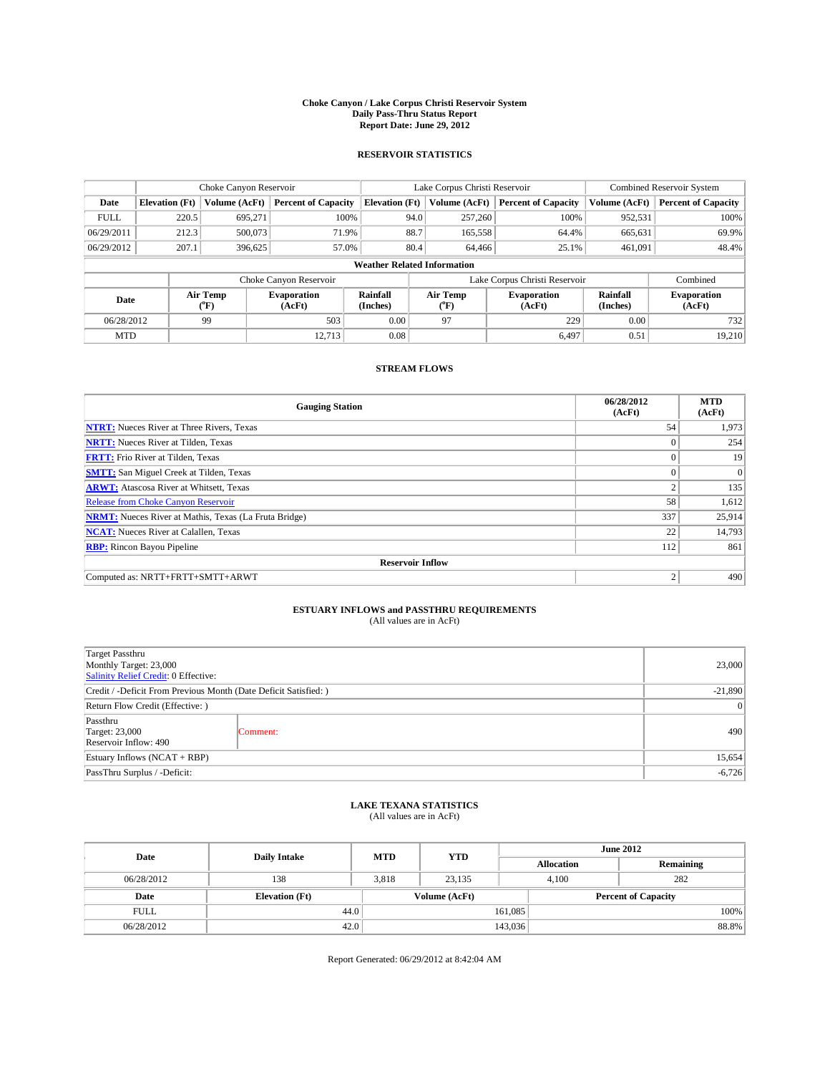### **Choke Canyon / Lake Corpus Christi Reservoir System Daily Pass-Thru Status Report Report Date: June 29, 2012**

### **RESERVOIR STATISTICS**

|             | Choke Canyon Reservoir             |                                 |                            |                       | Lake Corpus Christi Reservoir |                                                  |                               |                      | <b>Combined Reservoir System</b> |  |  |
|-------------|------------------------------------|---------------------------------|----------------------------|-----------------------|-------------------------------|--------------------------------------------------|-------------------------------|----------------------|----------------------------------|--|--|
| Date        | <b>Elevation</b> (Ft)              | Volume (AcFt)                   | <b>Percent of Capacity</b> | <b>Elevation</b> (Ft) |                               | Volume (AcFt)                                    | <b>Percent of Capacity</b>    | Volume (AcFt)        | Percent of Capacity              |  |  |
| <b>FULL</b> | 220.5                              | 695,271                         | 100%                       |                       | 94.0                          | 257,260                                          | 100%                          | 952,531              | 100%                             |  |  |
| 06/29/2011  | 212.3                              | 500,073                         | 71.9%                      |                       | 88.7                          | 165,558                                          | 64.4%                         | 665,631              | 69.9%                            |  |  |
| 06/29/2012  | 207.1                              | 396,625                         | 57.0%                      |                       | 80.4                          | 64,466                                           | 25.1%                         | 461.091              | 48.4%                            |  |  |
|             | <b>Weather Related Information</b> |                                 |                            |                       |                               |                                                  |                               |                      |                                  |  |  |
|             |                                    |                                 | Choke Canyon Reservoir     |                       |                               |                                                  | Lake Corpus Christi Reservoir |                      | Combined                         |  |  |
| Date        |                                    | Air Temp<br>Evaporation<br>("F) |                            | Rainfall<br>(Inches)  |                               | Air Temp<br><b>Evaporation</b><br>(AcFt)<br>("F) |                               | Rainfall<br>(Inches) | <b>Evaporation</b><br>(AcFt)     |  |  |
| 06/28/2012  |                                    | 99                              | 503                        | 0.00                  |                               | 97                                               | 229                           | 0.00                 | 732                              |  |  |
| <b>MTD</b>  |                                    |                                 | 12.713                     | 0.08                  |                               |                                                  | 6.497                         | 0.51                 | 19,210                           |  |  |

## **STREAM FLOWS**

| <b>Gauging Station</b>                                       | 06/28/2012<br>(AcFt) | <b>MTD</b><br>(AcFt) |  |  |  |  |
|--------------------------------------------------------------|----------------------|----------------------|--|--|--|--|
| <b>NTRT:</b> Nueces River at Three Rivers, Texas             | 54                   | 1,973                |  |  |  |  |
| <b>NRTT:</b> Nueces River at Tilden, Texas                   | $\theta$             | 254                  |  |  |  |  |
| <b>FRTT:</b> Frio River at Tilden, Texas                     | $\theta$             | 19                   |  |  |  |  |
| <b>SMTT:</b> San Miguel Creek at Tilden, Texas               |                      | $\Omega$             |  |  |  |  |
| <b>ARWT:</b> Atascosa River at Whitsett, Texas               | 2                    | 135                  |  |  |  |  |
| Release from Choke Canyon Reservoir                          | 58                   | 1,612                |  |  |  |  |
| <b>NRMT:</b> Nueces River at Mathis, Texas (La Fruta Bridge) | 337                  | 25,914               |  |  |  |  |
| <b>NCAT:</b> Nueces River at Calallen, Texas                 | 22                   | 14,793               |  |  |  |  |
| <b>RBP:</b> Rincon Bayou Pipeline                            | 112                  | 861                  |  |  |  |  |
| <b>Reservoir Inflow</b>                                      |                      |                      |  |  |  |  |
| Computed as: NRTT+FRTT+SMTT+ARWT                             | $\overline{2}$       | 490                  |  |  |  |  |

# **ESTUARY INFLOWS and PASSTHRU REQUIREMENTS**<br>(All values are in AcFt)

| Target Passthru<br>Monthly Target: 23,000<br>Salinity Relief Credit: 0 Effective: | 23,000    |     |  |  |
|-----------------------------------------------------------------------------------|-----------|-----|--|--|
| Credit / -Deficit From Previous Month (Date Deficit Satisfied: )                  |           |     |  |  |
| Return Flow Credit (Effective: )                                                  | $\vert$ 0 |     |  |  |
| Passthru<br>Target: 23,000<br>Reservoir Inflow: 490                               | Comment:  | 490 |  |  |
| Estuary Inflows $(NCAT + RBP)$                                                    |           |     |  |  |
| PassThru Surplus / -Deficit:                                                      | $-6,726$  |     |  |  |

## **LAKE TEXANA STATISTICS** (All values are in AcFt)

| Date        | <b>Daily Intake</b>   | <b>MTD</b> | <b>YTD</b>    | <b>June 2012</b>  |                            |  |  |
|-------------|-----------------------|------------|---------------|-------------------|----------------------------|--|--|
|             |                       |            |               | <b>Allocation</b> | Remaining                  |  |  |
| 06/28/2012  | 138                   | 3,818      | 23,135        | 4,100             | 282                        |  |  |
| Date        | <b>Elevation</b> (Ft) |            | Volume (AcFt) |                   | <b>Percent of Capacity</b> |  |  |
| <b>FULL</b> | 44.0                  |            |               | 161,085           | 100%                       |  |  |
| 06/28/2012  | 42.0                  |            |               | 143,036           | 88.8%                      |  |  |

Report Generated: 06/29/2012 at 8:42:04 AM